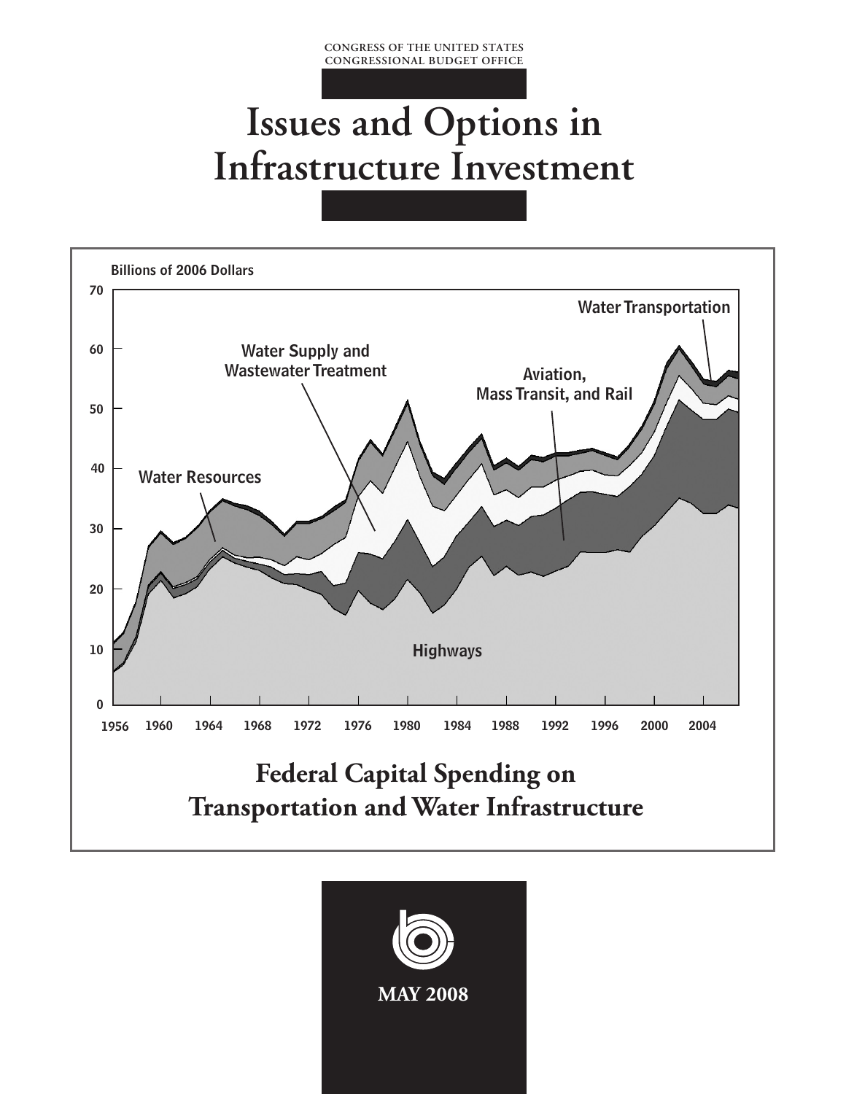**CONGRESS OF THE UNITED STATES CONGRESSIONAL BUDGET OFFICE**

# **Issues and Options in Infrastructure Investment**



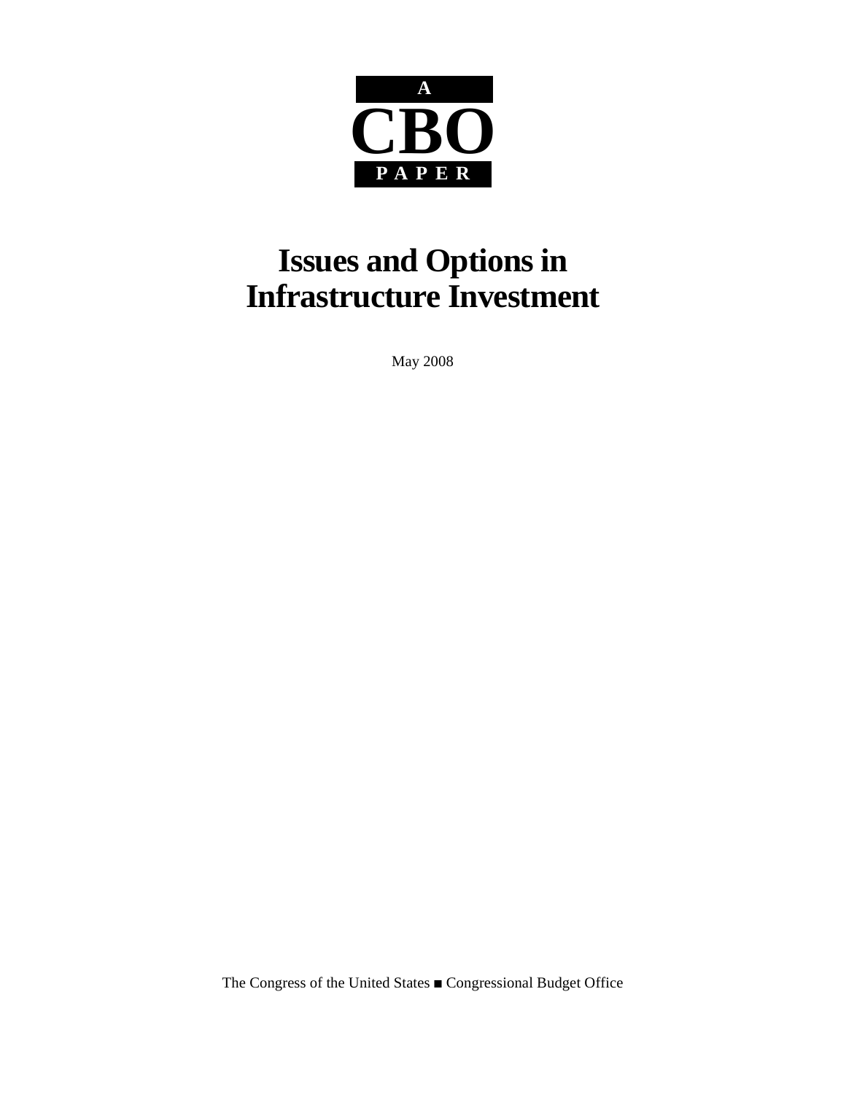

# **Issues and Options in Infrastructure Investment**

May 2008

The Congress of the United States  $\blacksquare$  Congressional Budget Office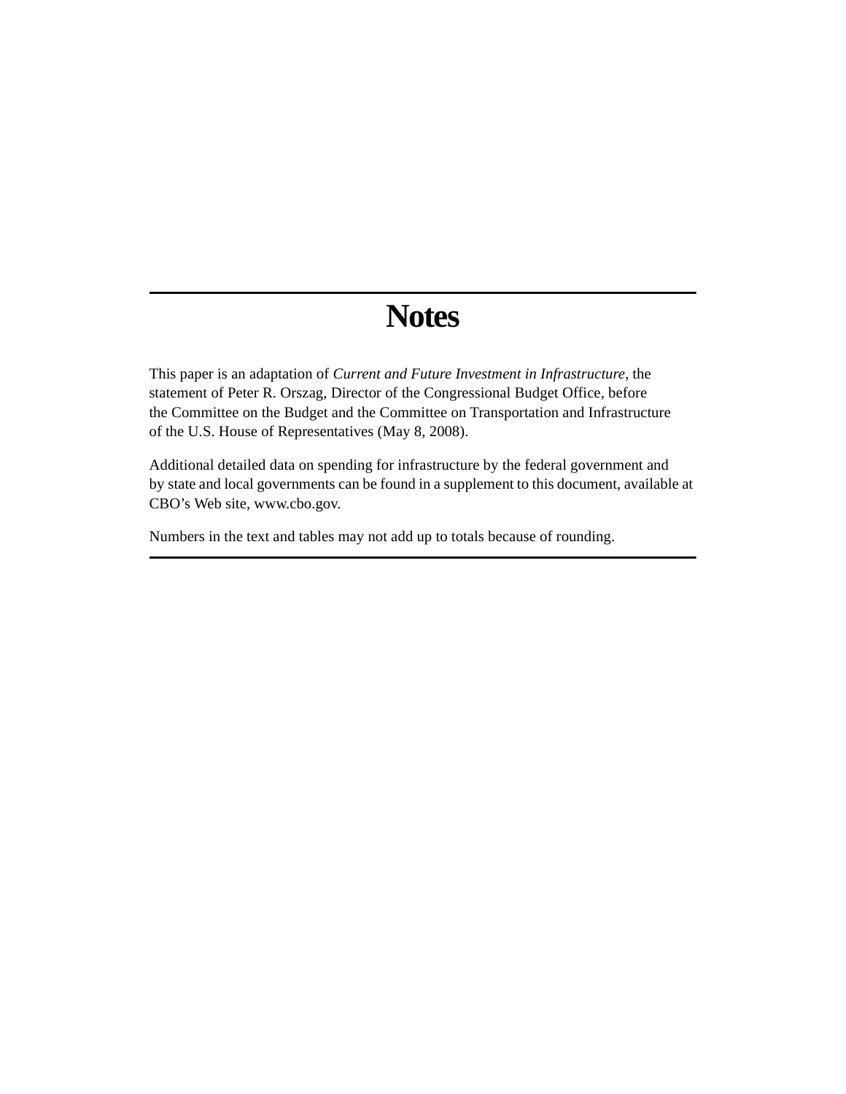# **Notes**

This paper is an adaptation of *Current and Future Investment in Infrastructure,* the statement of Peter R. Orszag, Director of the Congressional Budget Office, before the Committee on the Budget and the Committee on Transportation and Infrastructure of the U.S. House of Representatives (May 8, 2008).

Additional detailed data on spending for infrastructure by the federal government and by state and local governments can be found in a supplement to this document, available at CBO's Web site, www.cbo.gov.

Numbers in the text and tables may not add up to totals because of rounding.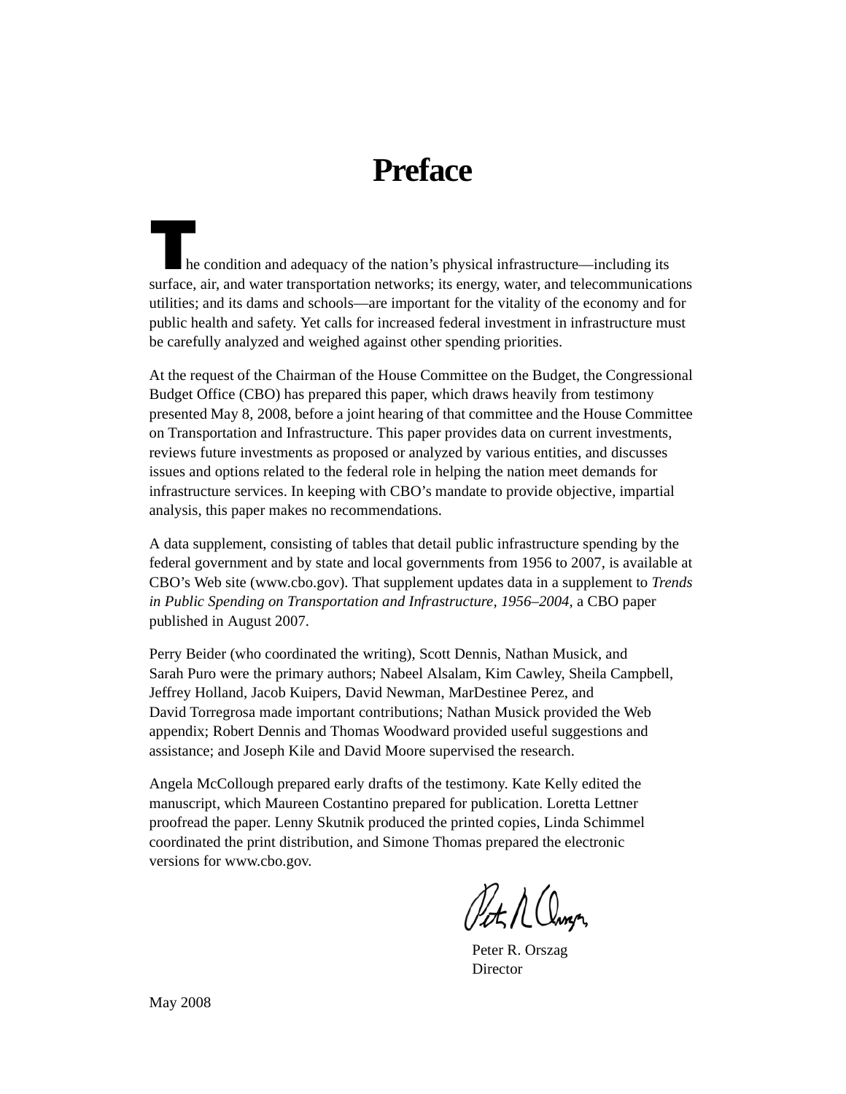# **Preface**

**The condition and adequacy of the nation's physical infrastructure—including its** surface, air, and water transportation networks; its energy, water, and telecommunications utilities; and its dams and schools—are important for the vitality of the economy and for public health and safety. Yet calls for increased federal investment in infrastructure must be carefully analyzed and weighed against other spending priorities.

At the request of the Chairman of the House Committee on the Budget, the Congressional Budget Office (CBO) has prepared this paper, which draws heavily from testimony presented May 8, 2008, before a joint hearing of that committee and the House Committee on Transportation and Infrastructure. This paper provides data on current investments, reviews future investments as proposed or analyzed by various entities, and discusses issues and options related to the federal role in helping the nation meet demands for infrastructure services. In keeping with CBO's mandate to provide objective, impartial analysis, this paper makes no recommendations.

A data supplement, consisting of tables that detail public infrastructure spending by the federal government and by state and local governments from 1956 to 2007, is available at CBO's Web site (www.cbo.gov). That supplement updates data in a supplement to *Trends in Public Spending on Transportation and Infrastructure, 1956–2004,* a CBO paper published in August 2007.

Perry Beider (who coordinated the writing), Scott Dennis, Nathan Musick, and Sarah Puro were the primary authors; Nabeel Alsalam, Kim Cawley, Sheila Campbell, Jeffrey Holland, Jacob Kuipers, David Newman, MarDestinee Perez, and David Torregrosa made important contributions; Nathan Musick provided the Web appendix; Robert Dennis and Thomas Woodward provided useful suggestions and assistance; and Joseph Kile and David Moore supervised the research.

Angela McCollough prepared early drafts of the testimony. Kate Kelly edited the manuscript, which Maureen Costantino prepared for publication. Loretta Lettner proofread the paper. Lenny Skutnik produced the printed copies, Linda Schimmel coordinated the print distribution, and Simone Thomas prepared the electronic versions for www.cbo.gov.

Pot A Owner

Peter R. Orszag **Director**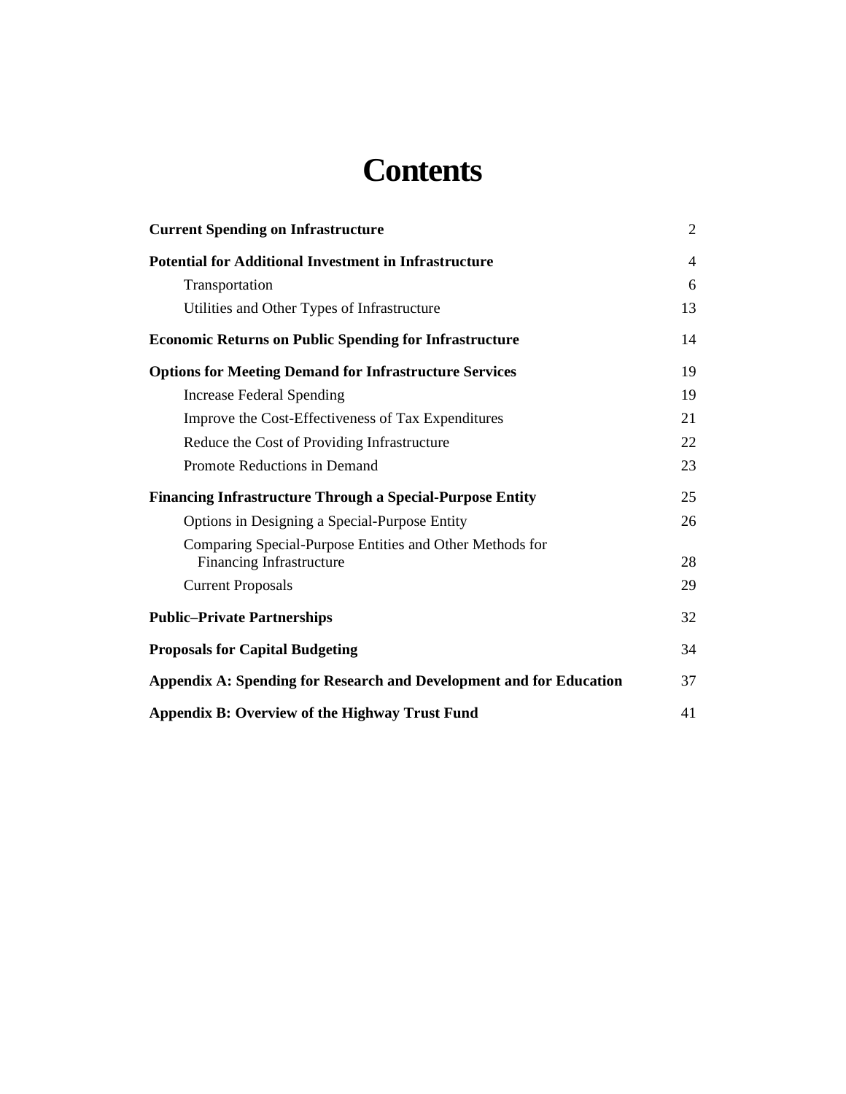# **Contents**

| <b>Current Spending on Infrastructure</b>                                            | $\overline{2}$ |
|--------------------------------------------------------------------------------------|----------------|
| <b>Potential for Additional Investment in Infrastructure</b>                         | $\overline{4}$ |
| Transportation                                                                       | 6              |
| Utilities and Other Types of Infrastructure                                          | 13             |
| <b>Economic Returns on Public Spending for Infrastructure</b>                        | 14             |
| <b>Options for Meeting Demand for Infrastructure Services</b>                        | 19             |
| <b>Increase Federal Spending</b>                                                     | 19             |
| Improve the Cost-Effectiveness of Tax Expenditures                                   | 21             |
| Reduce the Cost of Providing Infrastructure                                          | 22             |
| Promote Reductions in Demand                                                         | 23             |
| <b>Financing Infrastructure Through a Special-Purpose Entity</b>                     | 25             |
| Options in Designing a Special-Purpose Entity                                        | 26             |
| Comparing Special-Purpose Entities and Other Methods for<br>Financing Infrastructure | 28             |
| <b>Current Proposals</b>                                                             | 29             |
| <b>Public-Private Partnerships</b>                                                   | 32             |
| <b>Proposals for Capital Budgeting</b>                                               | 34             |
| Appendix A: Spending for Research and Development and for Education                  | 37             |
| <b>Appendix B: Overview of the Highway Trust Fund</b>                                | 41             |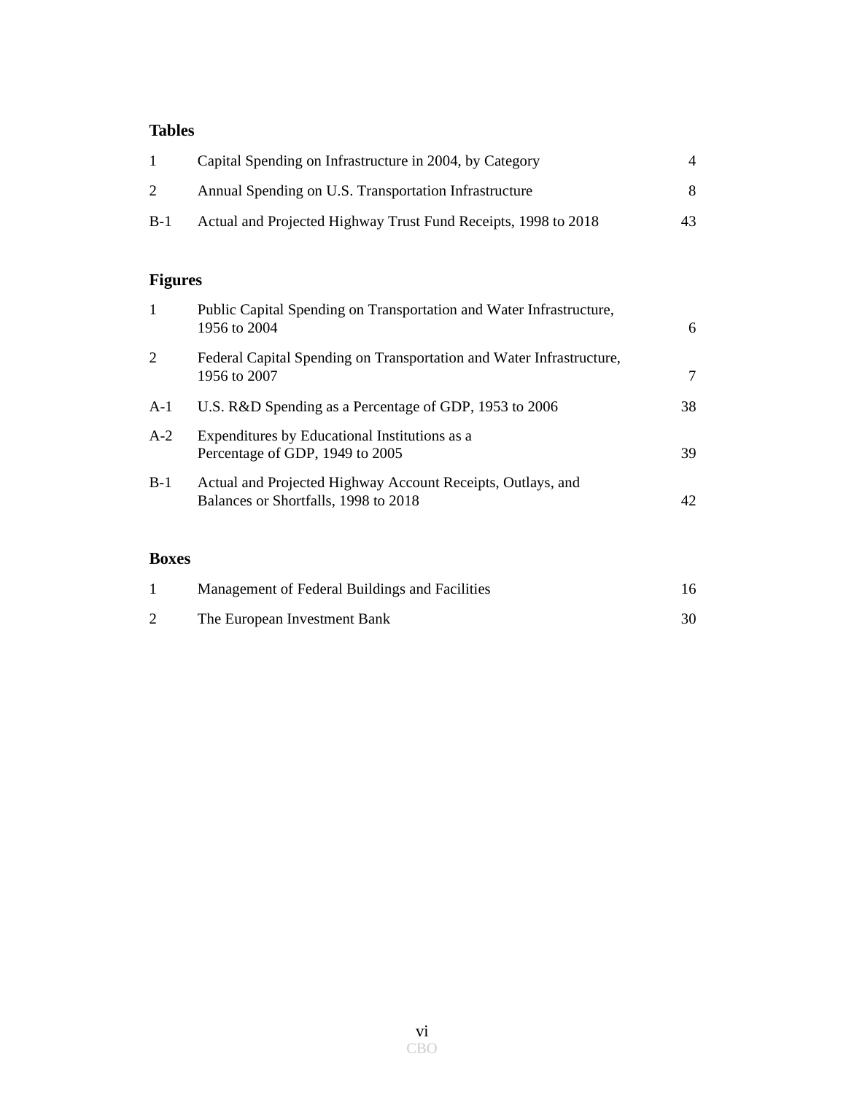#### **Tables**

|       | Capital Spending on Infrastructure in 2004, by Category        |    |
|-------|----------------------------------------------------------------|----|
|       | Annual Spending on U.S. Transportation Infrastructure          | 8  |
| $B-1$ | Actual and Projected Highway Trust Fund Receipts, 1998 to 2018 | 43 |

## **Figures**

| 1     | Public Capital Spending on Transportation and Water Infrastructure,<br>1956 to 2004                 | 6  |
|-------|-----------------------------------------------------------------------------------------------------|----|
| 2     | Federal Capital Spending on Transportation and Water Infrastructure,<br>1956 to 2007                | 7  |
| $A-1$ | U.S. R&D Spending as a Percentage of GDP, 1953 to 2006                                              | 38 |
| $A-2$ | Expenditures by Educational Institutions as a<br>Percentage of GDP, 1949 to 2005                    | 39 |
| $B-1$ | Actual and Projected Highway Account Receipts, Outlays, and<br>Balances or Shortfalls, 1998 to 2018 | 42 |

### **Boxes**

| Management of Federal Buildings and Facilities | 16 |
|------------------------------------------------|----|
| The European Investment Bank                   |    |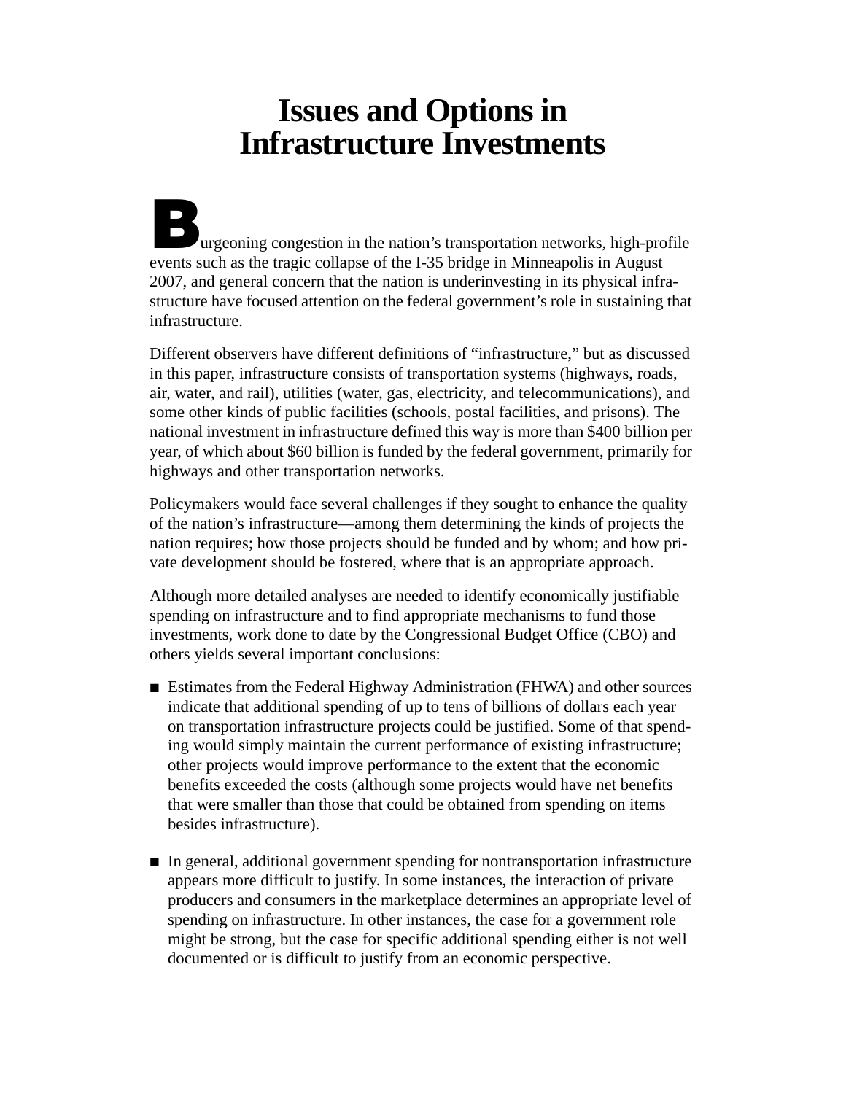# **Issues and Options in Infrastructure Investments**

**B**urgeoning congestion in the nation's transportation networks, high-profile events such as the tragic collapse of the I-35 bridge in Minneapolis in August 2007, and general concern that the nation is underinvesting in its physical infrastructure have focused attention on the federal government's role in sustaining that infrastructure.

Different observers have different definitions of "infrastructure," but as discussed in this paper, infrastructure consists of transportation systems (highways, roads, air, water, and rail), utilities (water, gas, electricity, and telecommunications), and some other kinds of public facilities (schools, postal facilities, and prisons). The national investment in infrastructure defined this way is more than \$400 billion per year, of which about \$60 billion is funded by the federal government, primarily for highways and other transportation networks.

Policymakers would face several challenges if they sought to enhance the quality of the nation's infrastructure—among them determining the kinds of projects the nation requires; how those projects should be funded and by whom; and how private development should be fostered, where that is an appropriate approach.

Although more detailed analyses are needed to identify economically justifiable spending on infrastructure and to find appropriate mechanisms to fund those investments, work done to date by the Congressional Budget Office (CBO) and others yields several important conclusions:

- **B** Estimates from the Federal Highway Administration (FHWA) and other sources indicate that additional spending of up to tens of billions of dollars each year on transportation infrastructure projects could be justified. Some of that spending would simply maintain the current performance of existing infrastructure; other projects would improve performance to the extent that the economic benefits exceeded the costs (although some projects would have net benefits that were smaller than those that could be obtained from spending on items besides infrastructure).
- **In general, additional government spending for nontransportation infrastructure** appears more difficult to justify. In some instances, the interaction of private producers and consumers in the marketplace determines an appropriate level of spending on infrastructure. In other instances, the case for a government role might be strong, but the case for specific additional spending either is not well documented or is difficult to justify from an economic perspective.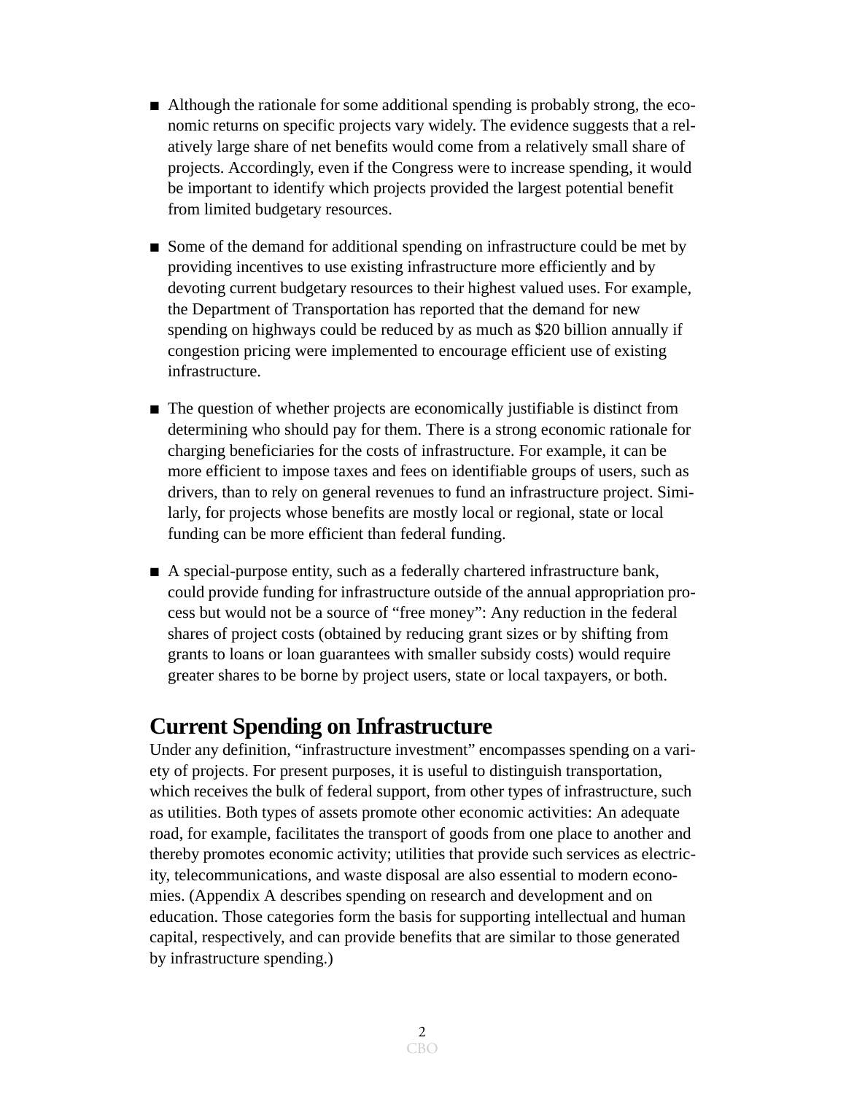- Although the rationale for some additional spending is probably strong, the economic returns on specific projects vary widely. The evidence suggests that a relatively large share of net benefits would come from a relatively small share of projects. Accordingly, even if the Congress were to increase spending, it would be important to identify which projects provided the largest potential benefit from limited budgetary resources.
- **B** Some of the demand for additional spending on infrastructure could be met by providing incentives to use existing infrastructure more efficiently and by devoting current budgetary resources to their highest valued uses. For example, the Department of Transportation has reported that the demand for new spending on highways could be reduced by as much as \$20 billion annually if congestion pricing were implemented to encourage efficient use of existing infrastructure.
- $\blacksquare$  The question of whether projects are economically justifiable is distinct from determining who should pay for them. There is a strong economic rationale for charging beneficiaries for the costs of infrastructure. For example, it can be more efficient to impose taxes and fees on identifiable groups of users, such as drivers, than to rely on general revenues to fund an infrastructure project. Similarly, for projects whose benefits are mostly local or regional, state or local funding can be more efficient than federal funding.
- A special-purpose entity, such as a federally chartered infrastructure bank, could provide funding for infrastructure outside of the annual appropriation process but would not be a source of "free money": Any reduction in the federal shares of project costs (obtained by reducing grant sizes or by shifting from grants to loans or loan guarantees with smaller subsidy costs) would require greater shares to be borne by project users, state or local taxpayers, or both.

# <span id="page-9-0"></span>**Current Spending on Infrastructure**

Under any definition, "infrastructure investment" encompasses spending on a variety of projects. For present purposes, it is useful to distinguish transportation, which receives the bulk of federal support, from other types of infrastructure, such as utilities. Both types of assets promote other economic activities: An adequate road, for example, facilitates the transport of goods from one place to another and thereby promotes economic activity; utilities that provide such services as electricity, telecommunications, and waste disposal are also essential to modern economies. [\(Appendix A](#page-44-1) describes spending on research and development and on education. Those categories form the basis for supporting intellectual and human capital, respectively, and can provide benefits that are similar to those generated by infrastructure spending.)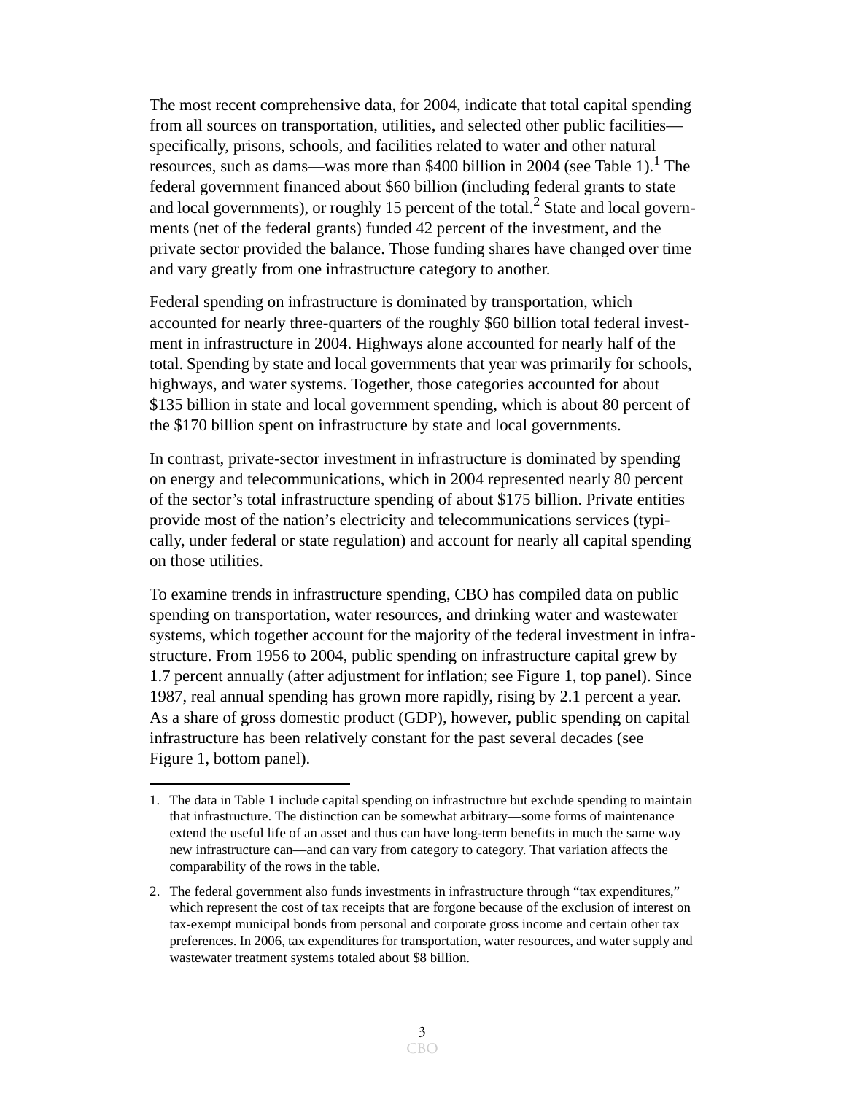The most recent comprehensive data, for 2004, indicate that total capital spending from all sources on transportation, utilities, and selected other public facilities specifically, prisons, schools, and facilities related to water and other natural resources, such as dams—was more than \$400 billion in 2004 (see [Table 1](#page-11-1)).<sup>1</sup> The federal government financed about \$60 billion (including federal grants to state and local governments), or roughly 15 percent of the total.<sup>2</sup> State and local governments (net of the federal grants) funded 42 percent of the investment, and the private sector provided the balance. Those funding shares have changed over time and vary greatly from one infrastructure category to another.

Federal spending on infrastructure is dominated by transportation, which accounted for nearly three-quarters of the roughly \$60 billion total federal investment in infrastructure in 2004. Highways alone accounted for nearly half of the total. Spending by state and local governments that year was primarily for schools, highways, and water systems. Together, those categories accounted for about \$135 billion in state and local government spending, which is about 80 percent of the \$170 billion spent on infrastructure by state and local governments.

In contrast, private-sector investment in infrastructure is dominated by spending on energy and telecommunications, which in 2004 represented nearly 80 percent of the sector's total infrastructure spending of about \$175 billion. Private entities provide most of the nation's electricity and telecommunications services (typically, under federal or state regulation) and account for nearly all capital spending on those utilities.

To examine trends in infrastructure spending, CBO has compiled data on public spending on transportation, water resources, and drinking water and wastewater systems, which together account for the majority of the federal investment in infrastructure. From 1956 to 2004, public spending on infrastructure capital grew by 1.7 percent annually (after adjustment for inflation; see [Figure 1](#page-13-1), top panel). Since 1987, real annual spending has grown more rapidly, rising by 2.1 percent a year. As a share of gross domestic product (GDP), however, public spending on capital infrastructure has been relatively constant for the past several decades (see [Figure 1,](#page-13-1) bottom panel).

<sup>1.</sup> The data in [Table 1](#page-11-1) include capital spending on infrastructure but exclude spending to maintain that infrastructure. The distinction can be somewhat arbitrary—some forms of maintenance extend the useful life of an asset and thus can have long-term benefits in much the same way new infrastructure can—and can vary from category to category. That variation affects the comparability of the rows in the table.

<sup>2.</sup> The federal government also funds investments in infrastructure through "tax expenditures," which represent the cost of tax receipts that are forgone because of the exclusion of interest on tax-exempt municipal bonds from personal and corporate gross income and certain other tax preferences. In 2006, tax expenditures for transportation, water resources, and water supply and wastewater treatment systems totaled about \$8 billion.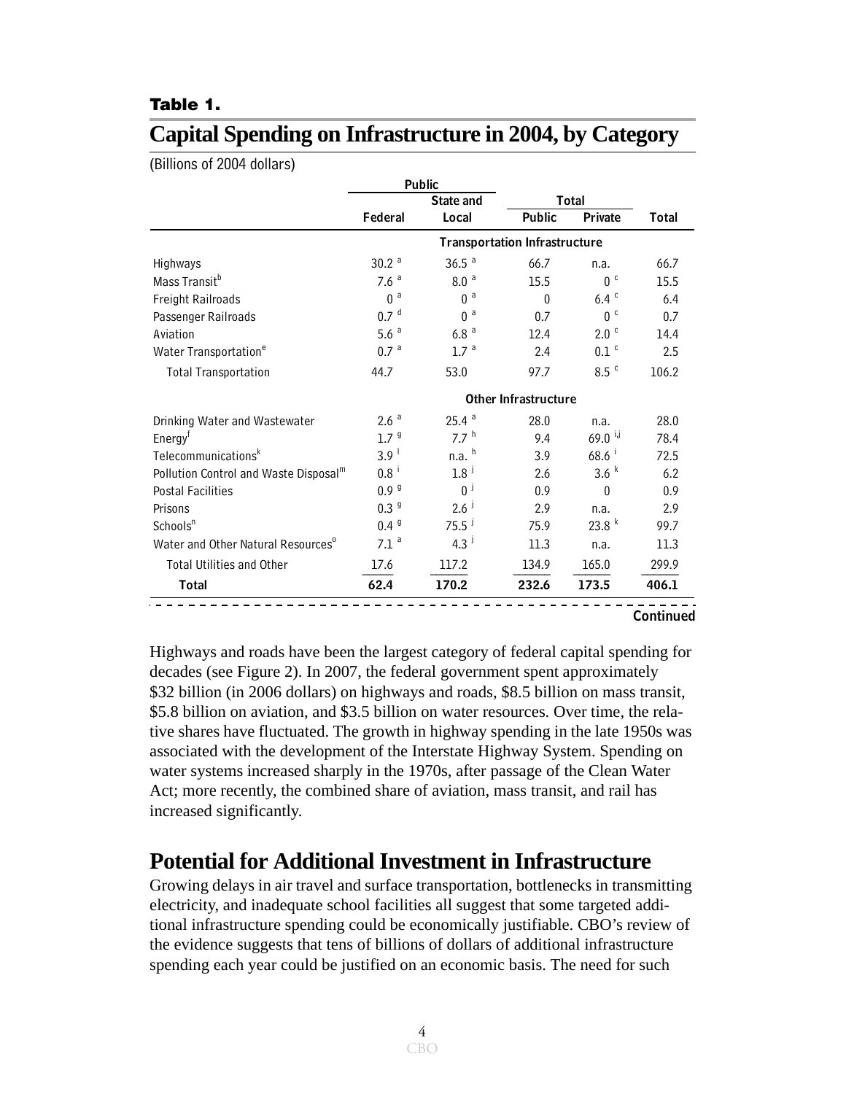#### <span id="page-11-1"></span>**Table 1.**

# <span id="page-11-2"></span>**Capital Spending on Infrastructure in 2004, by Category**

(Billions of 2004 dollars)

|                                                   |                             | <b>Public</b>       |                                      |                       |       |
|---------------------------------------------------|-----------------------------|---------------------|--------------------------------------|-----------------------|-------|
|                                                   |                             | <b>State and</b>    |                                      | <b>Total</b>          |       |
|                                                   | Federal                     | Local               | <b>Public</b>                        | <b>Private</b>        | Total |
|                                                   |                             |                     | <b>Transportation Infrastructure</b> |                       |       |
| Highways                                          | 30.2 <sup>a</sup>           | 36.5 <sup>a</sup>   | 66.7                                 | n.a.                  | 66.7  |
| Mass Transit <sup>b</sup>                         | 7.6 <sup>a</sup>            | 8.0 <sup>a</sup>    | 15.5                                 | 0 <sup>c</sup>        | 15.5  |
| Freight Railroads                                 | 0 <sup>a</sup>              | 0 <sup>a</sup>      | $\theta$                             | $6.4$ $c$             | 6.4   |
| Passenger Railroads                               | 0.7 <sup>d</sup>            | 0 <sup>a</sup>      | 0.7                                  | 0 <sup>c</sup>        | 0.7   |
| Aviation                                          | 5.6a                        | 6.8 <sup>a</sup>    | 12.4                                 | 2.0 <sup>c</sup>      | 14.4  |
| Water Transportation <sup>e</sup>                 | 0.7 <sup>a</sup>            | 1.7 <sup>a</sup>    | 2.4                                  | $0.1$ <sup>c</sup>    | 2.5   |
| <b>Total Transportation</b>                       | 44.7                        | 53.0                | 97.7                                 | $8.5$ <sup>c</sup>    | 106.2 |
|                                                   | <b>Other Infrastructure</b> |                     |                                      |                       |       |
| Drinking Water and Wastewater                     | 2.6 <sup>a</sup>            | 25.4 <sup>a</sup>   | 28.0                                 | n.a.                  | 28.0  |
| Energy <sup>t</sup>                               | 1.7 <sup>9</sup>            | 7.7h                | 9.4                                  | $69.0$ <sup>i,j</sup> | 78.4  |
| Telecommunications <sup>k</sup>                   | 3.9 <sup>1</sup>            | $n.a.$ <sup>h</sup> | 3.9                                  | $68.6$ <sup>i</sup>   | 72.5  |
| Pollution Control and Waste Disposal <sup>m</sup> | $0.8$ <sup>i</sup>          | 1.8 <sup>j</sup>    | 2.6                                  | 3.6 <sup>k</sup>      | 6.2   |
| <b>Postal Facilities</b>                          | 0.99                        | 0 <sup>j</sup>      | 0.9                                  | $\Omega$              | 0.9   |
| Prisons                                           | 0.3 <sup>9</sup>            | $2.6^{\circ}$       | 2.9                                  | n.a.                  | 2.9   |
| Schools <sup>n</sup>                              | 0.4 <sup>9</sup>            | $75.5^{\circ}$      | 75.9                                 | 23.8 <sup>k</sup>     | 99.7  |
| Water and Other Natural Resources <sup>o</sup>    | 7.1 <sup>a</sup>            | 4.3 <sup>1</sup>    | 11.3                                 | n.a.                  | 11.3  |
| <b>Total Utilities and Other</b>                  | 17.6                        | 117.2               | 134.9                                | 165.0                 | 299.9 |
| <b>Total</b>                                      | 62.4                        | 170.2               | 232.6                                | 173.5                 | 406.1 |
|                                                   |                             |                     |                                      |                       |       |

**Continued**

Highways and roads have been the largest category of federal capital spending for decades (see [Figure 2\)](#page-14-0). In 2007, the federal government spent approximately \$32 billion (in 2006 dollars) on highways and roads, \$8.5 billion on mass transit, \$5.8 billion on aviation, and \$3.5 billion on water resources. Over time, the relative shares have fluctuated. The growth in highway spending in the late 1950s was associated with the development of the Interstate Highway System. Spending on water systems increased sharply in the 1970s, after passage of the Clean Water Act; more recently, the combined share of aviation, mass transit, and rail has increased significantly.

# <span id="page-11-0"></span>**Potential for Additional Investment in Infrastructure**

Growing delays in air travel and surface transportation, bottlenecks in transmitting electricity, and inadequate school facilities all suggest that some targeted additional infrastructure spending could be economically justifiable. CBO's review of the evidence suggests that tens of billions of dollars of additional infrastructure spending each year could be justified on an economic basis. The need for such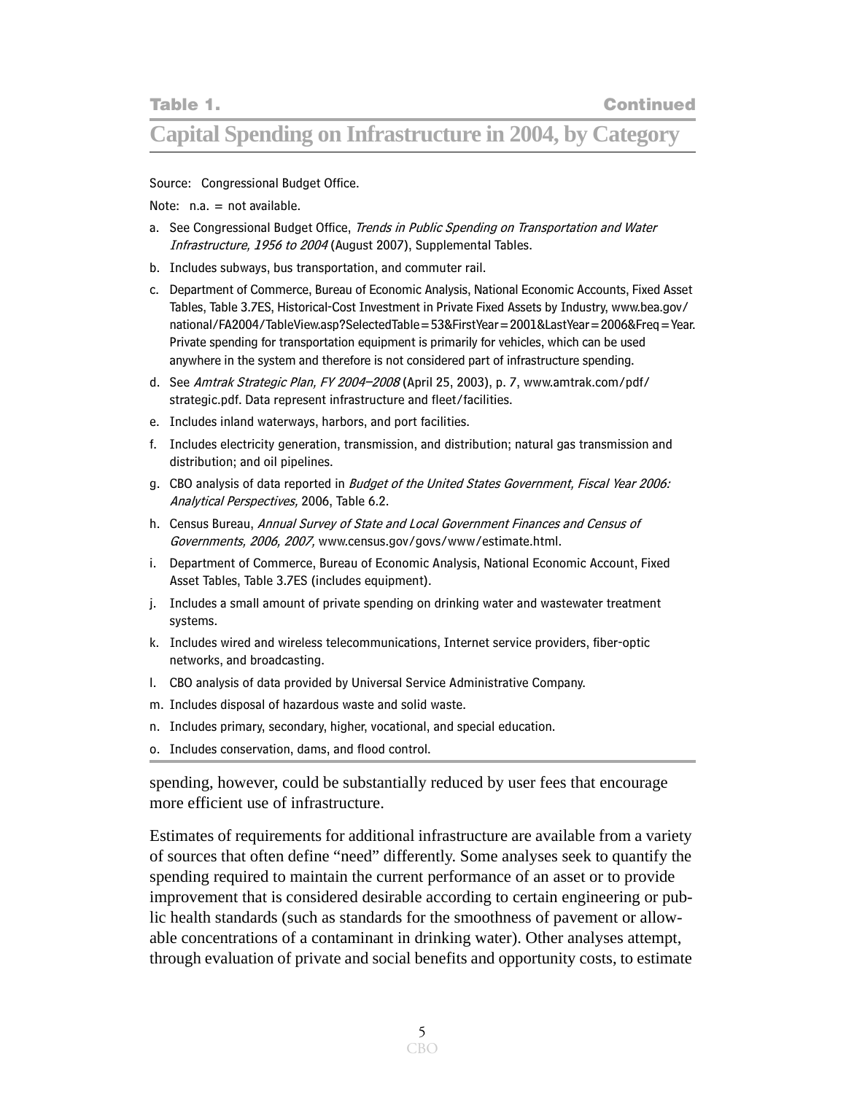# **Capital Spending on Infrastructure in 2004, by Category**

Source: Congressional Budget Office.

Note: n.a. = not available.

- a. See Congressional Budget Office, Trends in Public Spending on Transportation and Water Infrastructure, 1956 to 2004 (August 2007), Supplemental Tables.
- b. Includes subways, bus transportation, and commuter rail.
- c. Department of Commerce, Bureau of Economic Analysis, National Economic Accounts, Fixed Asset Tables, Table 3.7ES, Historical-Cost Investment in Private Fixed Assets by Industry, www.bea.gov/ national/FA2004/TableView.asp?SelectedTable=53&FirstYear=2001&LastYear=2006&Freq=Year. Private spending for transportation equipment is primarily for vehicles, which can be used anywhere in the system and therefore is not considered part of infrastructure spending.
- d. See Amtrak Strategic Plan, FY 2004-2008 (April 25, 2003), p. 7, www.amtrak.com/pdf/ strategic.pdf. Data represent infrastructure and fleet/facilities.
- e. Includes inland waterways, harbors, and port facilities.
- f. Includes electricity generation, transmission, and distribution; natural gas transmission and distribution; and oil pipelines.
- g. CBO analysis of data reported in Budget of the United States Government, Fiscal Year 2006: Analytical Perspectives, 2006, Table 6.2.
- h. Census Bureau, Annual Survey of State and Local Government Finances and Census of Governments, 2006, 2007, www.census.gov/govs/www/estimate.html.
- i. Department of Commerce, Bureau of Economic Analysis, National Economic Account, Fixed Asset Tables, Table 3.7ES (includes equipment).
- j. Includes a small amount of private spending on drinking water and wastewater treatment systems.
- k. Includes wired and wireless telecommunications, Internet service providers, fiber-optic networks, and broadcasting.
- l. CBO analysis of data provided by Universal Service Administrative Company.
- m. Includes disposal of hazardous waste and solid waste.
- n. Includes primary, secondary, higher, vocational, and special education.
- o. Includes conservation, dams, and flood control.

spending, however, could be substantially reduced by user fees that encourage more efficient use of infrastructure.

Estimates of requirements for additional infrastructure are available from a variety of sources that often define "need" differently. Some analyses seek to quantify the spending required to maintain the current performance of an asset or to provide improvement that is considered desirable according to certain engineering or public health standards (such as standards for the smoothness of pavement or allowable concentrations of a contaminant in drinking water). Other analyses attempt, through evaluation of private and social benefits and opportunity costs, to estimate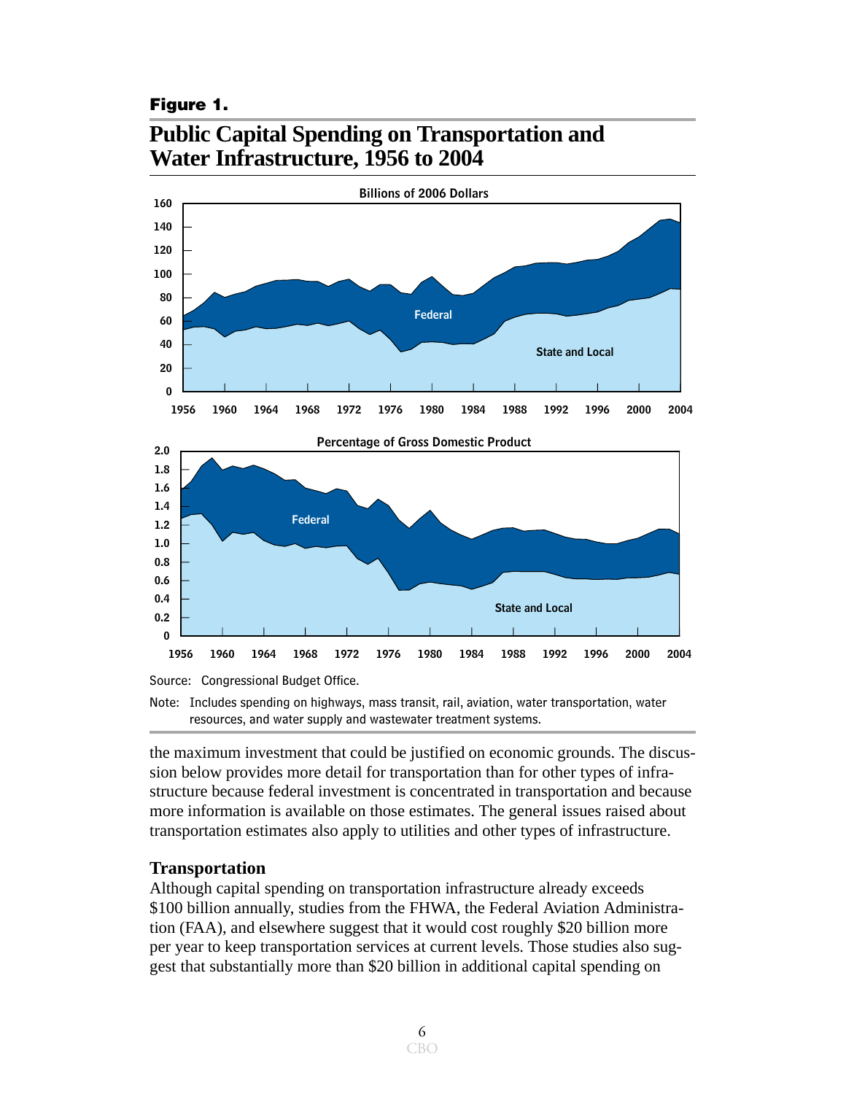# <span id="page-13-2"></span><span id="page-13-1"></span>**Figure 1. Public Capital Spending on Transportation and Water Infrastructure, 1956 to 2004**





the maximum investment that could be justified on economic grounds. The discussion below provides more detail for transportation than for other types of infrastructure because federal investment is concentrated in transportation and because more information is available on those estimates. The general issues raised about transportation estimates also apply to utilities and other types of infrastructure.

### <span id="page-13-0"></span>**Transportation**

Although capital spending on transportation infrastructure already exceeds \$100 billion annually, studies from the FHWA, the Federal Aviation Administration (FAA), and elsewhere suggest that it would cost roughly \$20 billion more per year to keep transportation services at current levels. Those studies also suggest that substantially more than \$20 billion in additional capital spending on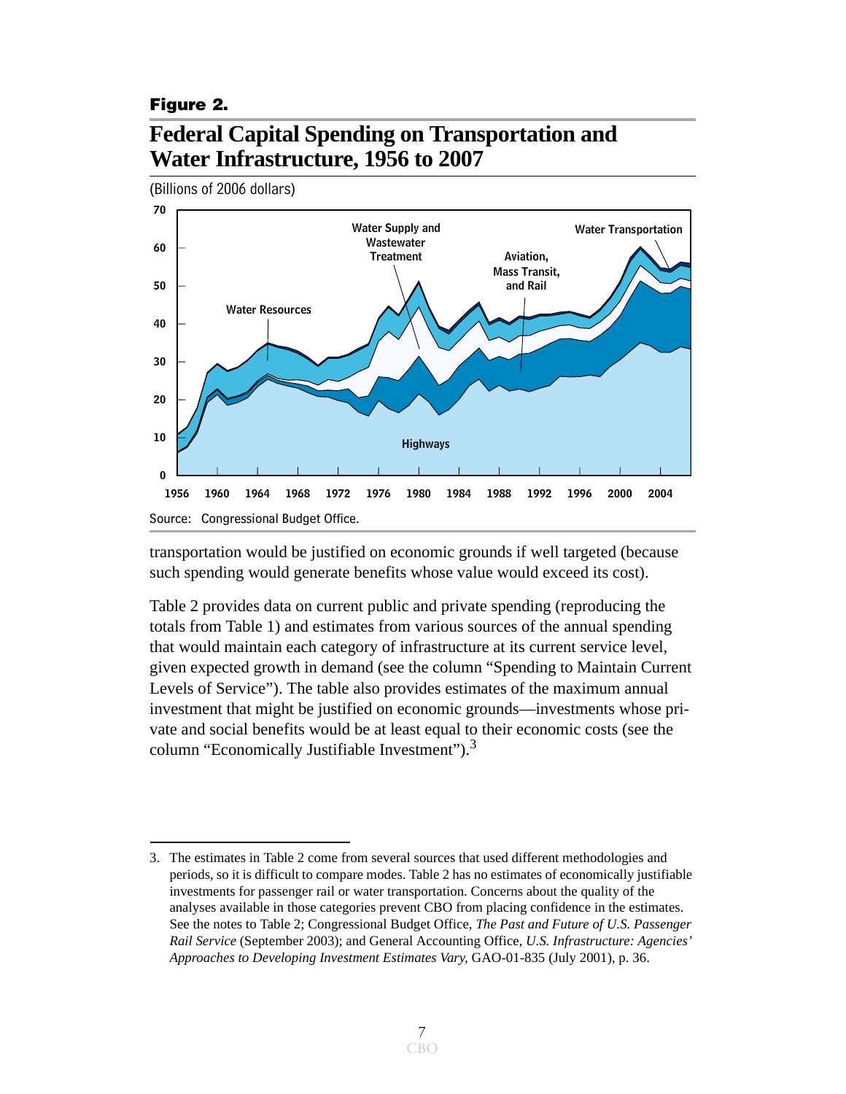#### <span id="page-14-0"></span>**Figure 2.**

# <span id="page-14-1"></span>**Federal Capital Spending on Transportation and Water Infrastructure, 1956 to 2007**



transportation would be justified on economic grounds if well targeted (because such spending would generate benefits whose value would exceed its cost).

[Table 2](#page-15-0) provides data on current public and private spending (reproducing the totals from [Table 1\)](#page-11-1) and estimates from various sources of the annual spending that would maintain each category of infrastructure at its current service level, given expected growth in demand (see the column "Spending to Maintain Current Levels of Service"). The table also provides estimates of the maximum annual investment that might be justified on economic grounds—investments whose private and social benefits would be at least equal to their economic costs (see the column "Economically Justifiable Investment").<sup>3</sup>

<sup>3.</sup> The estimates in [Table 2](#page-15-0) come from several sources that used different methodologies and periods, so it is difficult to compare modes. Table 2 has no estimates of economically justifiable investments for passenger rail or water transportation. Concerns about the quality of the analyses available in those categories prevent CBO from placing confidence in the estimates. See the notes to Table 2; Congressional Budget Office, *The Past and Future of U.S. Passenger Rail Service* (September 2003); and General Accounting Office, *U.S. Infrastructure: Agencies' Approaches to Developing Investment Estimates Vary,* GAO-01-835 (July 2001), p. 36.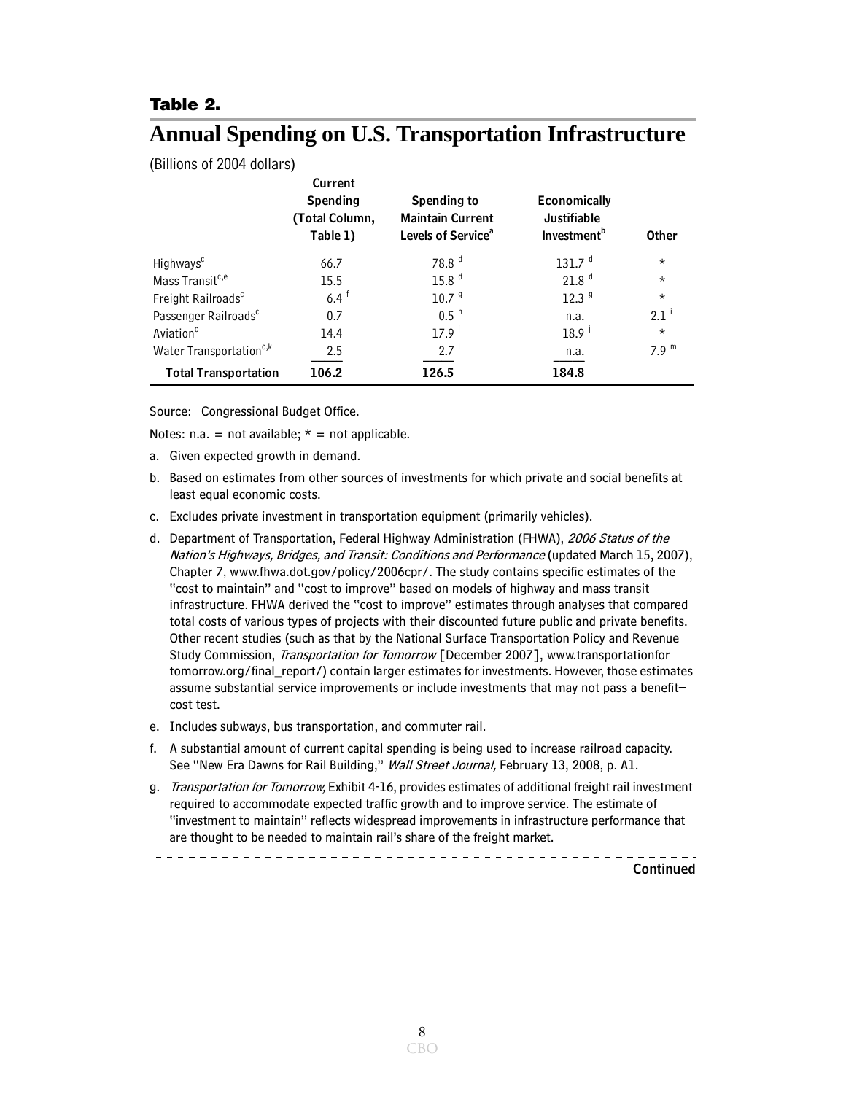#### <span id="page-15-0"></span>**Table 2.**

| (Billions of 2004 dollars)          |                                                                 |                                                                          |                                                               |                    |
|-------------------------------------|-----------------------------------------------------------------|--------------------------------------------------------------------------|---------------------------------------------------------------|--------------------|
|                                     | <b>Current</b><br><b>Spending</b><br>(Total Column,<br>Table 1) | Spending to<br><b>Maintain Current</b><br>Levels of Service <sup>a</sup> | <b>Economically</b><br>Justifiable<br>Investment <sup>b</sup> | <b>Other</b>       |
| Highways <sup>c</sup>               | 66.7                                                            | 78.8 <sup>d</sup>                                                        | 131.7 <sup>d</sup>                                            | $^\star$           |
| Mass Transit <sup>c,e</sup>         | 15.5                                                            | 15.8 <sup>d</sup>                                                        | 21.8 <sup>d</sup>                                             | $\star$            |
| Freight Railroads <sup>c</sup>      | $6.4$ <sup>f</sup>                                              | 10.7 <sup>9</sup>                                                        | 12.3 <sup>9</sup>                                             | $\star$            |
| Passenger Railroads <sup>c</sup>    | 0.7                                                             | 0.5 <sup>h</sup>                                                         | n.a.                                                          | $2.1$ <sup>i</sup> |
| Aviation <sup>c</sup>               | 14.4                                                            | 17.9 <sup>1</sup>                                                        | 18.9 <sup>1</sup>                                             | $\star$            |
| Water Transportation <sup>c,k</sup> | 2.5                                                             | $2.7^{\circ}$                                                            | n.a.                                                          | 79 <sup>m</sup>    |
| <b>Total Transportation</b>         | 106.2                                                           | 126.5                                                                    | 184.8                                                         |                    |

## <span id="page-15-1"></span>**Annual Spending on U.S. Transportation Infrastructure**

Source: Congressional Budget Office.

Notes: n.a. = not available;  $* =$  not applicable.

- a. Given expected growth in demand.
- b. Based on estimates from other sources of investments for which private and social benefits at least equal economic costs.
- c. Excludes private investment in transportation equipment (primarily vehicles).
- d. Department of Transportation, Federal Highway Administration (FHWA), 2006 Status of the Nation's Highways, Bridges, and Transit: Conditions and Performance (updated March 15, 2007), Chapter 7, www.fhwa.dot.gov/policy/2006cpr/. The study contains specific estimates of the "cost to maintain" and "cost to improve" based on models of highway and mass transit infrastructure. FHWA derived the "cost to improve" estimates through analyses that compared total costs of various types of projects with their discounted future public and private benefits. Other recent studies (such as that by the National Surface Transportation Policy and Revenue Study Commission, *Transportation for Tomorrow* [December 2007], www.transportationfor tomorrow.org/final\_report/) contain larger estimates for investments. However, those estimates assume substantial service improvements or include investments that may not pass a benefit– cost test.
- e. Includes subways, bus transportation, and commuter rail.
- f. A substantial amount of current capital spending is being used to increase railroad capacity. See "New Era Dawns for Rail Building," Wall Street Journal, February 13, 2008, p. A1.
- g. Transportation for Tomorrow, Exhibit 4-16, provides estimates of additional freight rail investment required to accommodate expected traffic growth and to improve service. The estimate of "investment to maintain" reflects widespread improvements in infrastructure performance that are thought to be needed to maintain rail's share of the freight market.

**Continued**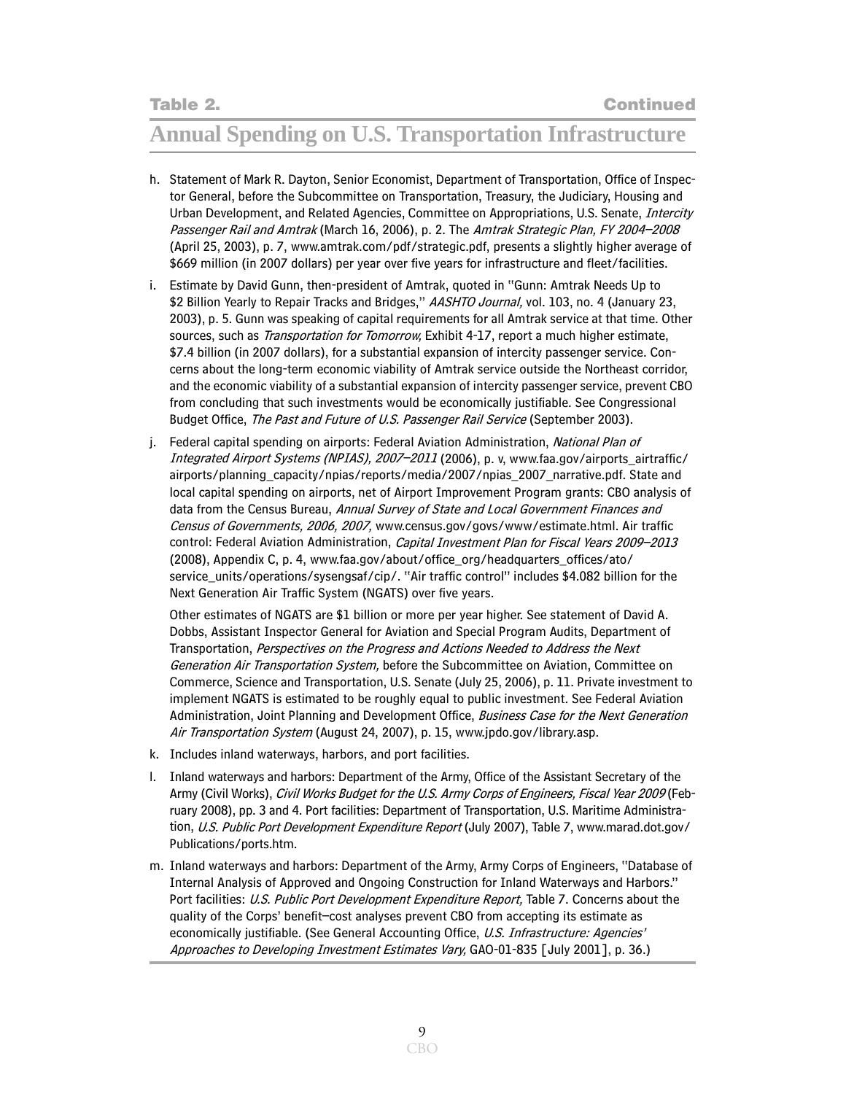# **Annual Spending on U.S. Transportation Infrastructure**

- h. Statement of Mark R. Dayton, Senior Economist, Department of Transportation, Office of Inspector General, before the Subcommittee on Transportation, Treasury, the Judiciary, Housing and Urban Development, and Related Agencies, Committee on Appropriations, U.S. Senate, Intercity Passenger Rail and Amtrak (March 16, 2006), p. 2. The Amtrak Strategic Plan, FY 2004–2008 (April 25, 2003), p. 7, www.amtrak.com/pdf/strategic.pdf, presents a slightly higher average of \$669 million (in 2007 dollars) per year over five years for infrastructure and fleet/facilities.
- i. Estimate by David Gunn, then-president of Amtrak, quoted in "Gunn: Amtrak Needs Up to \$2 Billion Yearly to Repair Tracks and Bridges," AASHTO Journal, vol. 103, no. 4 (January 23, 2003), p. 5. Gunn was speaking of capital requirements for all Amtrak service at that time. Other sources, such as *Transportation for Tomorrow*, Exhibit 4-17, report a much higher estimate, \$7.4 billion (in 2007 dollars), for a substantial expansion of intercity passenger service. Concerns about the long-term economic viability of Amtrak service outside the Northeast corridor, and the economic viability of a substantial expansion of intercity passenger service, prevent CBO from concluding that such investments would be economically justifiable. See Congressional Budget Office, The Past and Future of U.S. Passenger Rail Service (September 2003).
- j. Federal capital spending on airports: Federal Aviation Administration, National Plan of Integrated Airport Systems (NPIAS), 2007–2011 (2006), p. v, www.faa.gov/airports\_airtraffic/ airports/planning\_capacity/npias/reports/media/2007/npias\_2007\_narrative.pdf. State and local capital spending on airports, net of Airport Improvement Program grants: CBO analysis of data from the Census Bureau, Annual Survey of State and Local Government Finances and Census of Governments, 2006, 2007, www.census.gov/govs/www/estimate.html. Air traffic control: Federal Aviation Administration, *Capital Investment Plan for Fiscal Years 2009–2013* (2008), Appendix C, p. 4, www.faa.gov/about/office\_org/headquarters\_offices/ato/ service\_units/operations/sysengsaf/cip/. "Air traffic control" includes \$4.082 billion for the Next Generation Air Traffic System (NGATS) over five years.

Other estimates of NGATS are \$1 billion or more per year higher. See statement of David A. Dobbs, Assistant Inspector General for Aviation and Special Program Audits, Department of Transportation, Perspectives on the Progress and Actions Needed to Address the Next Generation Air Transportation System, before the Subcommittee on Aviation, Committee on Commerce, Science and Transportation, U.S. Senate (July 25, 2006), p. 11. Private investment to implement NGATS is estimated to be roughly equal to public investment. See Federal Aviation Administration, Joint Planning and Development Office, Business Case for the Next Generation Air Transportation System (August 24, 2007), p. 15, www.jpdo.gov/library.asp.

- k. Includes inland waterways, harbors, and port facilities.
- l. Inland waterways and harbors: Department of the Army, Office of the Assistant Secretary of the Army (Civil Works), Civil Works Budget for the U.S. Army Corps of Engineers, Fiscal Year 2009 (February 2008), pp. 3 and 4. Port facilities: Department of Transportation, U.S. Maritime Administration, U.S. Public Port Development Expenditure Report (July 2007), Table 7, www.marad.dot.gov/ Publications/ports.htm.
- m. Inland waterways and harbors: Department of the Army, Army Corps of Engineers, "Database of Internal Analysis of Approved and Ongoing Construction for Inland Waterways and Harbors." Port facilities: U.S. Public Port Development Expenditure Report, Table 7. Concerns about the quality of the Corps' benefit–cost analyses prevent CBO from accepting its estimate as economically justifiable. (See General Accounting Office, U.S. Infrastructure: Agencies' Approaches to Developing Investment Estimates Vary, GAO-01-835 [July 2001], p. 36.)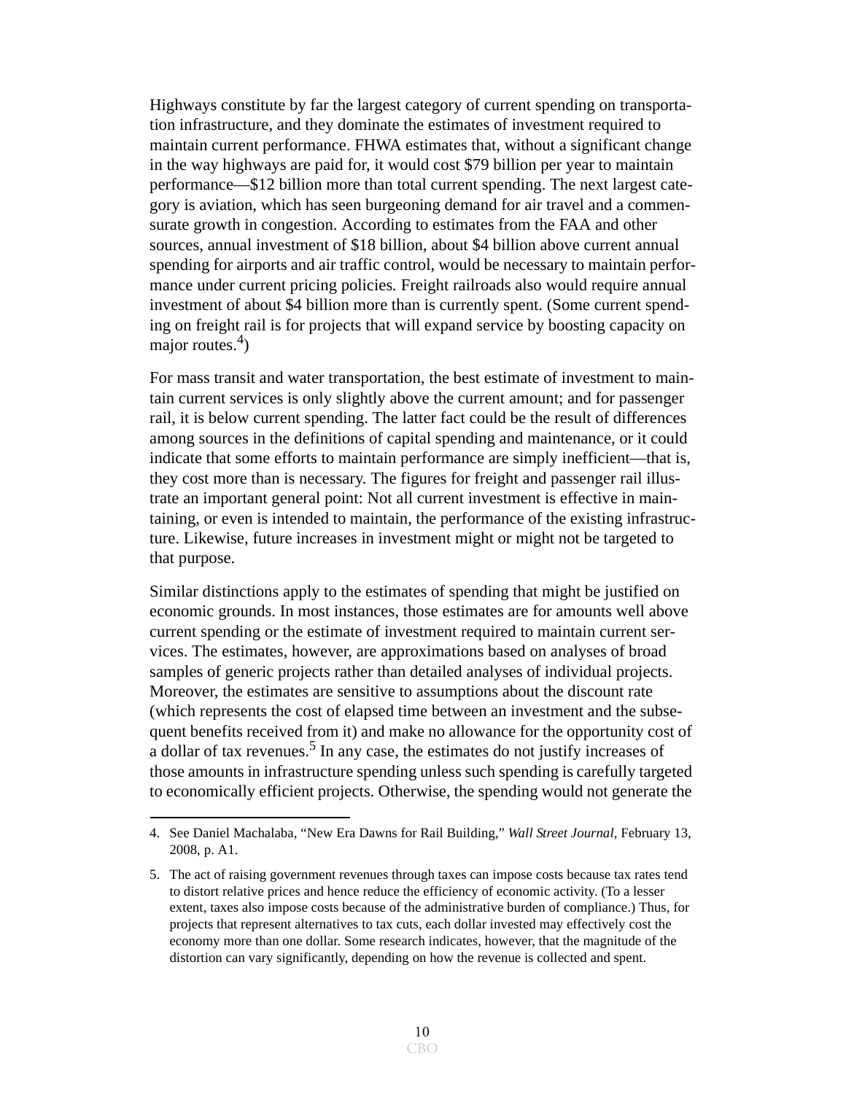Highways constitute by far the largest category of current spending on transportation infrastructure, and they dominate the estimates of investment required to maintain current performance. FHWA estimates that, without a significant change in the way highways are paid for, it would cost \$79 billion per year to maintain performance—\$12 billion more than total current spending. The next largest category is aviation, which has seen burgeoning demand for air travel and a commensurate growth in congestion. According to estimates from the FAA and other sources, annual investment of \$18 billion, about \$4 billion above current annual spending for airports and air traffic control, would be necessary to maintain performance under current pricing policies*.* Freight railroads also would require annual investment of about \$4 billion more than is currently spent. (Some current spending on freight rail is for projects that will expand service by boosting capacity on major routes. $4$ )

For mass transit and water transportation, the best estimate of investment to maintain current services is only slightly above the current amount; and for passenger rail, it is below current spending. The latter fact could be the result of differences among sources in the definitions of capital spending and maintenance, or it could indicate that some efforts to maintain performance are simply inefficient—that is, they cost more than is necessary. The figures for freight and passenger rail illustrate an important general point: Not all current investment is effective in maintaining, or even is intended to maintain, the performance of the existing infrastructure. Likewise, future increases in investment might or might not be targeted to that purpose.

Similar distinctions apply to the estimates of spending that might be justified on economic grounds. In most instances, those estimates are for amounts well above current spending or the estimate of investment required to maintain current services. The estimates, however, are approximations based on analyses of broad samples of generic projects rather than detailed analyses of individual projects. Moreover, the estimates are sensitive to assumptions about the discount rate (which represents the cost of elapsed time between an investment and the subsequent benefits received from it) and make no allowance for the opportunity cost of a dollar of tax revenues.<sup>5</sup> In any case, the estimates do not justify increases of those amounts in infrastructure spending unless such spending is carefully targeted to economically efficient projects. Otherwise, the spending would not generate the

<sup>4.</sup> See Daniel Machalaba, "New Era Dawns for Rail Building," *Wall Street Journal*, February 13, 2008, p. A1.

<sup>5.</sup> The act of raising government revenues through taxes can impose costs because tax rates tend to distort relative prices and hence reduce the efficiency of economic activity. (To a lesser extent, taxes also impose costs because of the administrative burden of compliance.) Thus, for projects that represent alternatives to tax cuts, each dollar invested may effectively cost the economy more than one dollar. Some research indicates, however, that the magnitude of the distortion can vary significantly, depending on how the revenue is collected and spent.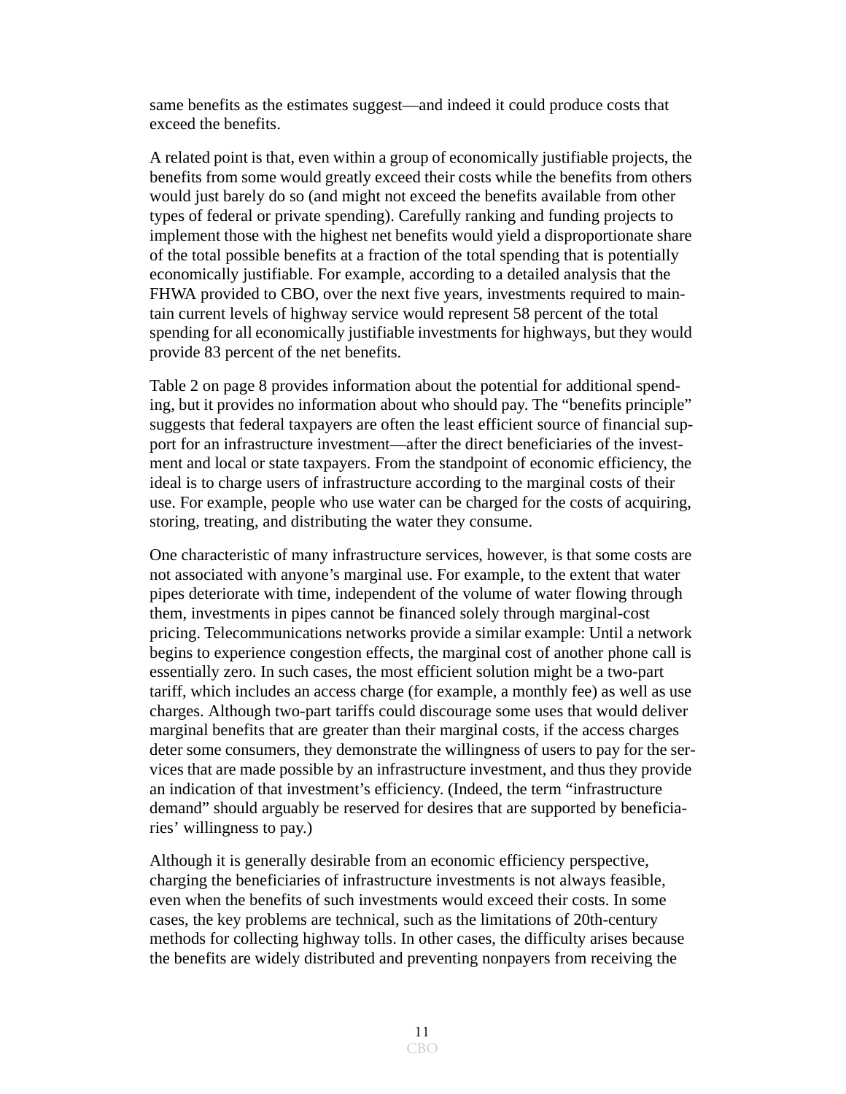same benefits as the estimates suggest—and indeed it could produce costs that exceed the benefits.

A related point is that, even within a group of economically justifiable projects, the benefits from some would greatly exceed their costs while the benefits from others would just barely do so (and might not exceed the benefits available from other types of federal or private spending). Carefully ranking and funding projects to implement those with the highest net benefits would yield a disproportionate share of the total possible benefits at a fraction of the total spending that is potentially economically justifiable. For example, according to a detailed analysis that the FHWA provided to CBO, over the next five years, investments required to maintain current levels of highway service would represent 58 percent of the total spending for all economically justifiable investments for highways, but they would provide 83 percent of the net benefits.

[Table 2 on page 8](#page-15-0) provides information about the potential for additional spending, but it provides no information about who should pay. The "benefits principle" suggests that federal taxpayers are often the least efficient source of financial support for an infrastructure investment—after the direct beneficiaries of the investment and local or state taxpayers. From the standpoint of economic efficiency, the ideal is to charge users of infrastructure according to the marginal costs of their use. For example, people who use water can be charged for the costs of acquiring, storing, treating, and distributing the water they consume.

One characteristic of many infrastructure services, however, is that some costs are not associated with anyone's marginal use. For example, to the extent that water pipes deteriorate with time, independent of the volume of water flowing through them, investments in pipes cannot be financed solely through marginal-cost pricing. Telecommunications networks provide a similar example: Until a network begins to experience congestion effects, the marginal cost of another phone call is essentially zero. In such cases, the most efficient solution might be a two-part tariff, which includes an access charge (for example, a monthly fee) as well as use charges. Although two-part tariffs could discourage some uses that would deliver marginal benefits that are greater than their marginal costs, if the access charges deter some consumers, they demonstrate the willingness of users to pay for the services that are made possible by an infrastructure investment, and thus they provide an indication of that investment's efficiency. (Indeed, the term "infrastructure demand" should arguably be reserved for desires that are supported by beneficiaries' willingness to pay.)

Although it is generally desirable from an economic efficiency perspective, charging the beneficiaries of infrastructure investments is not always feasible, even when the benefits of such investments would exceed their costs. In some cases, the key problems are technical, such as the limitations of 20th-century methods for collecting highway tolls. In other cases, the difficulty arises because the benefits are widely distributed and preventing nonpayers from receiving the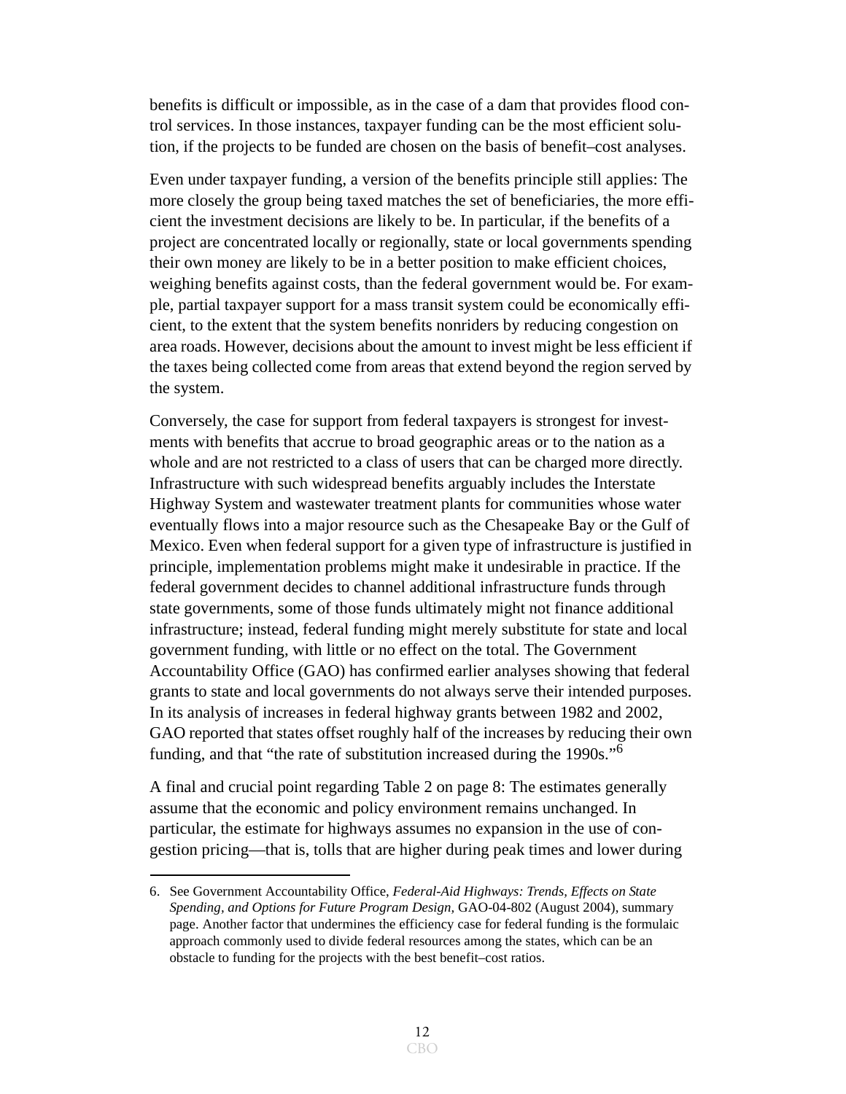benefits is difficult or impossible, as in the case of a dam that provides flood control services. In those instances, taxpayer funding can be the most efficient solution, if the projects to be funded are chosen on the basis of benefit–cost analyses.

Even under taxpayer funding, a version of the benefits principle still applies: The more closely the group being taxed matches the set of beneficiaries, the more efficient the investment decisions are likely to be. In particular, if the benefits of a project are concentrated locally or regionally, state or local governments spending their own money are likely to be in a better position to make efficient choices, weighing benefits against costs, than the federal government would be. For example, partial taxpayer support for a mass transit system could be economically efficient, to the extent that the system benefits nonriders by reducing congestion on area roads. However, decisions about the amount to invest might be less efficient if the taxes being collected come from areas that extend beyond the region served by the system.

Conversely, the case for support from federal taxpayers is strongest for investments with benefits that accrue to broad geographic areas or to the nation as a whole and are not restricted to a class of users that can be charged more directly. Infrastructure with such widespread benefits arguably includes the Interstate Highway System and wastewater treatment plants for communities whose water eventually flows into a major resource such as the Chesapeake Bay or the Gulf of Mexico. Even when federal support for a given type of infrastructure is justified in principle, implementation problems might make it undesirable in practice. If the federal government decides to channel additional infrastructure funds through state governments, some of those funds ultimately might not finance additional infrastructure; instead, federal funding might merely substitute for state and local government funding, with little or no effect on the total. The Government Accountability Office (GAO) has confirmed earlier analyses showing that federal grants to state and local governments do not always serve their intended purposes. In its analysis of increases in federal highway grants between 1982 and 2002, GAO reported that states offset roughly half of the increases by reducing their own funding, and that "the rate of substitution increased during the 1990s."<sup>6</sup>

A final and crucial point regarding [Table 2 on page 8:](#page-15-0) The estimates generally assume that the economic and policy environment remains unchanged. In particular, the estimate for highways assumes no expansion in the use of congestion pricing—that is, tolls that are higher during peak times and lower during

<sup>6.</sup> See Government Accountability Office, *Federal-Aid Highways: Trends, Effects on State Spending, and Options for Future Program Design,* GAO-04-802 (August 2004), summary page. Another factor that undermines the efficiency case for federal funding is the formulaic approach commonly used to divide federal resources among the states, which can be an obstacle to funding for the projects with the best benefit–cost ratios.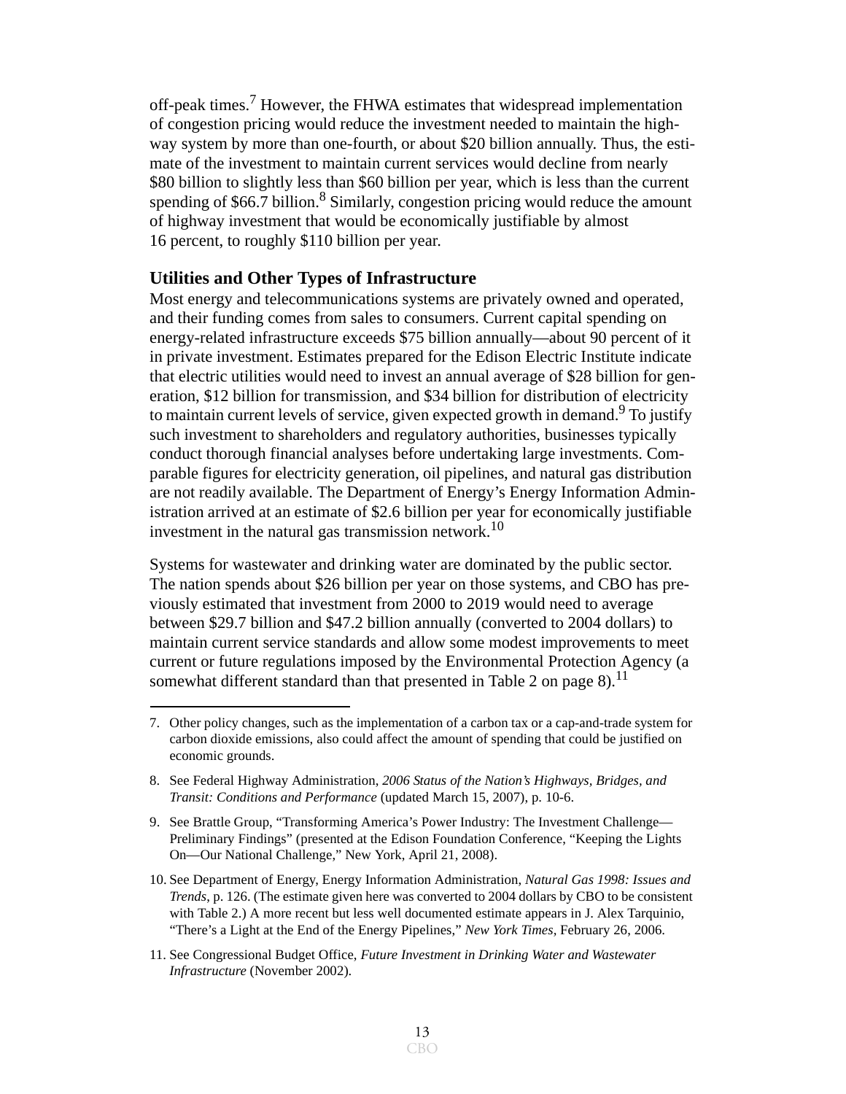off-peak times.7 However, the FHWA estimates that widespread implementation of congestion pricing would reduce the investment needed to maintain the highway system by more than one-fourth, or about \$20 billion annually. Thus, the estimate of the investment to maintain current services would decline from nearly \$80 billion to slightly less than \$60 billion per year, which is less than the current spending of  $$66.7$  billion.<sup>8</sup> Similarly, congestion pricing would reduce the amount of highway investment that would be economically justifiable by almost 16 percent, to roughly \$110 billion per year.

#### <span id="page-20-0"></span>**Utilities and Other Types of Infrastructure**

Most energy and telecommunications systems are privately owned and operated, and their funding comes from sales to consumers. Current capital spending on energy-related infrastructure exceeds \$75 billion annually—about 90 percent of it in private investment. Estimates prepared for the Edison Electric Institute indicate that electric utilities would need to invest an annual average of \$28 billion for generation, \$12 billion for transmission, and \$34 billion for distribution of electricity to maintain current levels of service, given expected growth in demand.<sup>9</sup> To justify such investment to shareholders and regulatory authorities, businesses typically conduct thorough financial analyses before undertaking large investments. Comparable figures for electricity generation, oil pipelines, and natural gas distribution are not readily available. The Department of Energy's Energy Information Administration arrived at an estimate of \$2.6 billion per year for economically justifiable investment in the natural gas transmission network.<sup>10</sup>

Systems for wastewater and drinking water are dominated by the public sector. The nation spends about \$26 billion per year on those systems, and CBO has previously estimated that investment from 2000 to 2019 would need to average between \$29.7 billion and \$47.2 billion annually (converted to 2004 dollars) to maintain current service standards and allow some modest improvements to meet current or future regulations imposed by the Environmental Protection Agency (a somewhat different standard than that presented in [Table 2 on page 8\)](#page-15-0).<sup>11</sup>

10. See Department of Energy, Energy Information Administration, *Natural Gas 1998: Issues and Trends*, p. 126. (The estimate given here was converted to 2004 dollars by CBO to be consistent with [Table 2.](#page-15-0)) A more recent but less well documented estimate appears in J. Alex Tarquinio, "There's a Light at the End of the Energy Pipelines," *New York Times,* February 26, 2006.

<sup>7.</sup> Other policy changes, such as the implementation of a carbon tax or a cap-and-trade system for carbon dioxide emissions, also could affect the amount of spending that could be justified on economic grounds.

<sup>8.</sup> See Federal Highway Administration, *2006 Status of the Nation's Highways, Bridges, and Transit: Conditions and Performance* (updated March 15, 2007), p. 10-6.

<sup>9.</sup> See Brattle Group, "Transforming America's Power Industry: The Investment Challenge— Preliminary Findings" (presented at the Edison Foundation Conference, "Keeping the Lights On—Our National Challenge," New York, April 21, 2008).

<sup>11.</sup> See Congressional Budget Office, *Future Investment in Drinking Water and Wastewater Infrastructure* (November 2002).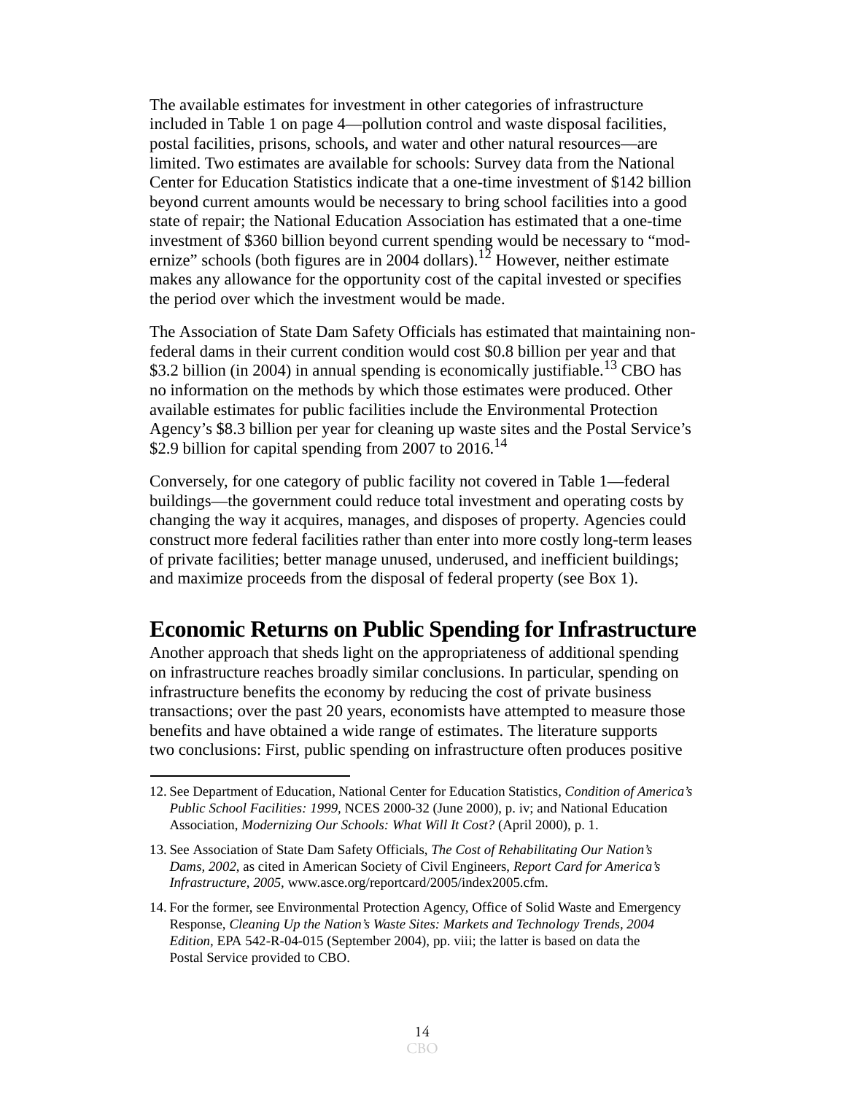The available estimates for investment in other categories of infrastructure included in [Table 1 on page 4](#page-11-1)—pollution control and waste disposal facilities, postal facilities, prisons, schools, and water and other natural resources—are limited. Two estimates are available for schools: Survey data from the National Center for Education Statistics indicate that a one-time investment of \$142 billion beyond current amounts would be necessary to bring school facilities into a good state of repair; the National Education Association has estimated that a one-time investment of \$360 billion beyond current spending would be necessary to "modernize" schools (both figures are in 2004 dollars).<sup>12</sup> However, neither estimate makes any allowance for the opportunity cost of the capital invested or specifies the period over which the investment would be made.

The Association of State Dam Safety Officials has estimated that maintaining nonfederal dams in their current condition would cost \$0.8 billion per year and that \$3.2 billion (in 2004) in annual spending is economically justifiable.<sup>13</sup> CBO has no information on the methods by which those estimates were produced. Other available estimates for public facilities include the Environmental Protection Agency's \$8.3 billion per year for cleaning up waste sites and the Postal Service's \$2.9 billion for capital spending from 2007 to  $2016$ .<sup>14</sup>

Conversely, for one category of public facility not covered in [Table 1—](#page-11-1)federal buildings—the government could reduce total investment and operating costs by changing the way it acquires, manages, and disposes of property. Agencies could construct more federal facilities rather than enter into more costly long-term leases of private facilities; better manage unused, underused, and inefficient buildings; and maximize proceeds from the disposal of federal property (see [Box 1](#page-23-0)).

## <span id="page-21-0"></span>**Economic Returns on Public Spending for Infrastructure**

Another approach that sheds light on the appropriateness of additional spending on infrastructure reaches broadly similar conclusions. In particular, spending on infrastructure benefits the economy by reducing the cost of private business transactions; over the past 20 years, economists have attempted to measure those benefits and have obtained a wide range of estimates. The literature supports two conclusions: First, public spending on infrastructure often produces positive

<sup>12.</sup> See Department of Education, National Center for Education Statistics, *Condition of America's Public School Facilities: 1999,* NCES 2000-32 (June 2000), p. iv; and National Education Association, *Modernizing Our Schools: What Will It Cost?* (April 2000), p. 1.

<sup>13.</sup> See Association of State Dam Safety Officials, *The Cost of Rehabilitating Our Nation's Dams, 2002*, as cited in American Society of Civil Engineers, *Report Card for America's Infrastructure, 2005,* www.asce.org/reportcard/2005/index2005.cfm.

<sup>14.</sup> For the former, see Environmental Protection Agency, Office of Solid Waste and Emergency Response, *Cleaning Up the Nation's Waste Sites: Markets and Technology Trends, 2004 Edition,* EPA 542-R-04-015 (September 2004), pp. viii; the latter is based on data the Postal Service provided to CBO.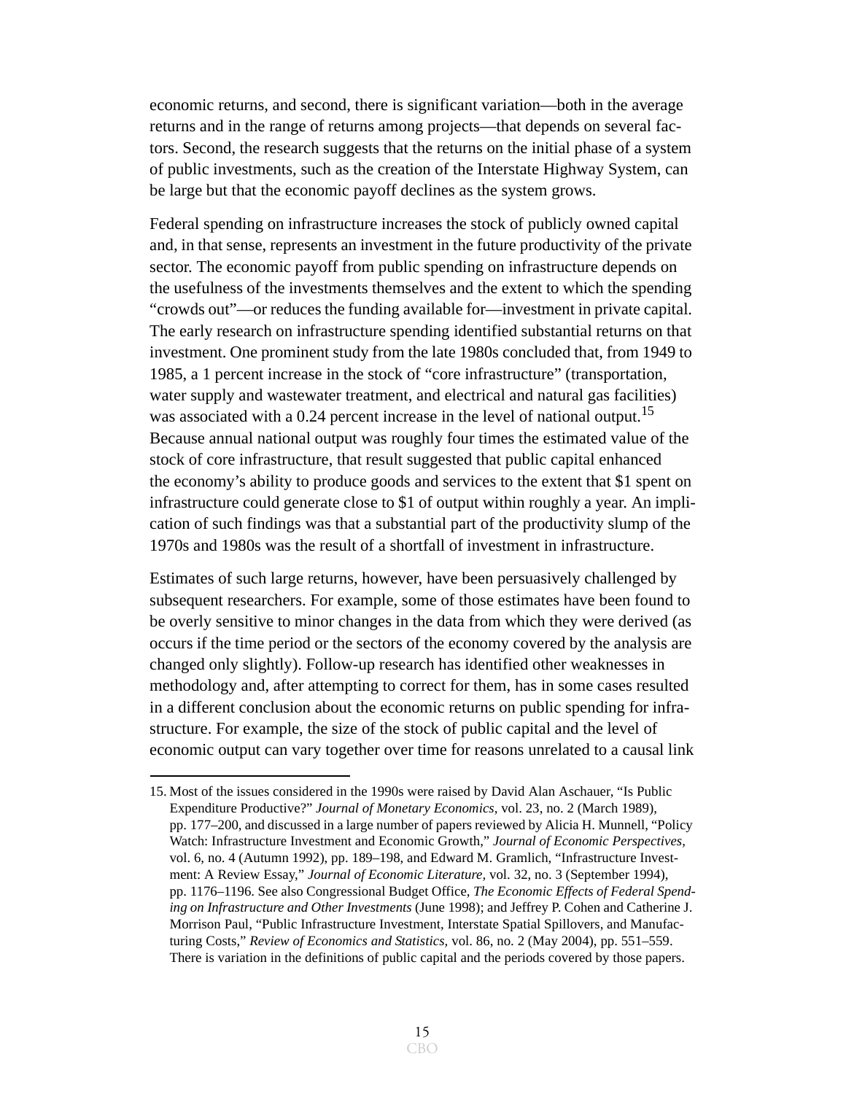economic returns, and second, there is significant variation—both in the average returns and in the range of returns among projects—that depends on several factors. Second, the research suggests that the returns on the initial phase of a system of public investments, such as the creation of the Interstate Highway System, can be large but that the economic payoff declines as the system grows.

Federal spending on infrastructure increases the stock of publicly owned capital and, in that sense, represents an investment in the future productivity of the private sector. The economic payoff from public spending on infrastructure depends on the usefulness of the investments themselves and the extent to which the spending "crowds out"—or reduces the funding available for—investment in private capital. The early research on infrastructure spending identified substantial returns on that investment. One prominent study from the late 1980s concluded that, from 1949 to 1985, a 1 percent increase in the stock of "core infrastructure" (transportation, water supply and wastewater treatment, and electrical and natural gas facilities) was associated with a 0.24 percent increase in the level of national output.<sup>15</sup> Because annual national output was roughly four times the estimated value of the stock of core infrastructure, that result suggested that public capital enhanced the economy's ability to produce goods and services to the extent that \$1 spent on infrastructure could generate close to \$1 of output within roughly a year. An implication of such findings was that a substantial part of the productivity slump of the 1970s and 1980s was the result of a shortfall of investment in infrastructure.

Estimates of such large returns, however, have been persuasively challenged by subsequent researchers. For example, some of those estimates have been found to be overly sensitive to minor changes in the data from which they were derived (as occurs if the time period or the sectors of the economy covered by the analysis are changed only slightly). Follow-up research has identified other weaknesses in methodology and, after attempting to correct for them, has in some cases resulted in a different conclusion about the economic returns on public spending for infrastructure. For example, the size of the stock of public capital and the level of economic output can vary together over time for reasons unrelated to a causal link

<sup>15.</sup> Most of the issues considered in the 1990s were raised by David Alan Aschauer, "Is Public Expenditure Productive?" *Journal of Monetary Economics,* vol. 23, no. 2 (March 1989), pp. 177–200, and discussed in a large number of papers reviewed by Alicia H. Munnell, "Policy Watch: Infrastructure Investment and Economic Growth," *Journal of Economic Perspectives,* vol. 6, no. 4 (Autumn 1992), pp. 189–198, and Edward M. Gramlich, "Infrastructure Investment: A Review Essay," *Journal of Economic Literature,* vol. 32, no. 3 (September 1994), pp. 1176–1196. See also Congressional Budget Office, *The Economic Effects of Federal Spending on Infrastructure and Other Investments* (June 1998); and Jeffrey P. Cohen and Catherine J. Morrison Paul, "Public Infrastructure Investment, Interstate Spatial Spillovers, and Manufacturing Costs," *Review of Economics and Statistics,* vol. 86, no. 2 (May 2004), pp. 551–559. There is variation in the definitions of public capital and the periods covered by those papers.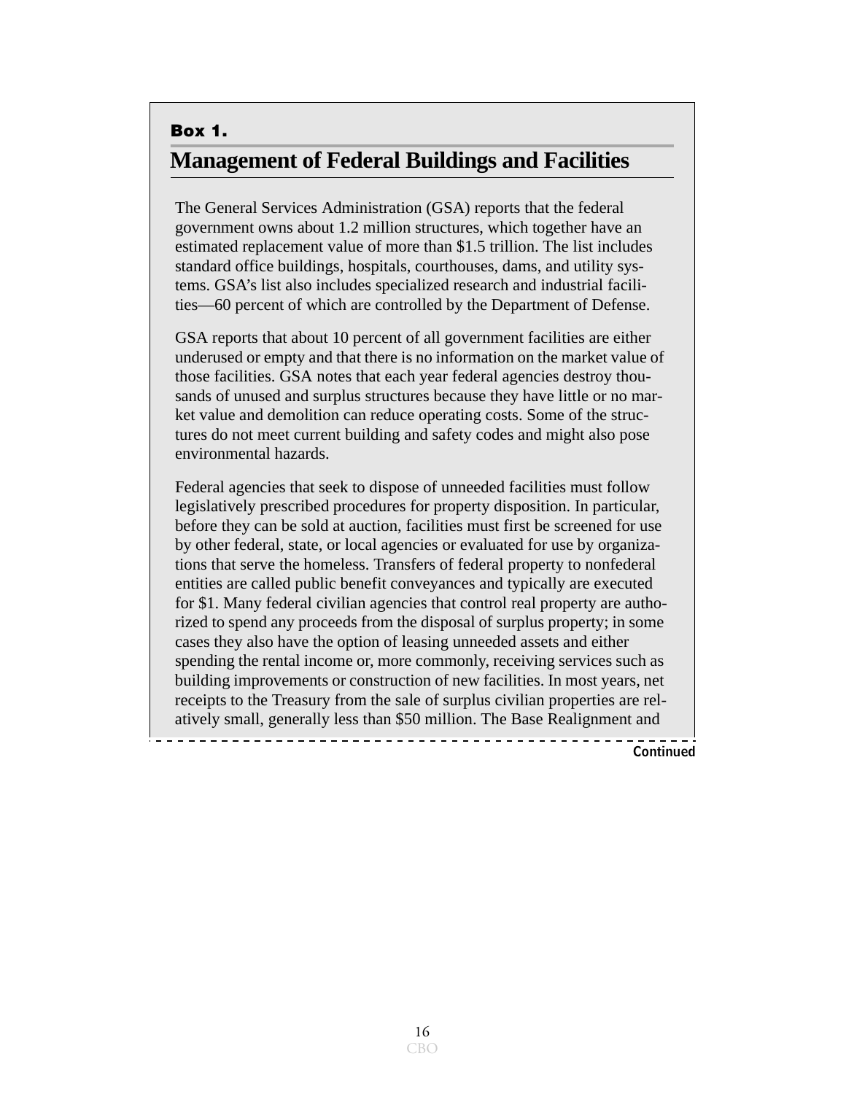# <span id="page-23-1"></span><span id="page-23-0"></span>**Box 1. Management of Federal Buildings and Facilities**

The General Services Administration (GSA) reports that the federal government owns about 1.2 million structures, which together have an estimated replacement value of more than \$1.5 trillion. The list includes standard office buildings, hospitals, courthouses, dams, and utility systems. GSA's list also includes specialized research and industrial facilities—60 percent of which are controlled by the Department of Defense.

GSA reports that about 10 percent of all government facilities are either underused or empty and that there is no information on the market value of those facilities. GSA notes that each year federal agencies destroy thousands of unused and surplus structures because they have little or no market value and demolition can reduce operating costs. Some of the structures do not meet current building and safety codes and might also pose environmental hazards.

Federal agencies that seek to dispose of unneeded facilities must follow legislatively prescribed procedures for property disposition. In particular, before they can be sold at auction, facilities must first be screened for use by other federal, state, or local agencies or evaluated for use by organizations that serve the homeless. Transfers of federal property to nonfederal entities are called public benefit conveyances and typically are executed for \$1. Many federal civilian agencies that control real property are authorized to spend any proceeds from the disposal of surplus property; in some cases they also have the option of leasing unneeded assets and either spending the rental income or, more commonly, receiving services such as building improvements or construction of new facilities. In most years, net receipts to the Treasury from the sale of surplus civilian properties are relatively small, generally less than \$50 million. The Base Realignment and

**Continued**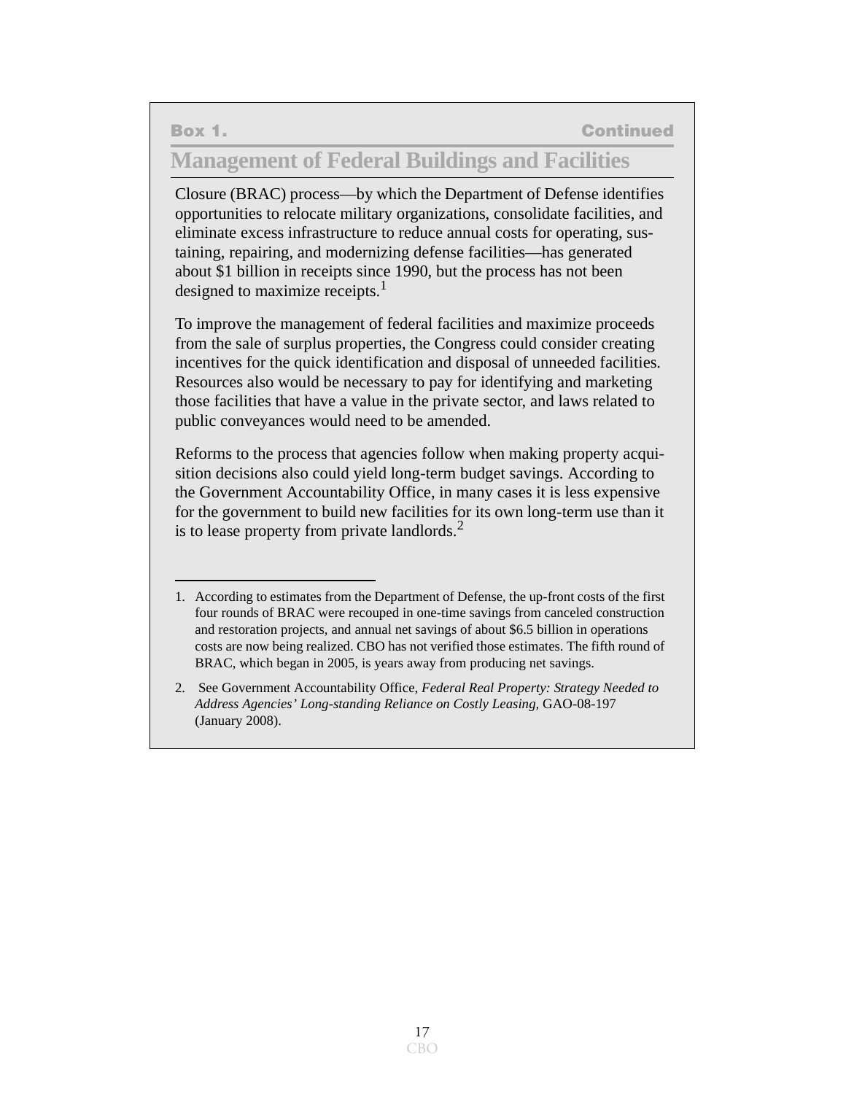**Box 1. Continued**

# **Management of Federal Buildings and Facilities**

Closure (BRAC) process—by which the Department of Defense identifies opportunities to relocate military organizations, consolidate facilities, and eliminate excess infrastructure to reduce annual costs for operating, sustaining, repairing, and modernizing defense facilities—has generated about \$1 billion in receipts since 1990, but the process has not been designed to maximize receipts. $<sup>1</sup>$ </sup>

To improve the management of federal facilities and maximize proceeds from the sale of surplus properties, the Congress could consider creating incentives for the quick identification and disposal of unneeded facilities. Resources also would be necessary to pay for identifying and marketing those facilities that have a value in the private sector, and laws related to public conveyances would need to be amended.

Reforms to the process that agencies follow when making property acquisition decisions also could yield long-term budget savings. According to the Government Accountability Office, in many cases it is less expensive for the government to build new facilities for its own long-term use than it is to lease property from private landlords. $<sup>2</sup>$ </sup>

<sup>1.</sup> According to estimates from the Department of Defense, the up-front costs of the first four rounds of BRAC were recouped in one-time savings from canceled construction and restoration projects, and annual net savings of about \$6.5 billion in operations costs are now being realized. CBO has not verified those estimates. The fifth round of BRAC, which began in 2005, is years away from producing net savings.

<sup>2.</sup> See Government Accountability Office, *Federal Real Property: Strategy Needed to Address Agencies' Long-standing Reliance on Costly Leasing,* GAO-08-197 (January 2008).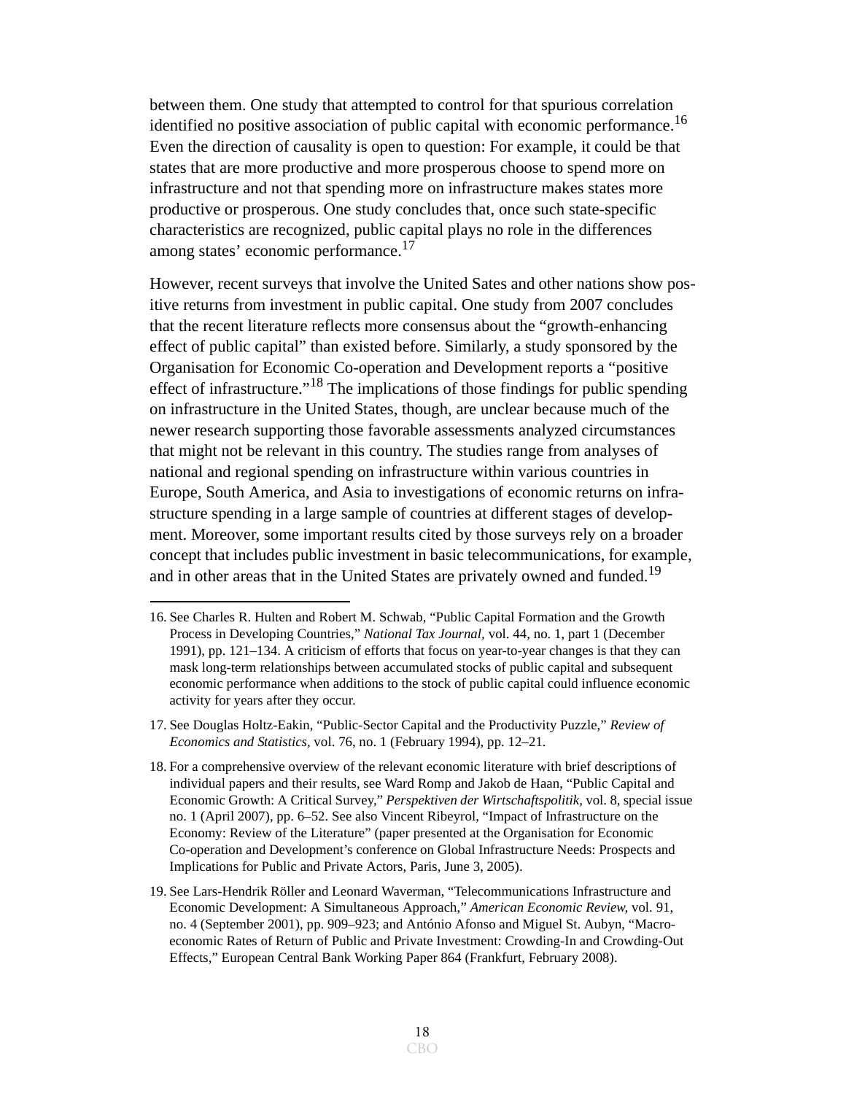between them. One study that attempted to control for that spurious correlation identified no positive association of public capital with economic performance.<sup>16</sup> Even the direction of causality is open to question: For example, it could be that states that are more productive and more prosperous choose to spend more on infrastructure and not that spending more on infrastructure makes states more productive or prosperous. One study concludes that, once such state-specific characteristics are recognized, public capital plays no role in the differences among states' economic performance.<sup>17</sup>

However, recent surveys that involve the United Sates and other nations show positive returns from investment in public capital. One study from 2007 concludes that the recent literature reflects more consensus about the "growth-enhancing effect of public capital" than existed before. Similarly, a study sponsored by the Organisation for Economic Co-operation and Development reports a "positive effect of infrastructure."<sup>18</sup> The implications of those findings for public spending on infrastructure in the United States, though, are unclear because much of the newer research supporting those favorable assessments analyzed circumstances that might not be relevant in this country. The studies range from analyses of national and regional spending on infrastructure within various countries in Europe, South America, and Asia to investigations of economic returns on infrastructure spending in a large sample of countries at different stages of development. Moreover, some important results cited by those surveys rely on a broader concept that includes public investment in basic telecommunications, for example, and in other areas that in the United States are privately owned and funded.<sup>19</sup>

<sup>16.</sup> See Charles R. Hulten and Robert M. Schwab, "Public Capital Formation and the Growth Process in Developing Countries," *National Tax Journal,* vol. 44, no. 1, part 1 (December 1991), pp. 121–134. A criticism of efforts that focus on year-to-year changes is that they can mask long-term relationships between accumulated stocks of public capital and subsequent economic performance when additions to the stock of public capital could influence economic activity for years after they occur.

<sup>17.</sup> See Douglas Holtz-Eakin, "Public-Sector Capital and the Productivity Puzzle," *Review of Economics and Statistics,* vol. 76, no. 1 (February 1994), pp. 12–21.

<sup>18.</sup> For a comprehensive overview of the relevant economic literature with brief descriptions of individual papers and their results, see Ward Romp and Jakob de Haan, "Public Capital and Economic Growth: A Critical Survey," *Perspektiven der Wirtschaftspolitik,* vol. 8, special issue no. 1 (April 2007), pp. 6–52. See also Vincent Ribeyrol, "Impact of Infrastructure on the Economy: Review of the Literature" (paper presented at the Organisation for Economic Co-operation and Development's conference on Global Infrastructure Needs: Prospects and Implications for Public and Private Actors, Paris, June 3, 2005).

<sup>19.</sup> See Lars-Hendrik Röller and Leonard Waverman, "Telecommunications Infrastructure and Economic Development: A Simultaneous Approach," *American Economic Review,* vol. 91, no. 4 (September 2001), pp. 909–923; and António Afonso and Miguel St. Aubyn, "Macroeconomic Rates of Return of Public and Private Investment: Crowding-In and Crowding-Out Effects," European Central Bank Working Paper 864 (Frankfurt, February 2008).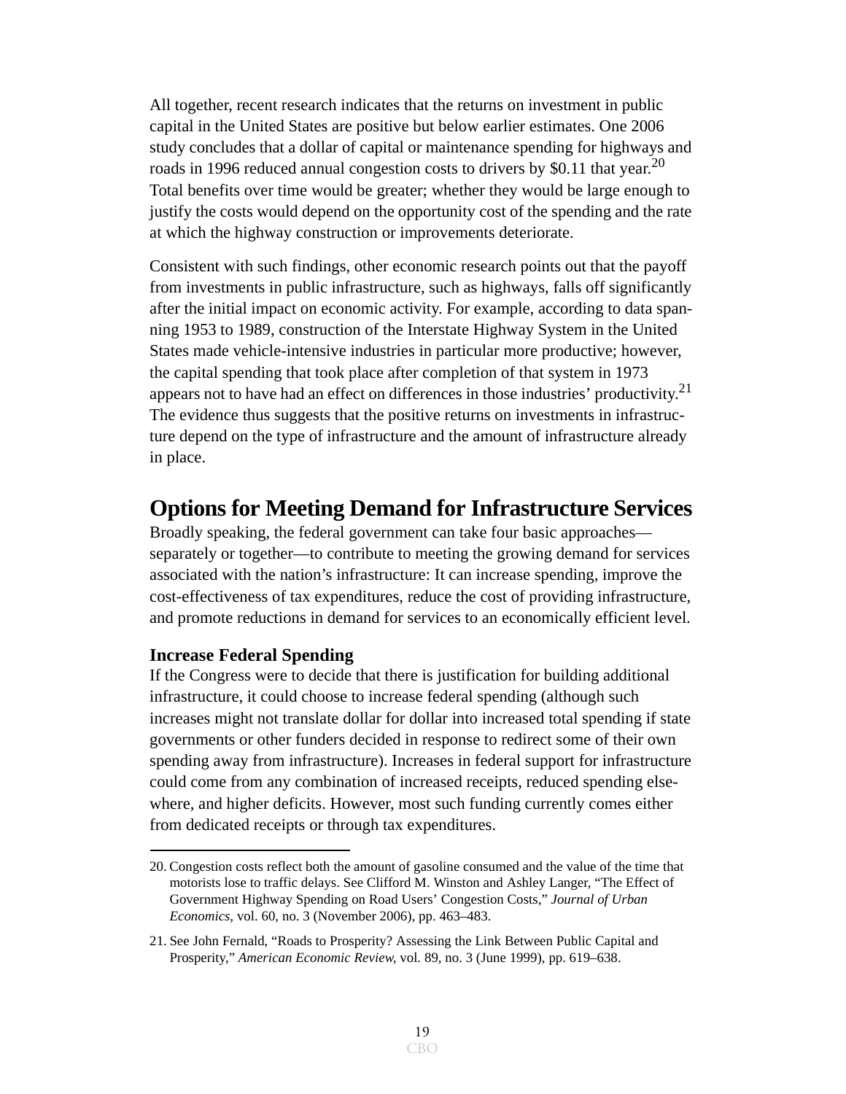All together, recent research indicates that the returns on investment in public capital in the United States are positive but below earlier estimates. One 2006 study concludes that a dollar of capital or maintenance spending for highways and roads in 1996 reduced annual congestion costs to drivers by \$0.11 that year.<sup>20</sup> Total benefits over time would be greater; whether they would be large enough to justify the costs would depend on the opportunity cost of the spending and the rate at which the highway construction or improvements deteriorate.

Consistent with such findings, other economic research points out that the payoff from investments in public infrastructure, such as highways, falls off significantly after the initial impact on economic activity. For example, according to data spanning 1953 to 1989, construction of the Interstate Highway System in the United States made vehicle-intensive industries in particular more productive; however, the capital spending that took place after completion of that system in 1973 appears not to have had an effect on differences in those industries' productivity.<sup>21</sup> The evidence thus suggests that the positive returns on investments in infrastructure depend on the type of infrastructure and the amount of infrastructure already in place.

## <span id="page-26-0"></span>**Options for Meeting Demand for Infrastructure Services**

Broadly speaking, the federal government can take four basic approaches separately or together—to contribute to meeting the growing demand for services associated with the nation's infrastructure: It can increase spending, improve the cost-effectiveness of tax expenditures, reduce the cost of providing infrastructure, and promote reductions in demand for services to an economically efficient level.

#### <span id="page-26-1"></span>**Increase Federal Spending**

If the Congress were to decide that there is justification for building additional infrastructure, it could choose to increase federal spending (although such increases might not translate dollar for dollar into increased total spending if state governments or other funders decided in response to redirect some of their own spending away from infrastructure). Increases in federal support for infrastructure could come from any combination of increased receipts, reduced spending elsewhere, and higher deficits. However, most such funding currently comes either from dedicated receipts or through tax expenditures.

<sup>20.</sup> Congestion costs reflect both the amount of gasoline consumed and the value of the time that motorists lose to traffic delays. See Clifford M. Winston and Ashley Langer, "The Effect of Government Highway Spending on Road Users' Congestion Costs," *Journal of Urban Economics,* vol. 60, no. 3 (November 2006), pp. 463–483.

<sup>21.</sup> See John Fernald, "Roads to Prosperity? Assessing the Link Between Public Capital and Prosperity," *American Economic Review,* vol. 89, no. 3 (June 1999), pp. 619–638.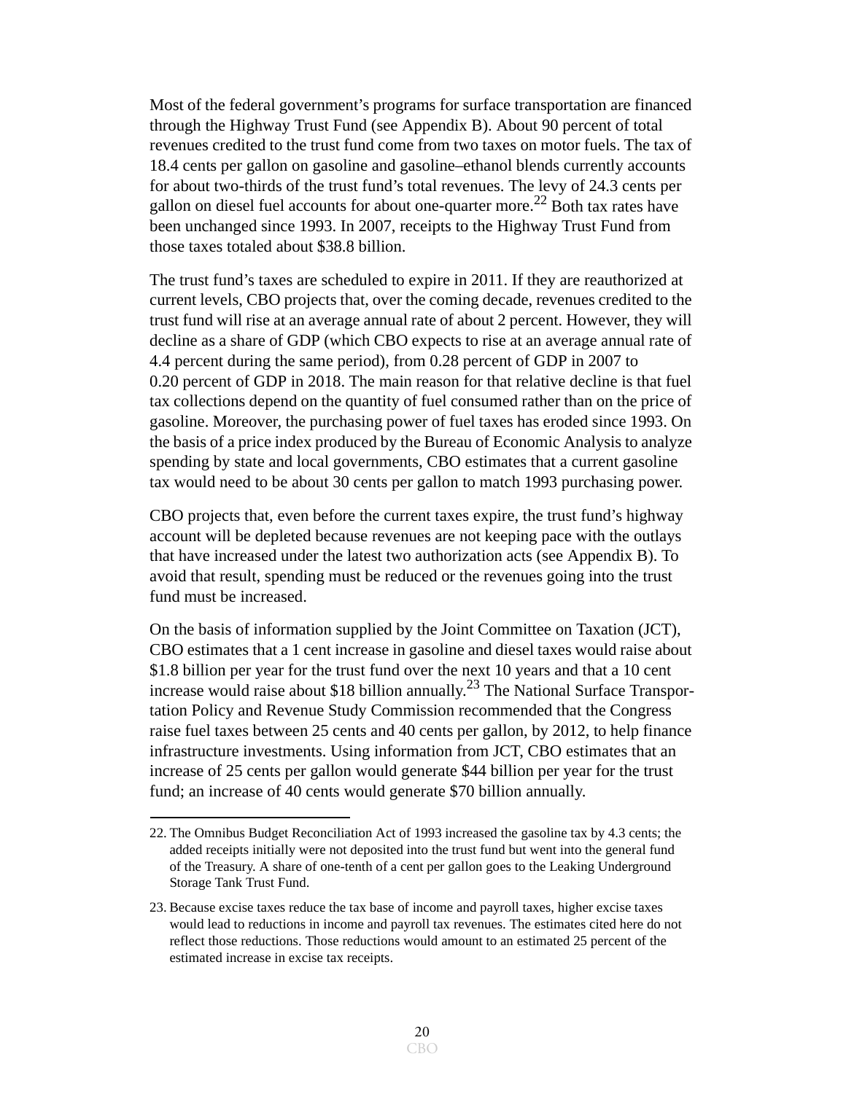Most of the federal government's programs for surface transportation are financed through the Highway Trust Fund (see [Appendix B](#page-48-1)). About 90 percent of total revenues credited to the trust fund come from two taxes on motor fuels. The tax of 18.4 cents per gallon on gasoline and gasoline–ethanol blends currently accounts for about two-thirds of the trust fund's total revenues. The levy of 24.3 cents per gallon on diesel fuel accounts for about one-quarter more.<sup>22</sup> Both tax rates have been unchanged since 1993. In 2007, receipts to the Highway Trust Fund from those taxes totaled about \$38.8 billion.

The trust fund's taxes are scheduled to expire in 2011. If they are reauthorized at current levels, CBO projects that, over the coming decade, revenues credited to the trust fund will rise at an average annual rate of about 2 percent. However, they will decline as a share of GDP (which CBO expects to rise at an average annual rate of 4.4 percent during the same period), from 0.28 percent of GDP in 2007 to 0.20 percent of GDP in 2018. The main reason for that relative decline is that fuel tax collections depend on the quantity of fuel consumed rather than on the price of gasoline. Moreover, the purchasing power of fuel taxes has eroded since 1993. On the basis of a price index produced by the Bureau of Economic Analysis to analyze spending by state and local governments, CBO estimates that a current gasoline tax would need to be about 30 cents per gallon to match 1993 purchasing power.

CBO projects that, even before the current taxes expire, the trust fund's highway account will be depleted because revenues are not keeping pace with the outlays that have increased under the latest two authorization acts (see [Appendix B](#page-48-1)). To avoid that result, spending must be reduced or the revenues going into the trust fund must be increased.

On the basis of information supplied by the Joint Committee on Taxation (JCT), CBO estimates that a 1 cent increase in gasoline and diesel taxes would raise about \$1.8 billion per year for the trust fund over the next 10 years and that a 10 cent increase would raise about \$18 billion annually.<sup>23</sup> The National Surface Transportation Policy and Revenue Study Commission recommended that the Congress raise fuel taxes between 25 cents and 40 cents per gallon, by 2012, to help finance infrastructure investments. Using information from JCT, CBO estimates that an increase of 25 cents per gallon would generate \$44 billion per year for the trust fund; an increase of 40 cents would generate \$70 billion annually.

<sup>22.</sup> The Omnibus Budget Reconciliation Act of 1993 increased the gasoline tax by 4.3 cents; the added receipts initially were not deposited into the trust fund but went into the general fund of the Treasury. A share of one-tenth of a cent per gallon goes to the Leaking Underground Storage Tank Trust Fund.

<sup>23.</sup> Because excise taxes reduce the tax base of income and payroll taxes, higher excise taxes would lead to reductions in income and payroll tax revenues. The estimates cited here do not reflect those reductions. Those reductions would amount to an estimated 25 percent of the estimated increase in excise tax receipts.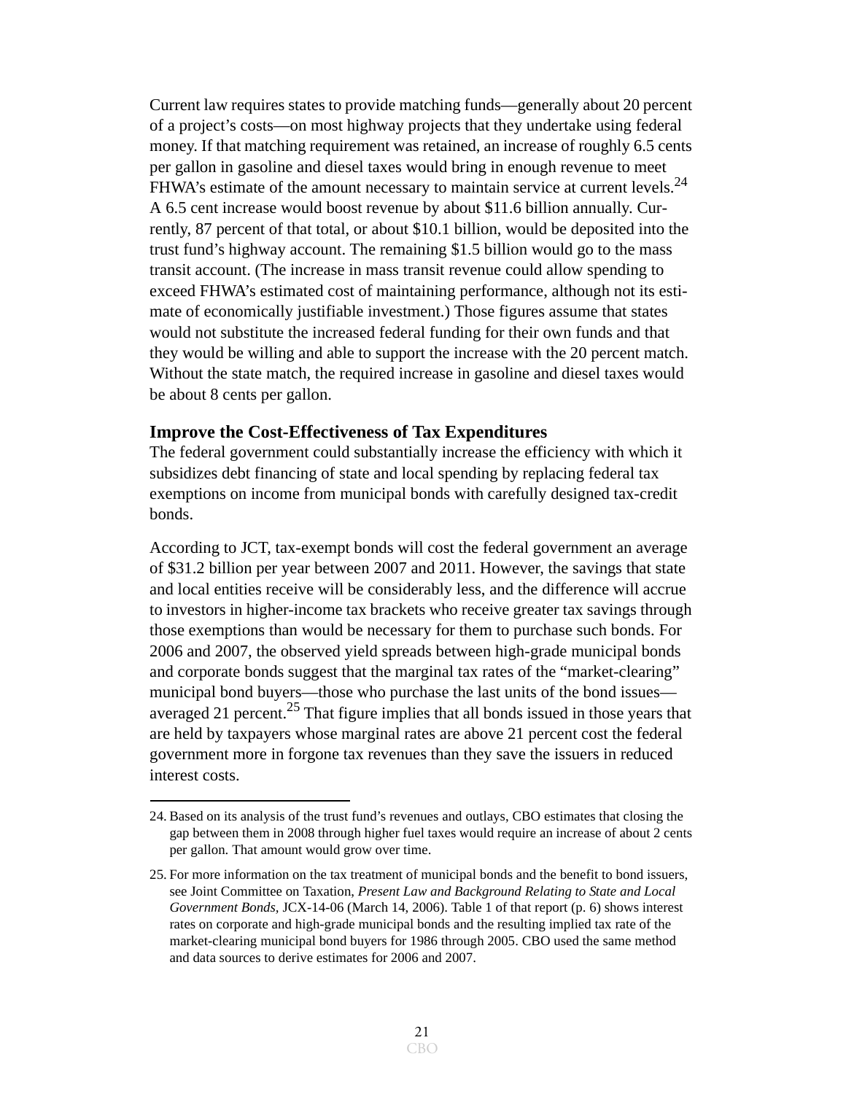Current law requires states to provide matching funds—generally about 20 percent of a project's costs—on most highway projects that they undertake using federal money. If that matching requirement was retained, an increase of roughly 6.5 cents per gallon in gasoline and diesel taxes would bring in enough revenue to meet FHWA's estimate of the amount necessary to maintain service at current levels.<sup>24</sup> A 6.5 cent increase would boost revenue by about \$11.6 billion annually. Currently, 87 percent of that total, or about \$10.1 billion, would be deposited into the trust fund's highway account. The remaining \$1.5 billion would go to the mass transit account. (The increase in mass transit revenue could allow spending to exceed FHWA's estimated cost of maintaining performance, although not its estimate of economically justifiable investment.) Those figures assume that states would not substitute the increased federal funding for their own funds and that they would be willing and able to support the increase with the 20 percent match. Without the state match, the required increase in gasoline and diesel taxes would be about 8 cents per gallon.

#### <span id="page-28-0"></span>**Improve the Cost-Effectiveness of Tax Expenditures**

The federal government could substantially increase the efficiency with which it subsidizes debt financing of state and local spending by replacing federal tax exemptions on income from municipal bonds with carefully designed tax-credit bonds.

According to JCT, tax-exempt bonds will cost the federal government an average of \$31.2 billion per year between 2007 and 2011. However, the savings that state and local entities receive will be considerably less, and the difference will accrue to investors in higher-income tax brackets who receive greater tax savings through those exemptions than would be necessary for them to purchase such bonds. For 2006 and 2007, the observed yield spreads between high-grade municipal bonds and corporate bonds suggest that the marginal tax rates of the "market-clearing" municipal bond buyers—those who purchase the last units of the bond issues averaged 21 percent.<sup>25</sup> That figure implies that all bonds issued in those years that are held by taxpayers whose marginal rates are above 21 percent cost the federal government more in forgone tax revenues than they save the issuers in reduced interest costs.

<sup>24.</sup> Based on its analysis of the trust fund's revenues and outlays, CBO estimates that closing the gap between them in 2008 through higher fuel taxes would require an increase of about 2 cents per gallon. That amount would grow over time.

<sup>25.</sup> For more information on the tax treatment of municipal bonds and the benefit to bond issuers, see Joint Committee on Taxation, *Present Law and Background Relating to State and Local Government Bonds,* JCX-14-06 (March 14, 2006). Table 1 of that report (p. 6) shows interest rates on corporate and high-grade municipal bonds and the resulting implied tax rate of the market-clearing municipal bond buyers for 1986 through 2005. CBO used the same method and data sources to derive estimates for 2006 and 2007.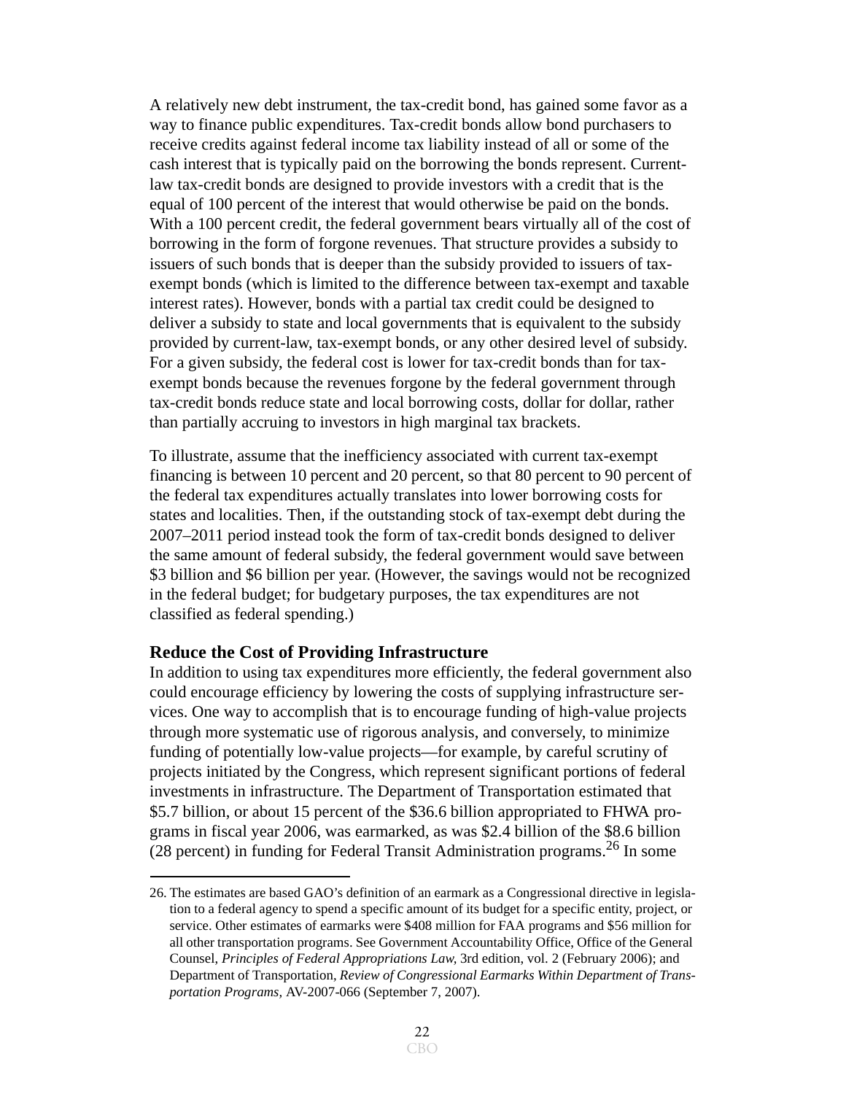A relatively new debt instrument, the tax-credit bond, has gained some favor as a way to finance public expenditures. Tax-credit bonds allow bond purchasers to receive credits against federal income tax liability instead of all or some of the cash interest that is typically paid on the borrowing the bonds represent. Currentlaw tax-credit bonds are designed to provide investors with a credit that is the equal of 100 percent of the interest that would otherwise be paid on the bonds. With a 100 percent credit, the federal government bears virtually all of the cost of borrowing in the form of forgone revenues. That structure provides a subsidy to issuers of such bonds that is deeper than the subsidy provided to issuers of taxexempt bonds (which is limited to the difference between tax-exempt and taxable interest rates). However, bonds with a partial tax credit could be designed to deliver a subsidy to state and local governments that is equivalent to the subsidy provided by current-law, tax-exempt bonds, or any other desired level of subsidy. For a given subsidy, the federal cost is lower for tax-credit bonds than for taxexempt bonds because the revenues forgone by the federal government through tax-credit bonds reduce state and local borrowing costs, dollar for dollar, rather than partially accruing to investors in high marginal tax brackets.

To illustrate, assume that the inefficiency associated with current tax-exempt financing is between 10 percent and 20 percent, so that 80 percent to 90 percent of the federal tax expenditures actually translates into lower borrowing costs for states and localities. Then, if the outstanding stock of tax-exempt debt during the 2007–2011 period instead took the form of tax-credit bonds designed to deliver the same amount of federal subsidy, the federal government would save between \$3 billion and \$6 billion per year. (However, the savings would not be recognized in the federal budget; for budgetary purposes, the tax expenditures are not classified as federal spending.)

#### <span id="page-29-0"></span>**Reduce the Cost of Providing Infrastructure**

In addition to using tax expenditures more efficiently, the federal government also could encourage efficiency by lowering the costs of supplying infrastructure services. One way to accomplish that is to encourage funding of high-value projects through more systematic use of rigorous analysis, and conversely, to minimize funding of potentially low-value projects—for example, by careful scrutiny of projects initiated by the Congress, which represent significant portions of federal investments in infrastructure. The Department of Transportation estimated that \$5.7 billion, or about 15 percent of the \$36.6 billion appropriated to FHWA programs in fiscal year 2006, was earmarked, as was \$2.4 billion of the \$8.6 billion (28 percent) in funding for Federal Transit Administration programs.<sup>26</sup> In some

<sup>26.</sup> The estimates are based GAO's definition of an earmark as a Congressional directive in legislation to a federal agency to spend a specific amount of its budget for a specific entity, project, or service. Other estimates of earmarks were \$408 million for FAA programs and \$56 million for all other transportation programs. See Government Accountability Office, Office of the General Counsel, *Principles of Federal Appropriations Law,* 3rd edition, vol. 2 (February 2006); and Department of Transportation, *Review of Congressional Earmarks Within Department of Transportation Programs,* AV-2007-066 (September 7, 2007).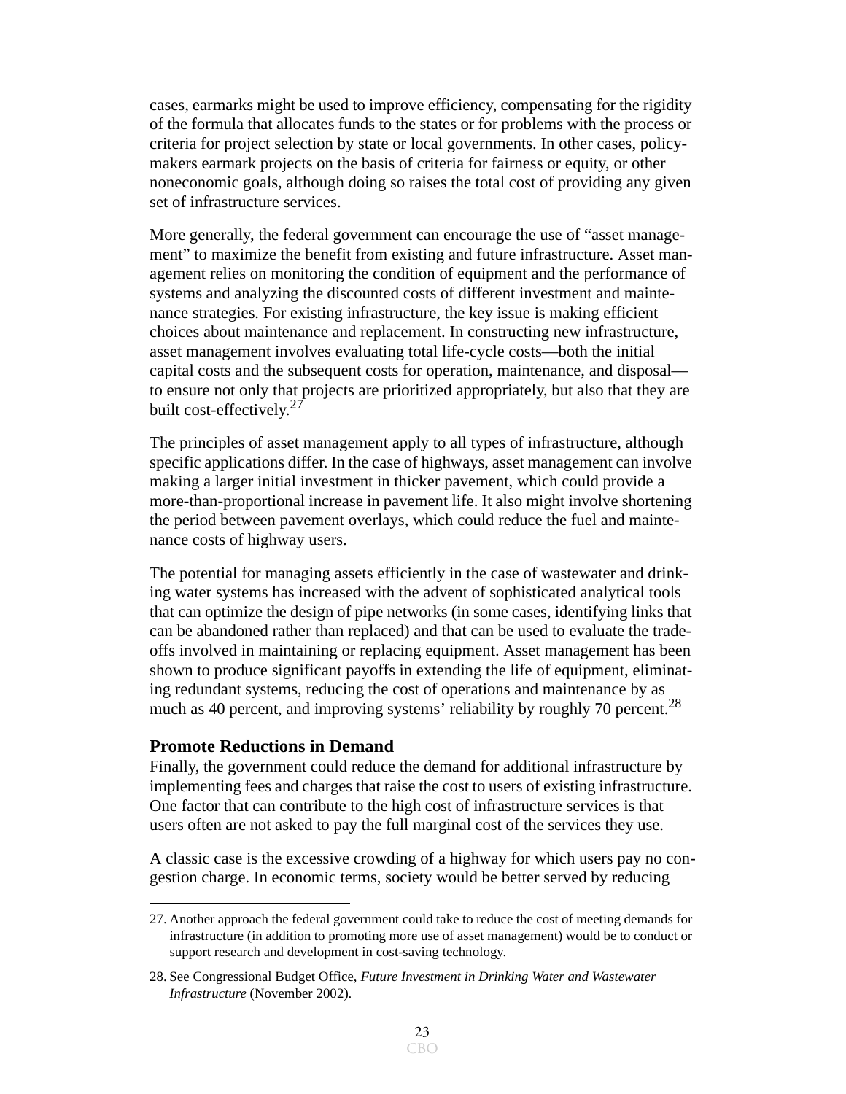cases, earmarks might be used to improve efficiency, compensating for the rigidity of the formula that allocates funds to the states or for problems with the process or criteria for project selection by state or local governments. In other cases, policymakers earmark projects on the basis of criteria for fairness or equity, or other noneconomic goals, although doing so raises the total cost of providing any given set of infrastructure services.

More generally, the federal government can encourage the use of "asset management" to maximize the benefit from existing and future infrastructure. Asset management relies on monitoring the condition of equipment and the performance of systems and analyzing the discounted costs of different investment and maintenance strategies. For existing infrastructure, the key issue is making efficient choices about maintenance and replacement. In constructing new infrastructure, asset management involves evaluating total life-cycle costs—both the initial capital costs and the subsequent costs for operation, maintenance, and disposal to ensure not only that projects are prioritized appropriately, but also that they are built cost-effectively.<sup>27</sup>

The principles of asset management apply to all types of infrastructure, although specific applications differ. In the case of highways, asset management can involve making a larger initial investment in thicker pavement, which could provide a more-than-proportional increase in pavement life. It also might involve shortening the period between pavement overlays, which could reduce the fuel and maintenance costs of highway users.

The potential for managing assets efficiently in the case of wastewater and drinking water systems has increased with the advent of sophisticated analytical tools that can optimize the design of pipe networks (in some cases, identifying links that can be abandoned rather than replaced) and that can be used to evaluate the tradeoffs involved in maintaining or replacing equipment. Asset management has been shown to produce significant payoffs in extending the life of equipment, eliminating redundant systems, reducing the cost of operations and maintenance by as much as 40 percent, and improving systems' reliability by roughly 70 percent.<sup>28</sup>

#### <span id="page-30-0"></span>**Promote Reductions in Demand**

Finally, the government could reduce the demand for additional infrastructure by implementing fees and charges that raise the cost to users of existing infrastructure. One factor that can contribute to the high cost of infrastructure services is that users often are not asked to pay the full marginal cost of the services they use.

A classic case is the excessive crowding of a highway for which users pay no congestion charge. In economic terms, society would be better served by reducing

<sup>27.</sup> Another approach the federal government could take to reduce the cost of meeting demands for infrastructure (in addition to promoting more use of asset management) would be to conduct or support research and development in cost-saving technology.

<sup>28.</sup> See Congressional Budget Office, *Future Investment in Drinking Water and Wastewater Infrastructure* (November 2002).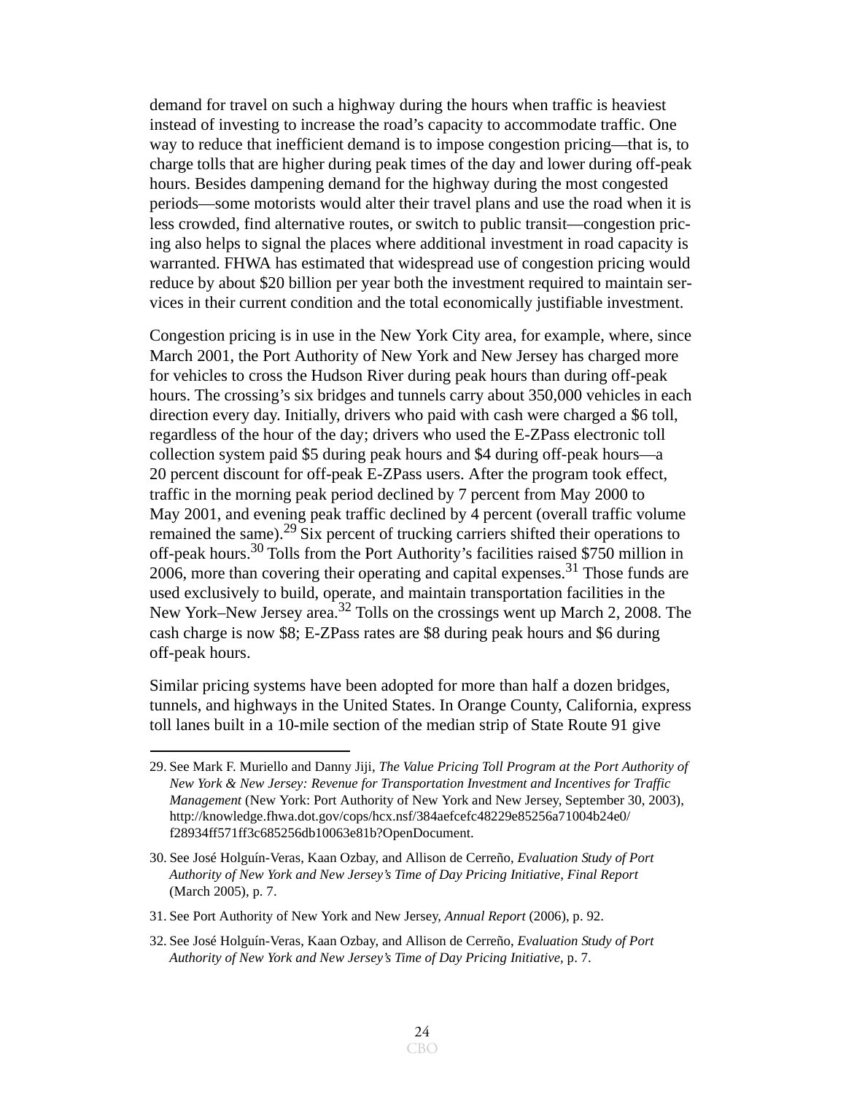demand for travel on such a highway during the hours when traffic is heaviest instead of investing to increase the road's capacity to accommodate traffic. One way to reduce that inefficient demand is to impose congestion pricing—that is, to charge tolls that are higher during peak times of the day and lower during off-peak hours. Besides dampening demand for the highway during the most congested periods—some motorists would alter their travel plans and use the road when it is less crowded, find alternative routes, or switch to public transit—congestion pricing also helps to signal the places where additional investment in road capacity is warranted. FHWA has estimated that widespread use of congestion pricing would reduce by about \$20 billion per year both the investment required to maintain services in their current condition and the total economically justifiable investment.

Congestion pricing is in use in the New York City area, for example, where, since March 2001, the Port Authority of New York and New Jersey has charged more for vehicles to cross the Hudson River during peak hours than during off-peak hours. The crossing's six bridges and tunnels carry about 350,000 vehicles in each direction every day. Initially, drivers who paid with cash were charged a \$6 toll, regardless of the hour of the day; drivers who used the E-ZPass electronic toll collection system paid \$5 during peak hours and \$4 during off-peak hours—a 20 percent discount for off-peak E-ZPass users. After the program took effect, traffic in the morning peak period declined by 7 percent from May 2000 to May 2001, and evening peak traffic declined by 4 percent (overall traffic volume remained the same).<sup>29</sup> Six percent of trucking carriers shifted their operations to off-peak hours.30 Tolls from the Port Authority's facilities raised \$750 million in  $2006$ , more than covering their operating and capital expenses.<sup>31</sup> Those funds are used exclusively to build, operate, and maintain transportation facilities in the New York–New Jersey area.<sup>32</sup> Tolls on the crossings went up March 2, 2008. The cash charge is now \$8; E-ZPass rates are \$8 during peak hours and \$6 during off-peak hours.

Similar pricing systems have been adopted for more than half a dozen bridges, tunnels, and highways in the United States. In Orange County, California, express toll lanes built in a 10-mile section of the median strip of State Route 91 give

31. See Port Authority of New York and New Jersey, *Annual Report* (2006), p. 92.

<sup>29.</sup> See Mark F. Muriello and Danny Jiji, *The Value Pricing Toll Program at the Port Authority of New York & New Jersey: Revenue for Transportation Investment and Incentives for Traffic Management* (New York: Port Authority of New York and New Jersey, September 30, 2003), http://knowledge.fhwa.dot.gov/cops/hcx.nsf/384aefcefc48229e85256a71004b24e0/ f28934ff571ff3c685256db10063e81b?OpenDocument.

<sup>30.</sup> See José Holguín-Veras, Kaan Ozbay, and Allison de Cerreño, *Evaluation Study of Port Authority of New York and New Jersey's Time of Day Pricing Initiative, Final Report* (March 2005), p. 7.

<sup>32.</sup> See José Holguín-Veras, Kaan Ozbay, and Allison de Cerreño, *Evaluation Study of Port Authority of New York and New Jersey's Time of Day Pricing Initiative,* p. 7.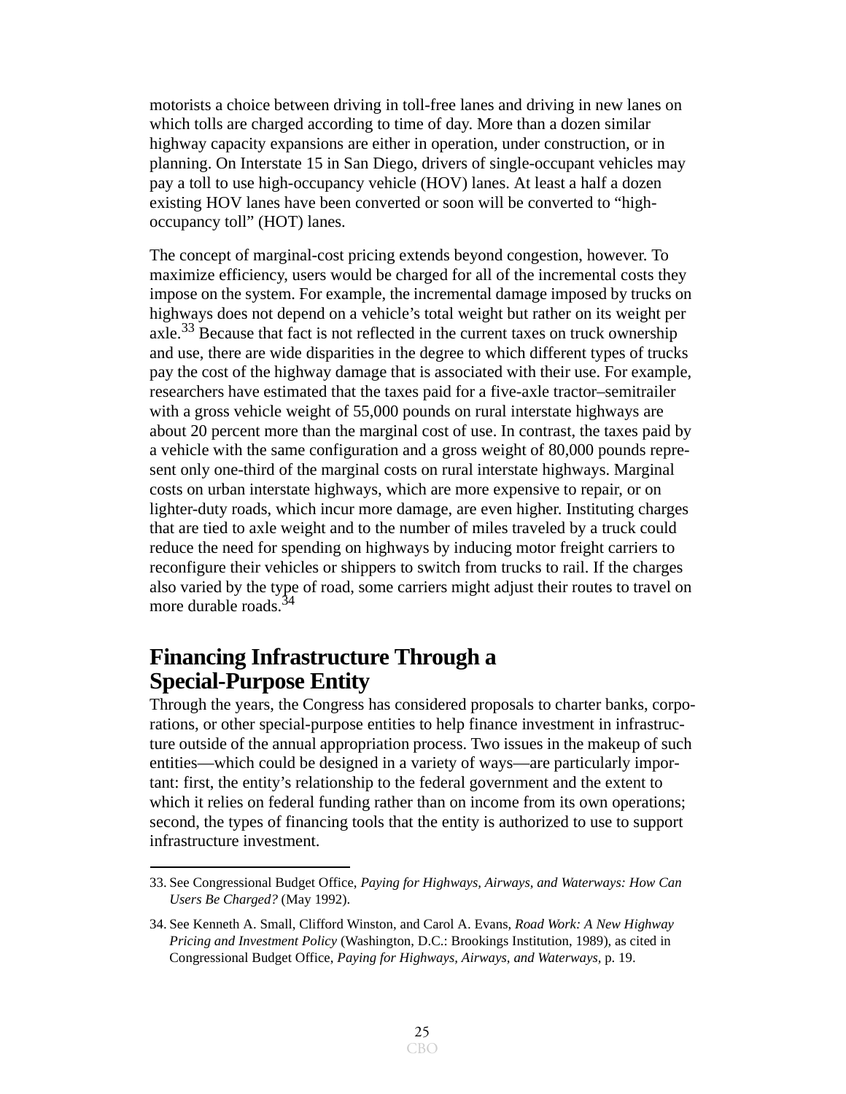motorists a choice between driving in toll-free lanes and driving in new lanes on which tolls are charged according to time of day. More than a dozen similar highway capacity expansions are either in operation, under construction, or in planning. On Interstate 15 in San Diego, drivers of single-occupant vehicles may pay a toll to use high-occupancy vehicle (HOV) lanes. At least a half a dozen existing HOV lanes have been converted or soon will be converted to "highoccupancy toll" (HOT) lanes.

The concept of marginal-cost pricing extends beyond congestion, however. To maximize efficiency, users would be charged for all of the incremental costs they impose on the system. For example, the incremental damage imposed by trucks on highways does not depend on a vehicle's total weight but rather on its weight per axle.<sup>33</sup> Because that fact is not reflected in the current taxes on truck ownership and use, there are wide disparities in the degree to which different types of trucks pay the cost of the highway damage that is associated with their use. For example, researchers have estimated that the taxes paid for a five-axle tractor–semitrailer with a gross vehicle weight of 55,000 pounds on rural interstate highways are about 20 percent more than the marginal cost of use. In contrast, the taxes paid by a vehicle with the same configuration and a gross weight of 80,000 pounds represent only one-third of the marginal costs on rural interstate highways. Marginal costs on urban interstate highways, which are more expensive to repair, or on lighter-duty roads, which incur more damage, are even higher. Instituting charges that are tied to axle weight and to the number of miles traveled by a truck could reduce the need for spending on highways by inducing motor freight carriers to reconfigure their vehicles or shippers to switch from trucks to rail. If the charges also varied by the type of road, some carriers might adjust their routes to travel on more durable roads.<sup>34</sup>

## <span id="page-32-0"></span>**Financing Infrastructure Through a Special-Purpose Entity**

Through the years, the Congress has considered proposals to charter banks, corporations, or other special-purpose entities to help finance investment in infrastructure outside of the annual appropriation process. Two issues in the makeup of such entities—which could be designed in a variety of ways—are particularly important: first, the entity's relationship to the federal government and the extent to which it relies on federal funding rather than on income from its own operations; second, the types of financing tools that the entity is authorized to use to support infrastructure investment.

<sup>33.</sup> See Congressional Budget Office, *Paying for Highways, Airways, and Waterways: How Can Users Be Charged?* (May 1992).

<sup>34.</sup> See Kenneth A. Small, Clifford Winston, and Carol A. Evans, *Road Work: A New Highway Pricing and Investment Policy* (Washington, D.C.: Brookings Institution, 1989), as cited in Congressional Budget Office, *Paying for Highways, Airways, and Waterways,* p. 19.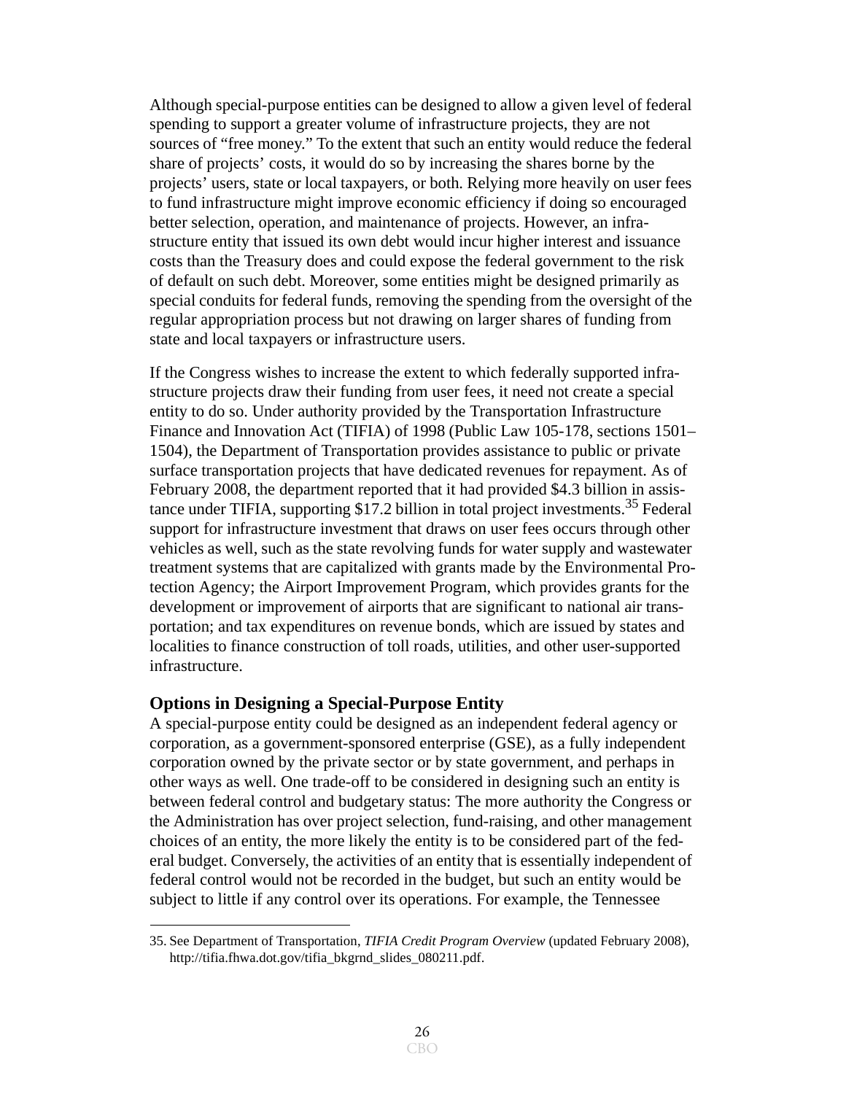Although special-purpose entities can be designed to allow a given level of federal spending to support a greater volume of infrastructure projects, they are not sources of "free money." To the extent that such an entity would reduce the federal share of projects' costs, it would do so by increasing the shares borne by the projects' users, state or local taxpayers, or both. Relying more heavily on user fees to fund infrastructure might improve economic efficiency if doing so encouraged better selection, operation, and maintenance of projects. However, an infrastructure entity that issued its own debt would incur higher interest and issuance costs than the Treasury does and could expose the federal government to the risk of default on such debt. Moreover, some entities might be designed primarily as special conduits for federal funds, removing the spending from the oversight of the regular appropriation process but not drawing on larger shares of funding from state and local taxpayers or infrastructure users.

If the Congress wishes to increase the extent to which federally supported infrastructure projects draw their funding from user fees, it need not create a special entity to do so. Under authority provided by the Transportation Infrastructure Finance and Innovation Act (TIFIA) of 1998 (Public Law 105-178, sections 1501– 1504), the Department of Transportation provides assistance to public or private surface transportation projects that have dedicated revenues for repayment. As of February 2008, the department reported that it had provided \$4.3 billion in assistance under TIFIA, supporting \$17.2 billion in total project investments.<sup>35</sup> Federal support for infrastructure investment that draws on user fees occurs through other vehicles as well, such as the state revolving funds for water supply and wastewater treatment systems that are capitalized with grants made by the Environmental Protection Agency; the Airport Improvement Program, which provides grants for the development or improvement of airports that are significant to national air transportation; and tax expenditures on revenue bonds, which are issued by states and localities to finance construction of toll roads, utilities, and other user-supported infrastructure.

#### <span id="page-33-0"></span>**Options in Designing a Special-Purpose Entity**

A special-purpose entity could be designed as an independent federal agency or corporation, as a government-sponsored enterprise (GSE), as a fully independent corporation owned by the private sector or by state government, and perhaps in other ways as well. One trade-off to be considered in designing such an entity is between federal control and budgetary status: The more authority the Congress or the Administration has over project selection, fund-raising, and other management choices of an entity, the more likely the entity is to be considered part of the federal budget. Conversely, the activities of an entity that is essentially independent of federal control would not be recorded in the budget, but such an entity would be subject to little if any control over its operations. For example, the Tennessee

<sup>35.</sup> See Department of Transportation, *TIFIA Credit Program Overview* (updated February 2008), http://tifia.fhwa.dot.gov/tifia\_bkgrnd\_slides\_080211.pdf.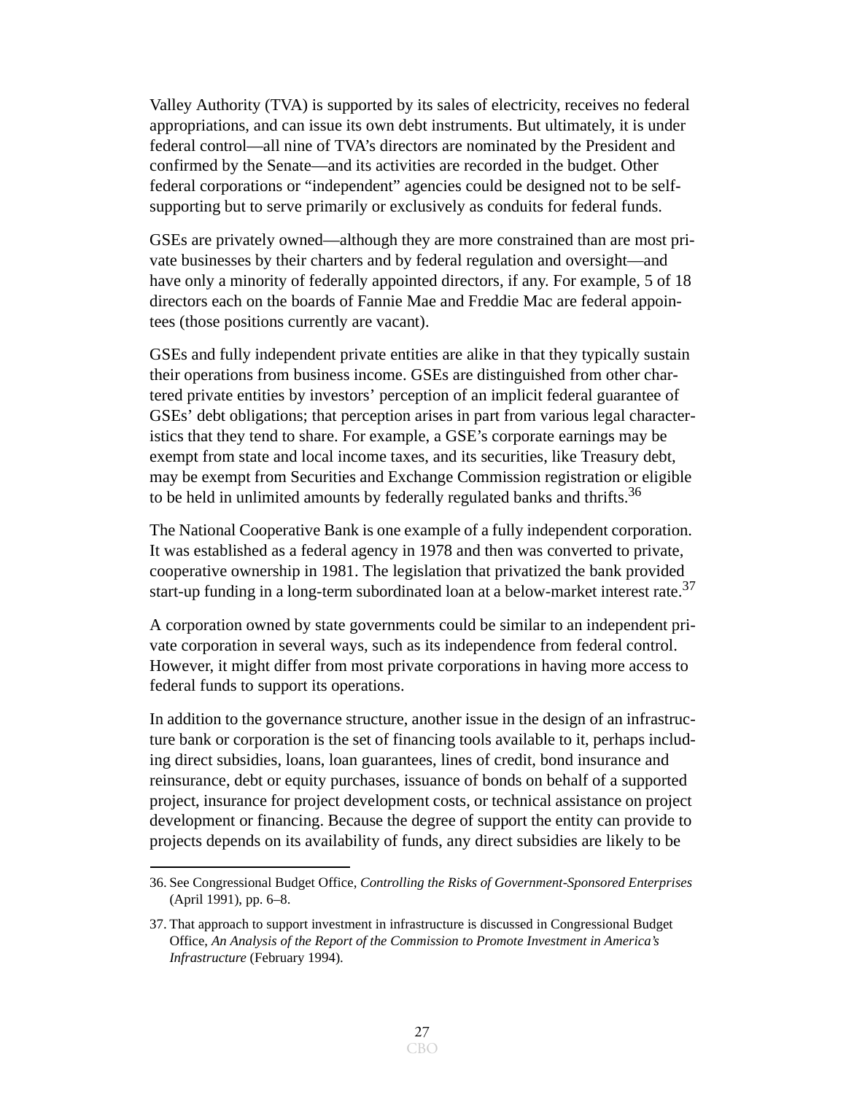Valley Authority (TVA) is supported by its sales of electricity, receives no federal appropriations, and can issue its own debt instruments. But ultimately, it is under federal control—all nine of TVA's directors are nominated by the President and confirmed by the Senate—and its activities are recorded in the budget. Other federal corporations or "independent" agencies could be designed not to be selfsupporting but to serve primarily or exclusively as conduits for federal funds.

GSEs are privately owned—although they are more constrained than are most private businesses by their charters and by federal regulation and oversight—and have only a minority of federally appointed directors, if any. For example, 5 of 18 directors each on the boards of Fannie Mae and Freddie Mac are federal appointees (those positions currently are vacant).

GSEs and fully independent private entities are alike in that they typically sustain their operations from business income. GSEs are distinguished from other chartered private entities by investors' perception of an implicit federal guarantee of GSEs' debt obligations; that perception arises in part from various legal characteristics that they tend to share. For example, a GSE's corporate earnings may be exempt from state and local income taxes, and its securities, like Treasury debt, may be exempt from Securities and Exchange Commission registration or eligible to be held in unlimited amounts by federally regulated banks and thrifts.<sup>36</sup>

The National Cooperative Bank is one example of a fully independent corporation. It was established as a federal agency in 1978 and then was converted to private, cooperative ownership in 1981. The legislation that privatized the bank provided start-up funding in a long-term subordinated loan at a below-market interest rate.<sup>37</sup>

A corporation owned by state governments could be similar to an independent private corporation in several ways, such as its independence from federal control. However, it might differ from most private corporations in having more access to federal funds to support its operations.

In addition to the governance structure, another issue in the design of an infrastructure bank or corporation is the set of financing tools available to it, perhaps including direct subsidies, loans, loan guarantees, lines of credit, bond insurance and reinsurance, debt or equity purchases, issuance of bonds on behalf of a supported project, insurance for project development costs, or technical assistance on project development or financing. Because the degree of support the entity can provide to projects depends on its availability of funds, any direct subsidies are likely to be

<sup>36.</sup> See Congressional Budget Office, *Controlling the Risks of Government-Sponsored Enterprises* (April 1991), pp. 6–8.

<sup>37.</sup> That approach to support investment in infrastructure is discussed in Congressional Budget Office, *An Analysis of the Report of the Commission to Promote Investment in America's Infrastructure* (February 1994).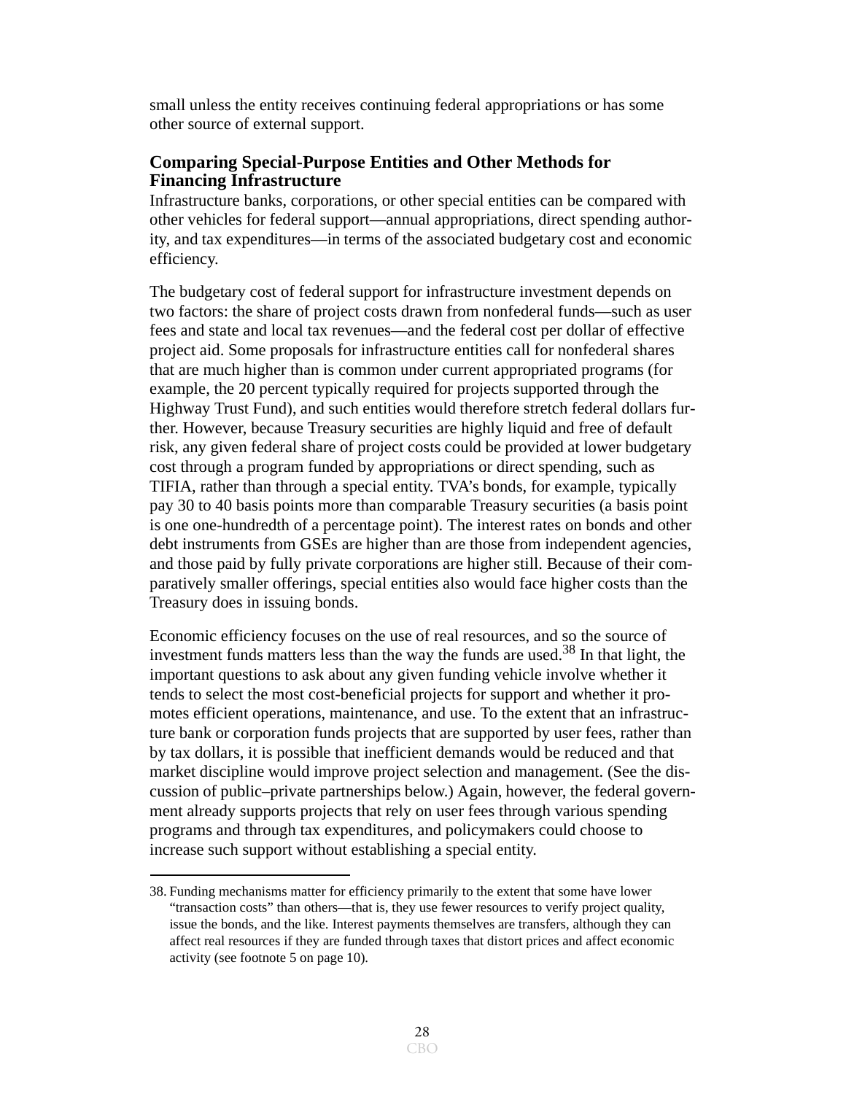small unless the entity receives continuing federal appropriations or has some other source of external support.

#### <span id="page-35-0"></span>**Comparing Special-Purpose Entities and Other Methods for Financing Infrastructure**

Infrastructure banks, corporations, or other special entities can be compared with other vehicles for federal support—annual appropriations, direct spending authority, and tax expenditures—in terms of the associated budgetary cost and economic efficiency.

The budgetary cost of federal support for infrastructure investment depends on two factors: the share of project costs drawn from nonfederal funds—such as user fees and state and local tax revenues—and the federal cost per dollar of effective project aid. Some proposals for infrastructure entities call for nonfederal shares that are much higher than is common under current appropriated programs (for example, the 20 percent typically required for projects supported through the Highway Trust Fund), and such entities would therefore stretch federal dollars further. However, because Treasury securities are highly liquid and free of default risk, any given federal share of project costs could be provided at lower budgetary cost through a program funded by appropriations or direct spending, such as TIFIA, rather than through a special entity. TVA's bonds, for example, typically pay 30 to 40 basis points more than comparable Treasury securities (a basis point is one one-hundredth of a percentage point). The interest rates on bonds and other debt instruments from GSEs are higher than are those from independent agencies, and those paid by fully private corporations are higher still. Because of their comparatively smaller offerings, special entities also would face higher costs than the Treasury does in issuing bonds.

Economic efficiency focuses on the use of real resources, and so the source of investment funds matters less than the way the funds are used.<sup>38</sup> In that light, the important questions to ask about any given funding vehicle involve whether it tends to select the most cost-beneficial projects for support and whether it promotes efficient operations, maintenance, and use. To the extent that an infrastructure bank or corporation funds projects that are supported by user fees, rather than by tax dollars, it is possible that inefficient demands would be reduced and that market discipline would improve project selection and management. (See the discussion of public–private partnerships below.) Again, however, the federal government already supports projects that rely on user fees through various spending programs and through tax expenditures, and policymakers could choose to increase such support without establishing a special entity.

<sup>38.</sup> Funding mechanisms matter for efficiency primarily to the extent that some have lower "transaction costs" than others—that is, they use fewer resources to verify project quality, issue the bonds, and the like. Interest payments themselves are transfers, although they can affect real resources if they are funded through taxes that distort prices and affect economic activity (see footnote 5 on page 10).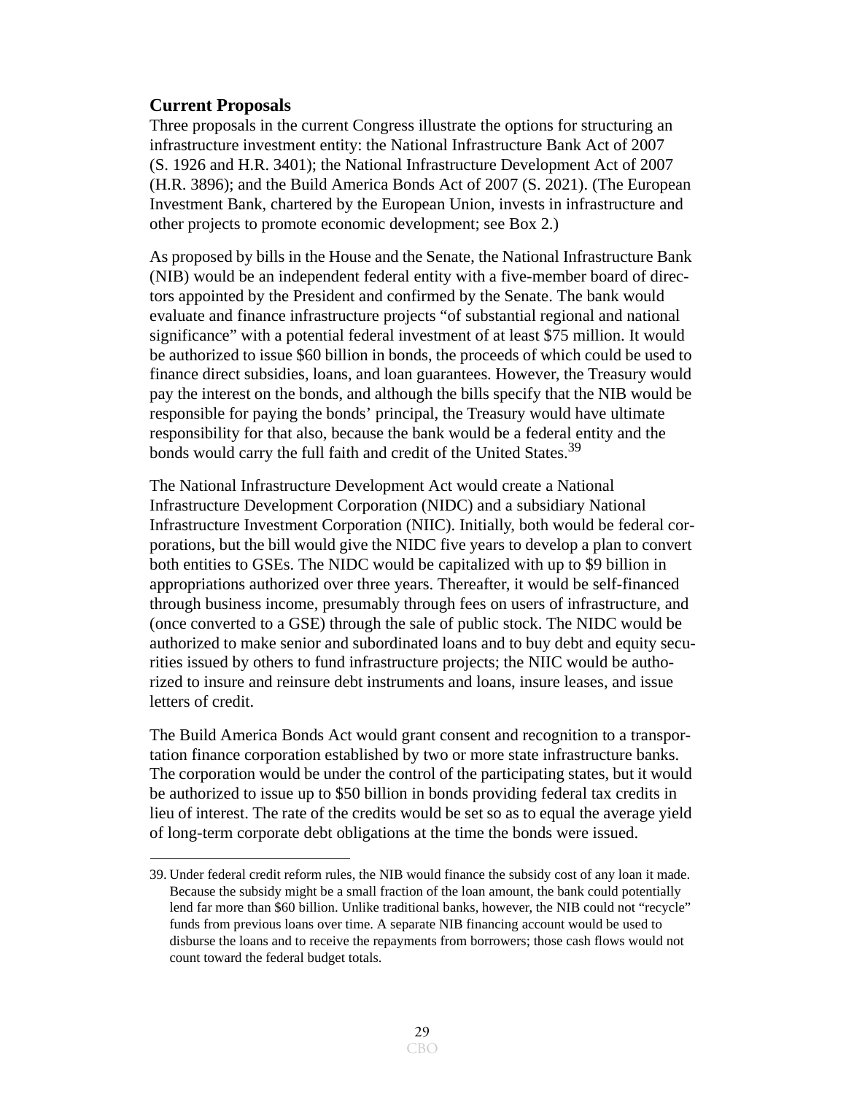#### <span id="page-36-0"></span>**Current Proposals**

Three proposals in the current Congress illustrate the options for structuring an infrastructure investment entity: the National Infrastructure Bank Act of 2007 (S. 1926 and H.R. 3401); the National Infrastructure Development Act of 2007 (H.R. 3896); and the Build America Bonds Act of 2007 (S. 2021). (The European Investment Bank, chartered by the European Union, invests in infrastructure and other projects to promote economic development; see [Box 2.](#page-37-0))

As proposed by bills in the House and the Senate, the National Infrastructure Bank (NIB) would be an independent federal entity with a five-member board of directors appointed by the President and confirmed by the Senate. The bank would evaluate and finance infrastructure projects "of substantial regional and national significance" with a potential federal investment of at least \$75 million. It would be authorized to issue \$60 billion in bonds, the proceeds of which could be used to finance direct subsidies, loans, and loan guarantees. However, the Treasury would pay the interest on the bonds, and although the bills specify that the NIB would be responsible for paying the bonds' principal, the Treasury would have ultimate responsibility for that also, because the bank would be a federal entity and the bonds would carry the full faith and credit of the United States.<sup>39</sup>

The National Infrastructure Development Act would create a National Infrastructure Development Corporation (NIDC) and a subsidiary National Infrastructure Investment Corporation (NIIC). Initially, both would be federal corporations, but the bill would give the NIDC five years to develop a plan to convert both entities to GSEs. The NIDC would be capitalized with up to \$9 billion in appropriations authorized over three years. Thereafter, it would be self-financed through business income, presumably through fees on users of infrastructure, and (once converted to a GSE) through the sale of public stock. The NIDC would be authorized to make senior and subordinated loans and to buy debt and equity securities issued by others to fund infrastructure projects; the NIIC would be authorized to insure and reinsure debt instruments and loans, insure leases, and issue letters of credit.

The Build America Bonds Act would grant consent and recognition to a transportation finance corporation established by two or more state infrastructure banks. The corporation would be under the control of the participating states, but it would be authorized to issue up to \$50 billion in bonds providing federal tax credits in lieu of interest. The rate of the credits would be set so as to equal the average yield of long-term corporate debt obligations at the time the bonds were issued.

<sup>39.</sup> Under federal credit reform rules, the NIB would finance the subsidy cost of any loan it made. Because the subsidy might be a small fraction of the loan amount, the bank could potentially lend far more than \$60 billion. Unlike traditional banks, however, the NIB could not "recycle" funds from previous loans over time. A separate NIB financing account would be used to disburse the loans and to receive the repayments from borrowers; those cash flows would not count toward the federal budget totals.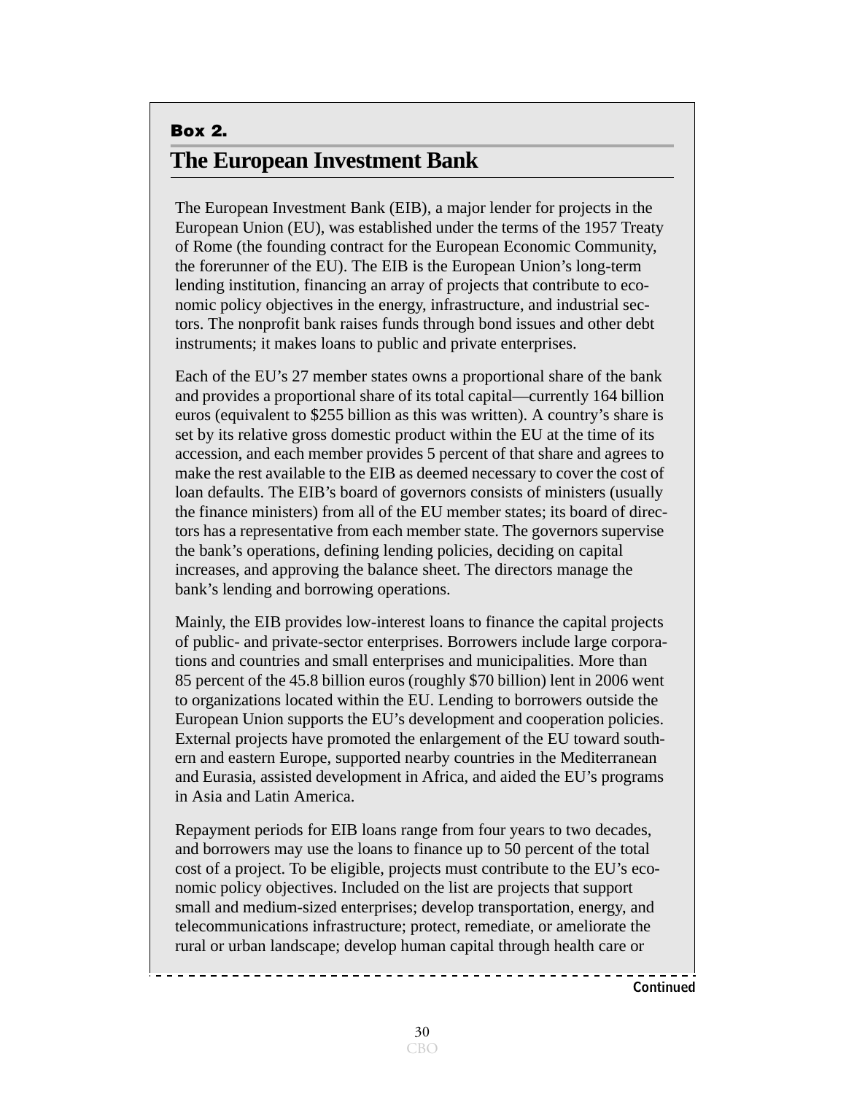# <span id="page-37-1"></span><span id="page-37-0"></span>**Box 2. The European Investment Bank**

The European Investment Bank (EIB), a major lender for projects in the European Union (EU), was established under the terms of the 1957 Treaty of Rome (the founding contract for the European Economic Community, the forerunner of the EU). The EIB is the European Union's long-term lending institution, financing an array of projects that contribute to economic policy objectives in the energy, infrastructure, and industrial sectors. The nonprofit bank raises funds through bond issues and other debt instruments; it makes loans to public and private enterprises.

Each of the EU's 27 member states owns a proportional share of the bank and provides a proportional share of its total capital—currently 164 billion euros (equivalent to \$255 billion as this was written). A country's share is set by its relative gross domestic product within the EU at the time of its accession, and each member provides 5 percent of that share and agrees to make the rest available to the EIB as deemed necessary to cover the cost of loan defaults. The EIB's board of governors consists of ministers (usually the finance ministers) from all of the EU member states; its board of directors has a representative from each member state. The governors supervise the bank's operations, defining lending policies, deciding on capital increases, and approving the balance sheet. The directors manage the bank's lending and borrowing operations.

Mainly, the EIB provides low-interest loans to finance the capital projects of public- and private-sector enterprises. Borrowers include large corporations and countries and small enterprises and municipalities. More than 85 percent of the 45.8 billion euros (roughly \$70 billion) lent in 2006 went to organizations located within the EU. Lending to borrowers outside the European Union supports the EU's development and cooperation policies. External projects have promoted the enlargement of the EU toward southern and eastern Europe, supported nearby countries in the Mediterranean and Eurasia, assisted development in Africa, and aided the EU's programs in Asia and Latin America.

Repayment periods for EIB loans range from four years to two decades, and borrowers may use the loans to finance up to 50 percent of the total cost of a project. To be eligible, projects must contribute to the EU's economic policy objectives. Included on the list are projects that support small and medium-sized enterprises; develop transportation, energy, and telecommunications infrastructure; protect, remediate, or ameliorate the rural or urban landscape; develop human capital through health care or

**Continued**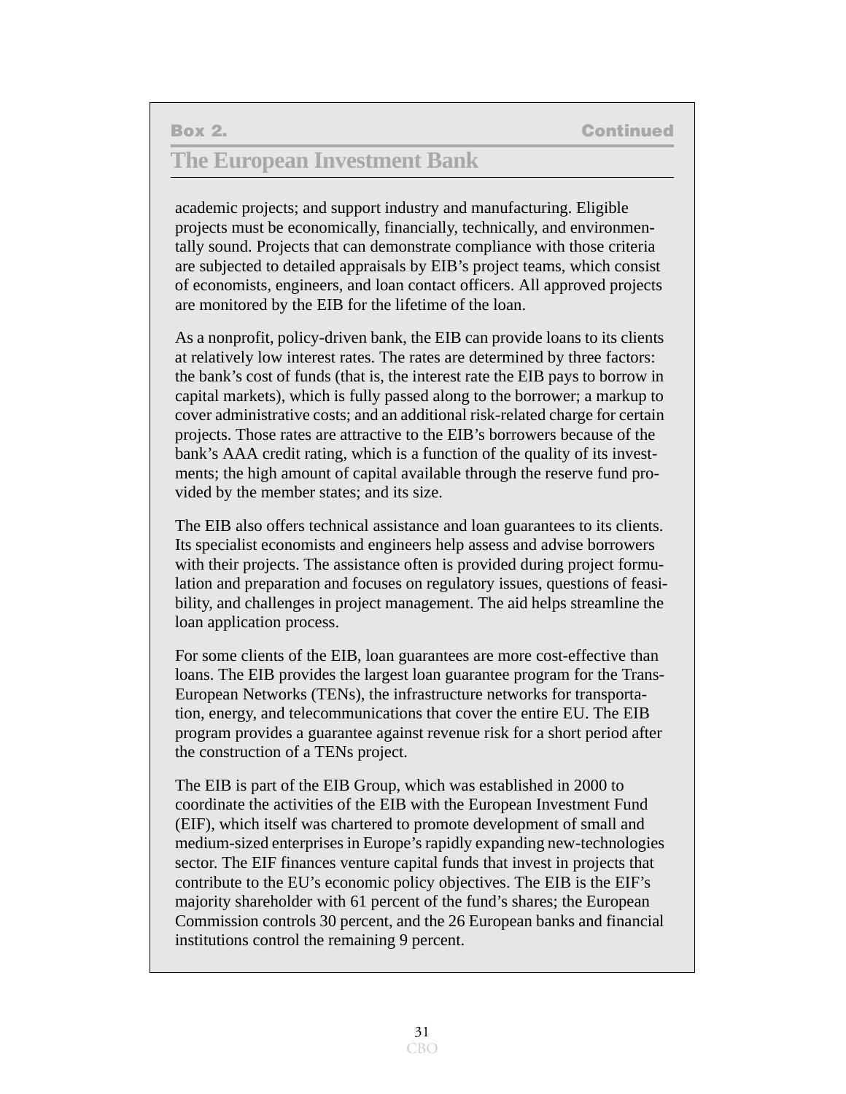## **The European Investment Bank**

academic projects; and support industry and manufacturing. Eligible projects must be economically, financially, technically, and environmentally sound. Projects that can demonstrate compliance with those criteria are subjected to detailed appraisals by EIB's project teams, which consist of economists, engineers, and loan contact officers. All approved projects are monitored by the EIB for the lifetime of the loan.

As a nonprofit, policy-driven bank, the EIB can provide loans to its clients at relatively low interest rates. The rates are determined by three factors: the bank's cost of funds (that is, the interest rate the EIB pays to borrow in capital markets), which is fully passed along to the borrower; a markup to cover administrative costs; and an additional risk-related charge for certain projects. Those rates are attractive to the EIB's borrowers because of the bank's AAA credit rating, which is a function of the quality of its investments; the high amount of capital available through the reserve fund provided by the member states; and its size.

The EIB also offers technical assistance and loan guarantees to its clients. Its specialist economists and engineers help assess and advise borrowers with their projects. The assistance often is provided during project formulation and preparation and focuses on regulatory issues, questions of feasibility, and challenges in project management. The aid helps streamline the loan application process.

For some clients of the EIB, loan guarantees are more cost-effective than loans. The EIB provides the largest loan guarantee program for the Trans-European Networks (TENs), the infrastructure networks for transportation, energy, and telecommunications that cover the entire EU. The EIB program provides a guarantee against revenue risk for a short period after the construction of a TENs project.

The EIB is part of the EIB Group, which was established in 2000 to coordinate the activities of the EIB with the European Investment Fund (EIF), which itself was chartered to promote development of small and medium-sized enterprises in Europe's rapidly expanding new-technologies sector. The EIF finances venture capital funds that invest in projects that contribute to the EU's economic policy objectives. The EIB is the EIF's majority shareholder with 61 percent of the fund's shares; the European Commission controls 30 percent, and the 26 European banks and financial institutions control the remaining 9 percent.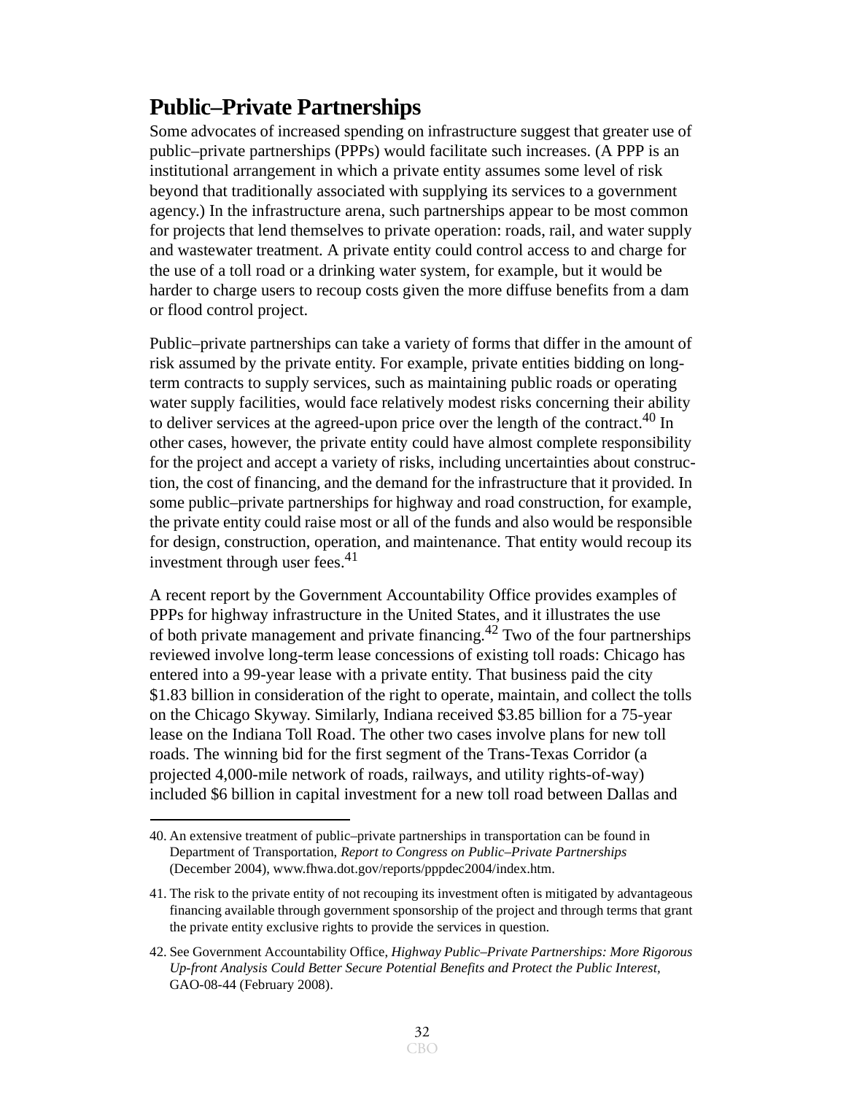# <span id="page-39-0"></span>**Public–Private Partnerships**

Some advocates of increased spending on infrastructure suggest that greater use of public–private partnerships (PPPs) would facilitate such increases. (A PPP is an institutional arrangement in which a private entity assumes some level of risk beyond that traditionally associated with supplying its services to a government agency.) In the infrastructure arena, such partnerships appear to be most common for projects that lend themselves to private operation: roads, rail, and water supply and wastewater treatment. A private entity could control access to and charge for the use of a toll road or a drinking water system, for example, but it would be harder to charge users to recoup costs given the more diffuse benefits from a dam or flood control project.

Public–private partnerships can take a variety of forms that differ in the amount of risk assumed by the private entity. For example, private entities bidding on longterm contracts to supply services, such as maintaining public roads or operating water supply facilities, would face relatively modest risks concerning their ability to deliver services at the agreed-upon price over the length of the contract.<sup>40</sup> In other cases, however, the private entity could have almost complete responsibility for the project and accept a variety of risks, including uncertainties about construction, the cost of financing, and the demand for the infrastructure that it provided. In some public–private partnerships for highway and road construction, for example, the private entity could raise most or all of the funds and also would be responsible for design, construction, operation, and maintenance. That entity would recoup its investment through user fees. $41$ 

A recent report by the Government Accountability Office provides examples of PPPs for highway infrastructure in the United States, and it illustrates the use of both private management and private financing.<sup>42</sup> Two of the four partnerships reviewed involve long-term lease concessions of existing toll roads: Chicago has entered into a 99-year lease with a private entity. That business paid the city \$1.83 billion in consideration of the right to operate, maintain, and collect the tolls on the Chicago Skyway. Similarly, Indiana received \$3.85 billion for a 75-year lease on the Indiana Toll Road. The other two cases involve plans for new toll roads. The winning bid for the first segment of the Trans-Texas Corridor (a projected 4,000-mile network of roads, railways, and utility rights-of-way) included \$6 billion in capital investment for a new toll road between Dallas and

<sup>40.</sup> An extensive treatment of public–private partnerships in transportation can be found in Department of Transportation, *Report to Congress on Public–Private Partnerships* (December 2004), www.fhwa.dot.gov/reports/pppdec2004/index.htm.

<sup>41.</sup> The risk to the private entity of not recouping its investment often is mitigated by advantageous financing available through government sponsorship of the project and through terms that grant the private entity exclusive rights to provide the services in question.

<sup>42.</sup> See Government Accountability Office, *Highway Public–Private Partnerships: More Rigorous Up-front Analysis Could Better Secure Potential Benefits and Protect the Public Interest,* GAO-08-44 (February 2008).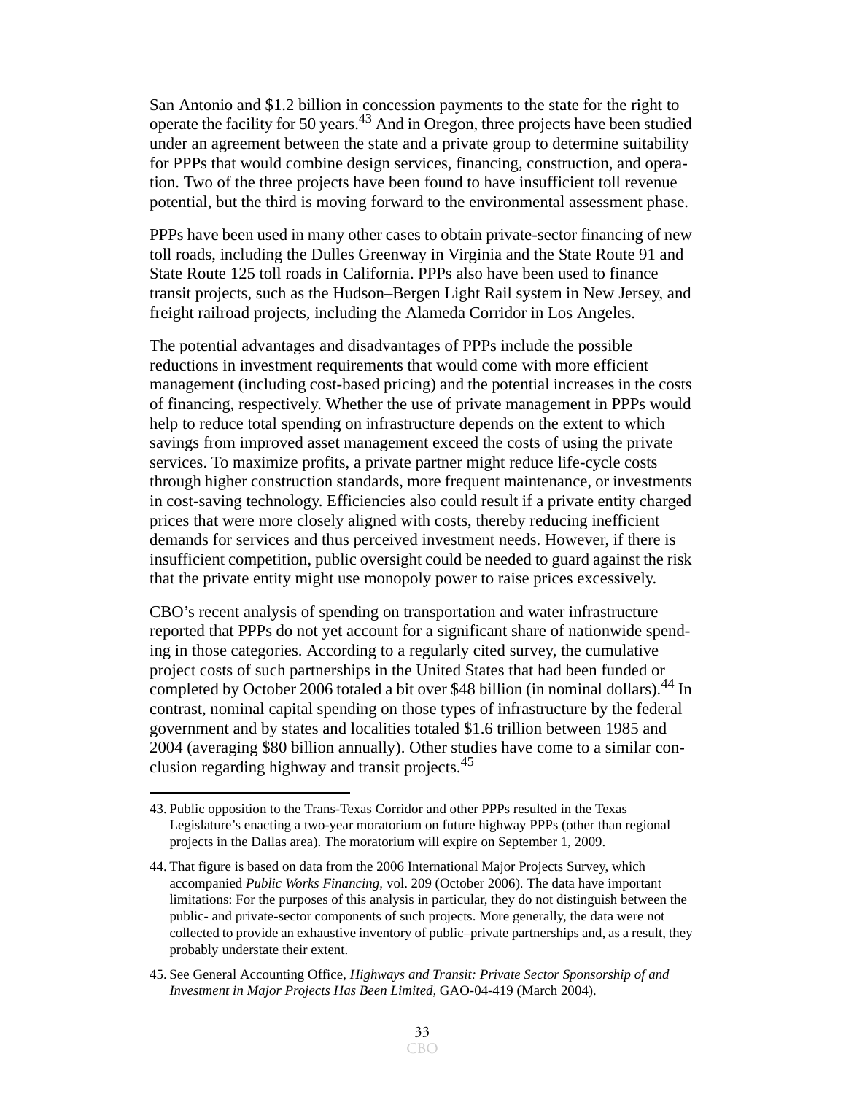San Antonio and \$1.2 billion in concession payments to the state for the right to operate the facility for 50 years.43 And in Oregon, three projects have been studied under an agreement between the state and a private group to determine suitability for PPPs that would combine design services, financing, construction, and operation. Two of the three projects have been found to have insufficient toll revenue potential, but the third is moving forward to the environmental assessment phase.

PPPs have been used in many other cases to obtain private-sector financing of new toll roads, including the Dulles Greenway in Virginia and the State Route 91 and State Route 125 toll roads in California. PPPs also have been used to finance transit projects, such as the Hudson–Bergen Light Rail system in New Jersey, and freight railroad projects, including the Alameda Corridor in Los Angeles.

The potential advantages and disadvantages of PPPs include the possible reductions in investment requirements that would come with more efficient management (including cost-based pricing) and the potential increases in the costs of financing, respectively. Whether the use of private management in PPPs would help to reduce total spending on infrastructure depends on the extent to which savings from improved asset management exceed the costs of using the private services. To maximize profits, a private partner might reduce life-cycle costs through higher construction standards, more frequent maintenance, or investments in cost-saving technology. Efficiencies also could result if a private entity charged prices that were more closely aligned with costs, thereby reducing inefficient demands for services and thus perceived investment needs. However, if there is insufficient competition, public oversight could be needed to guard against the risk that the private entity might use monopoly power to raise prices excessively.

CBO's recent analysis of spending on transportation and water infrastructure reported that PPPs do not yet account for a significant share of nationwide spending in those categories. According to a regularly cited survey, the cumulative project costs of such partnerships in the United States that had been funded or completed by October 2006 totaled a bit over \$48 billion (in nominal dollars).<sup>44</sup> In contrast, nominal capital spending on those types of infrastructure by the federal government and by states and localities totaled \$1.6 trillion between 1985 and 2004 (averaging \$80 billion annually). Other studies have come to a similar conclusion regarding highway and transit projects.<sup>45</sup>

<sup>43.</sup> Public opposition to the Trans-Texas Corridor and other PPPs resulted in the Texas Legislature's enacting a two-year moratorium on future highway PPPs (other than regional projects in the Dallas area). The moratorium will expire on September 1, 2009.

<sup>44.</sup> That figure is based on data from the 2006 International Major Projects Survey, which accompanied *Public Works Financing,* vol. 209 (October 2006). The data have important limitations: For the purposes of this analysis in particular, they do not distinguish between the public- and private-sector components of such projects. More generally, the data were not collected to provide an exhaustive inventory of public–private partnerships and, as a result, they probably understate their extent.

<sup>45.</sup> See General Accounting Office, *Highways and Transit: Private Sector Sponsorship of and Investment in Major Projects Has Been Limited,* GAO-04-419 (March 2004).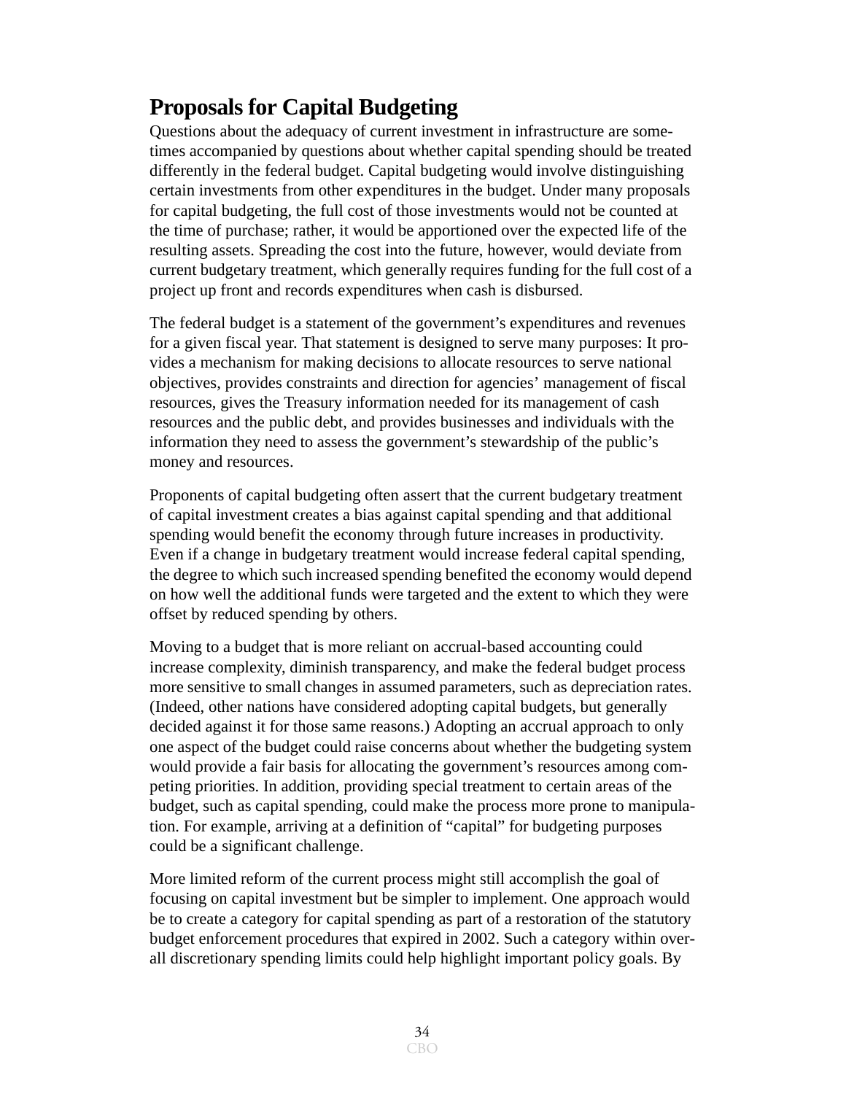# <span id="page-41-0"></span>**Proposals for Capital Budgeting**

Questions about the adequacy of current investment in infrastructure are sometimes accompanied by questions about whether capital spending should be treated differently in the federal budget. Capital budgeting would involve distinguishing certain investments from other expenditures in the budget. Under many proposals for capital budgeting, the full cost of those investments would not be counted at the time of purchase; rather, it would be apportioned over the expected life of the resulting assets. Spreading the cost into the future, however, would deviate from current budgetary treatment, which generally requires funding for the full cost of a project up front and records expenditures when cash is disbursed.

The federal budget is a statement of the government's expenditures and revenues for a given fiscal year. That statement is designed to serve many purposes: It provides a mechanism for making decisions to allocate resources to serve national objectives, provides constraints and direction for agencies' management of fiscal resources, gives the Treasury information needed for its management of cash resources and the public debt, and provides businesses and individuals with the information they need to assess the government's stewardship of the public's money and resources.

Proponents of capital budgeting often assert that the current budgetary treatment of capital investment creates a bias against capital spending and that additional spending would benefit the economy through future increases in productivity. Even if a change in budgetary treatment would increase federal capital spending, the degree to which such increased spending benefited the economy would depend on how well the additional funds were targeted and the extent to which they were offset by reduced spending by others.

Moving to a budget that is more reliant on accrual-based accounting could increase complexity, diminish transparency, and make the federal budget process more sensitive to small changes in assumed parameters, such as depreciation rates. (Indeed, other nations have considered adopting capital budgets, but generally decided against it for those same reasons.) Adopting an accrual approach to only one aspect of the budget could raise concerns about whether the budgeting system would provide a fair basis for allocating the government's resources among competing priorities. In addition, providing special treatment to certain areas of the budget, such as capital spending, could make the process more prone to manipulation. For example, arriving at a definition of "capital" for budgeting purposes could be a significant challenge.

More limited reform of the current process might still accomplish the goal of focusing on capital investment but be simpler to implement. One approach would be to create a category for capital spending as part of a restoration of the statutory budget enforcement procedures that expired in 2002. Such a category within overall discretionary spending limits could help highlight important policy goals. By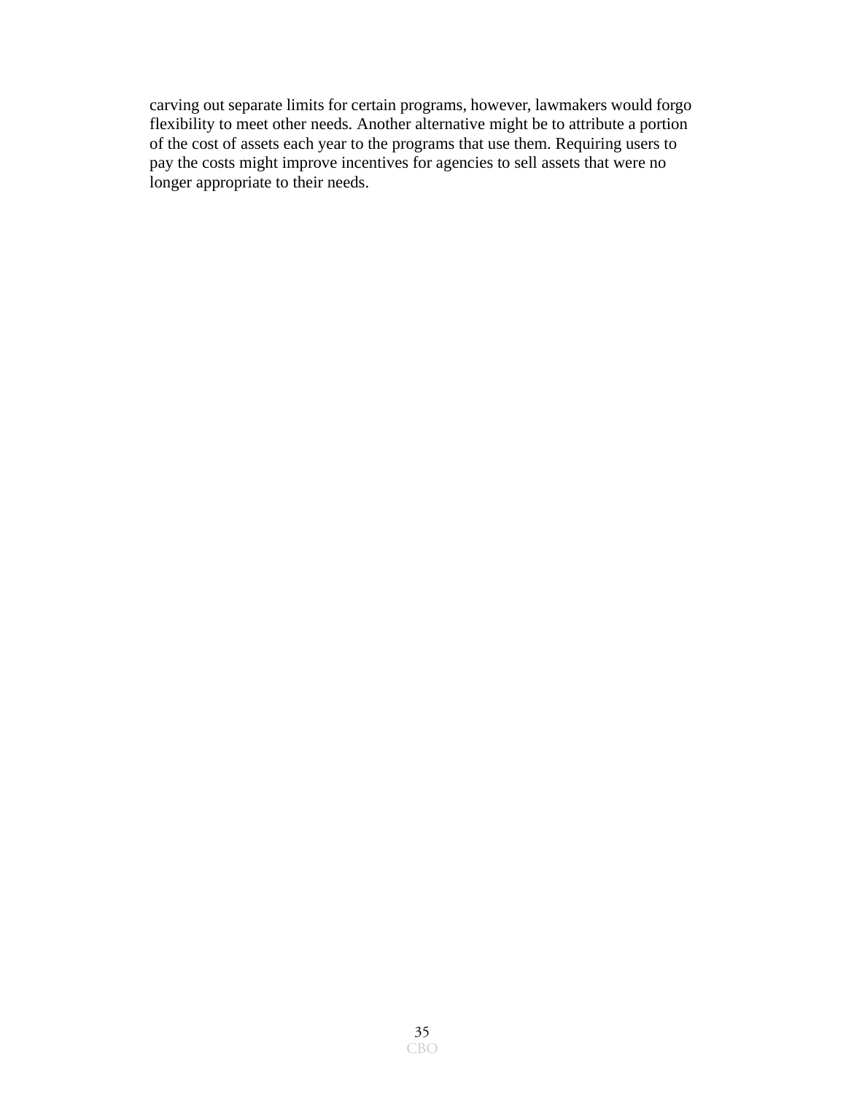carving out separate limits for certain programs, however, lawmakers would forgo flexibility to meet other needs. Another alternative might be to attribute a portion of the cost of assets each year to the programs that use them. Requiring users to pay the costs might improve incentives for agencies to sell assets that were no longer appropriate to their needs.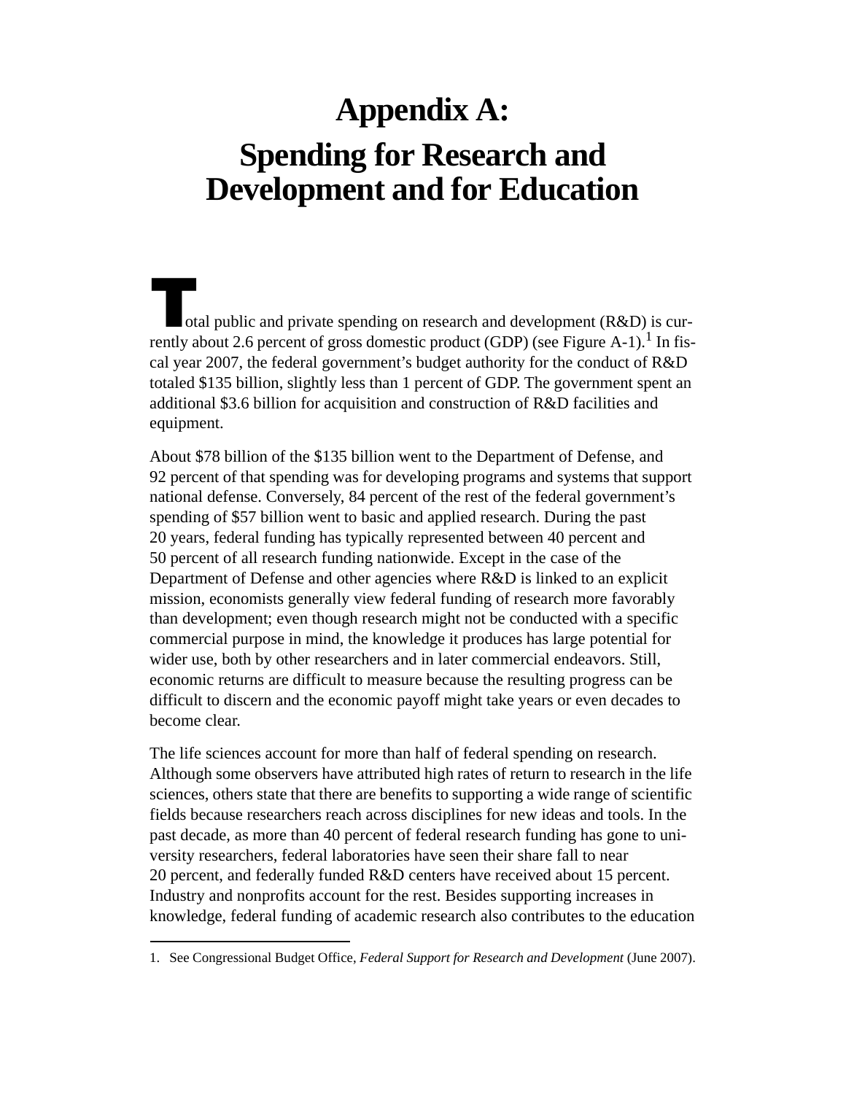# <span id="page-44-1"></span>**Appendix A: Spending for Research and Development and for Education**

<span id="page-44-0"></span>otal public and private spending on research and development (R&D) is cur-rently about 2.6 percent of gross domestic product (GDP) (see [Figure A-1](#page-45-0)).<sup>1</sup> In fiscal year 2007, the federal government's budget authority for the conduct of R&D totaled \$135 billion, slightly less than 1 percent of GDP. The government spent an additional \$3.6 billion for acquisition and construction of R&D facilities and equipment.

About \$78 billion of the \$135 billion went to the Department of Defense, and 92 percent of that spending was for developing programs and systems that support national defense. Conversely, 84 percent of the rest of the federal government's spending of \$57 billion went to basic and applied research. During the past 20 years, federal funding has typically represented between 40 percent and 50 percent of all research funding nationwide. Except in the case of the Department of Defense and other agencies where R&D is linked to an explicit mission, economists generally view federal funding of research more favorably than development; even though research might not be conducted with a specific commercial purpose in mind, the knowledge it produces has large potential for wider use, both by other researchers and in later commercial endeavors. Still, economic returns are difficult to measure because the resulting progress can be difficult to discern and the economic payoff might take years or even decades to become clear.

The life sciences account for more than half of federal spending on research. Although some observers have attributed high rates of return to research in the life sciences, others state that there are benefits to supporting a wide range of scientific fields because researchers reach across disciplines for new ideas and tools. In the past decade, as more than 40 percent of federal research funding has gone to university researchers, federal laboratories have seen their share fall to near 20 percent, and federally funded R&D centers have received about 15 percent. Industry and nonprofits account for the rest. Besides supporting increases in knowledge, federal funding of academic research also contributes to the education

<sup>1.</sup> See Congressional Budget Office, *Federal Support for Research and Development* (June 2007).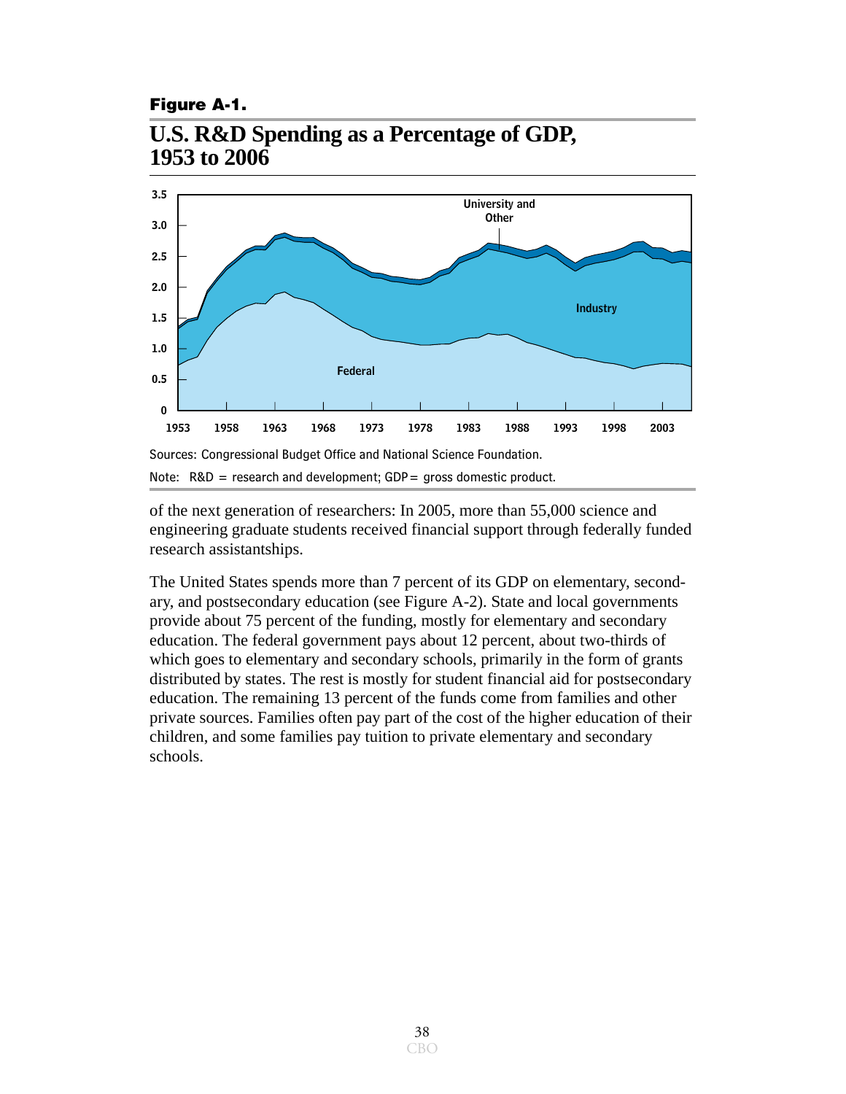#### <span id="page-45-0"></span>**Figure A-1.**



# <span id="page-45-1"></span>**U.S. R&D Spending as a Percentage of GDP, 1953 to 2006**

of the next generation of researchers: In 2005, more than 55,000 science and engineering graduate students received financial support through federally funded research assistantships.

The United States spends more than 7 percent of its GDP on elementary, secondary, and postsecondary education (see [Figure A-2\)](#page-46-0). State and local governments provide about 75 percent of the funding, mostly for elementary and secondary education. The federal government pays about 12 percent, about two-thirds of which goes to elementary and secondary schools, primarily in the form of grants distributed by states. The rest is mostly for student financial aid for postsecondary education. The remaining 13 percent of the funds come from families and other private sources. Families often pay part of the cost of the higher education of their children, and some families pay tuition to private elementary and secondary schools.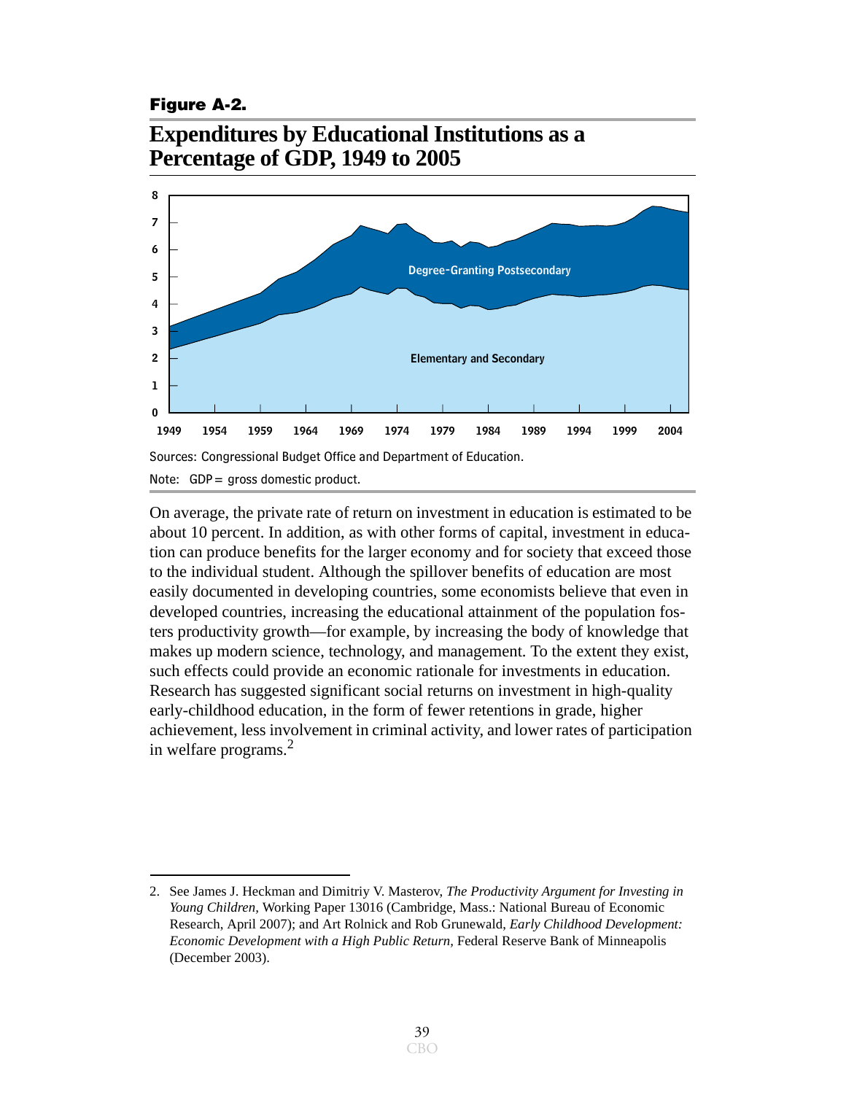#### <span id="page-46-0"></span>**Figure A-2.**

## <span id="page-46-1"></span>**Expenditures by Educational Institutions as a Percentage of GDP, 1949 to 2005**



On average, the private rate of return on investment in education is estimated to be about 10 percent. In addition, as with other forms of capital, investment in education can produce benefits for the larger economy and for society that exceed those to the individual student. Although the spillover benefits of education are most easily documented in developing countries, some economists believe that even in developed countries, increasing the educational attainment of the population fosters productivity growth—for example, by increasing the body of knowledge that makes up modern science, technology, and management. To the extent they exist, such effects could provide an economic rationale for investments in education. Research has suggested significant social returns on investment in high-quality early-childhood education, in the form of fewer retentions in grade, higher achievement, less involvement in criminal activity, and lower rates of participation in welfare programs. $^{2}$ 

<sup>2.</sup> See James J. Heckman and Dimitriy V. Masterov, *The Productivity Argument for Investing in Young Children,* Working Paper 13016 (Cambridge, Mass.: National Bureau of Economic Research, April 2007); and Art Rolnick and Rob Grunewald, *Early Childhood Development: Economic Development with a High Public Return,* Federal Reserve Bank of Minneapolis (December 2003).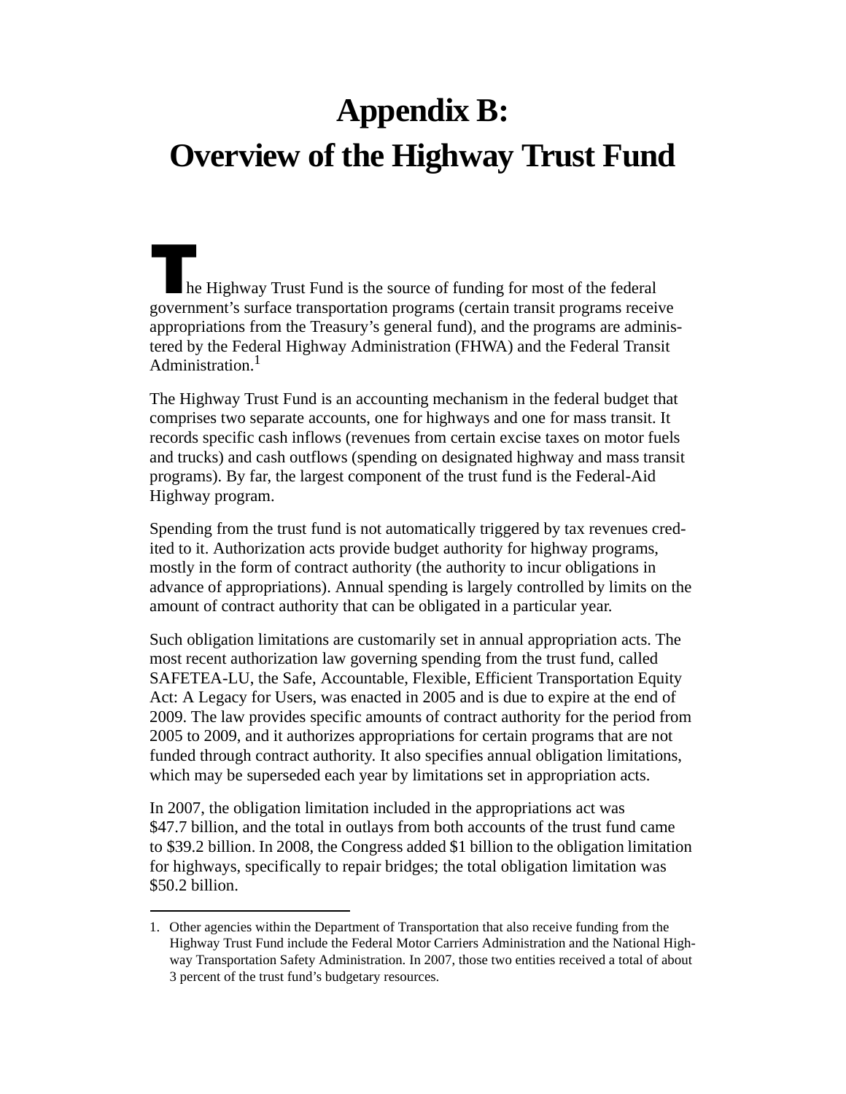# <span id="page-48-1"></span>**Appendix B: Overview of the Highway Trust Fund**

<span id="page-48-0"></span>**The Highway Trust Fund is the source of funding for most of the federal** government's surface transportation programs (certain transit programs receive appropriations from the Treasury's general fund), and the programs are administered by the Federal Highway Administration (FHWA) and the Federal Transit Administration.<sup>1</sup>

The Highway Trust Fund is an accounting mechanism in the federal budget that comprises two separate accounts, one for highways and one for mass transit. It records specific cash inflows (revenues from certain excise taxes on motor fuels and trucks) and cash outflows (spending on designated highway and mass transit programs). By far, the largest component of the trust fund is the Federal-Aid Highway program.

Spending from the trust fund is not automatically triggered by tax revenues credited to it. Authorization acts provide budget authority for highway programs, mostly in the form of contract authority (the authority to incur obligations in advance of appropriations). Annual spending is largely controlled by limits on the amount of contract authority that can be obligated in a particular year.

Such obligation limitations are customarily set in annual appropriation acts. The most recent authorization law governing spending from the trust fund, called SAFETEA-LU, the Safe, Accountable, Flexible, Efficient Transportation Equity Act: A Legacy for Users, was enacted in 2005 and is due to expire at the end of 2009. The law provides specific amounts of contract authority for the period from 2005 to 2009, and it authorizes appropriations for certain programs that are not funded through contract authority. It also specifies annual obligation limitations, which may be superseded each year by limitations set in appropriation acts.

In 2007, the obligation limitation included in the appropriations act was \$47.7 billion, and the total in outlays from both accounts of the trust fund came to \$39.2 billion. In 2008, the Congress added \$1 billion to the obligation limitation for highways, specifically to repair bridges; the total obligation limitation was \$50.2 billion.

<sup>1.</sup> Other agencies within the Department of Transportation that also receive funding from the Highway Trust Fund include the Federal Motor Carriers Administration and the National Highway Transportation Safety Administration. In 2007, those two entities received a total of about 3 percent of the trust fund's budgetary resources.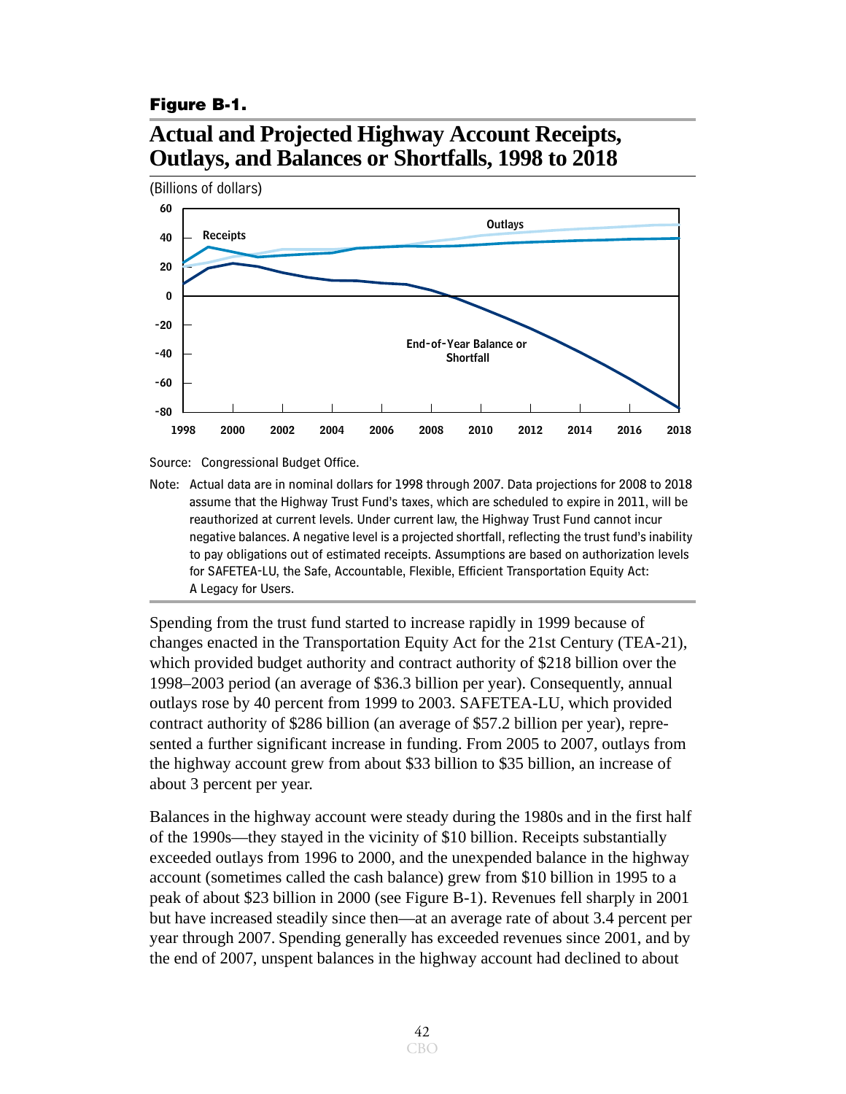#### <span id="page-49-0"></span>**Figure B-1.**

# <span id="page-49-1"></span>**Actual and Projected Highway Account Receipts, Outlays, and Balances or Shortfalls, 1998 to 2018**



Source: Congressional Budget Office.

Note: Actual data are in nominal dollars for 1998 through 2007. Data projections for 2008 to 2018 assume that the Highway Trust Fund's taxes, which are scheduled to expire in 2011, will be reauthorized at current levels. Under current law, the Highway Trust Fund cannot incur negative balances. A negative level is a projected shortfall, reflecting the trust fund's inability to pay obligations out of estimated receipts. Assumptions are based on authorization levels for SAFETEA-LU, the Safe, Accountable, Flexible, Efficient Transportation Equity Act: A Legacy for Users.

Spending from the trust fund started to increase rapidly in 1999 because of changes enacted in the Transportation Equity Act for the 21st Century (TEA-21), which provided budget authority and contract authority of \$218 billion over the 1998–2003 period (an average of \$36.3 billion per year). Consequently, annual outlays rose by 40 percent from 1999 to 2003. SAFETEA-LU, which provided contract authority of \$286 billion (an average of \$57.2 billion per year), represented a further significant increase in funding. From 2005 to 2007, outlays from the highway account grew from about \$33 billion to \$35 billion, an increase of about 3 percent per year.

Balances in the highway account were steady during the 1980s and in the first half of the 1990s—they stayed in the vicinity of \$10 billion. Receipts substantially exceeded outlays from 1996 to 2000, and the unexpended balance in the highway account (sometimes called the cash balance) grew from \$10 billion in 1995 to a peak of about \$23 billion in 2000 (see [Figure B-1\)](#page-49-0). Revenues fell sharply in 2001 but have increased steadily since then—at an average rate of about 3.4 percent per year through 2007. Spending generally has exceeded revenues since 2001, and by the end of 2007, unspent balances in the highway account had declined to about